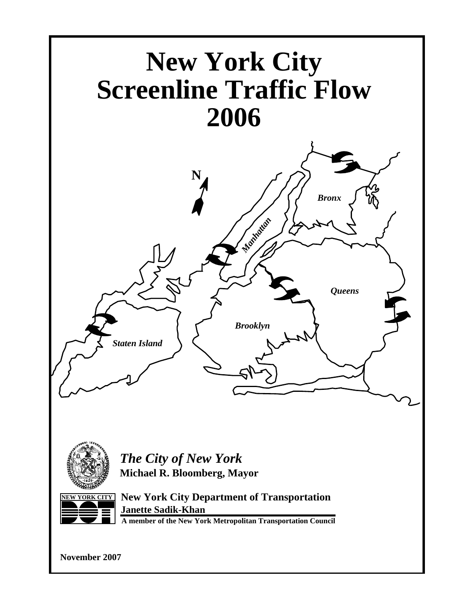



*The City of New York* **Michael R. Bloomberg, Mayor**



**NEW YORK CITY New York City Department of Transportation Janette Sadik-Khan**

**A member of the New York Metropolitan Transportation Council**

**November 2007**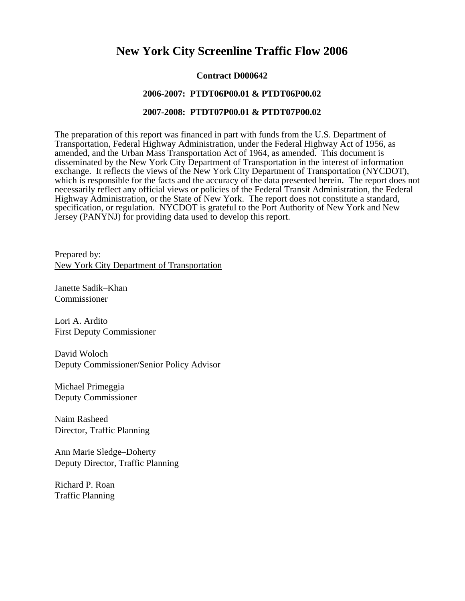### **New York City Screenline Traffic Flow 2006**

#### **Contract D000642**

#### **2006-2007: PTDT06P00.01 & PTDT06P00.02**

#### **2007-2008: PTDT07P00.01 & PTDT07P00.02**

The preparation of this report was financed in part with funds from the U.S. Department of Transportation, Federal Highway Administration, under the Federal Highway Act of 1956, as amended, and the Urban Mass Transportation Act of 1964, as amended. This document is disseminated by the New York City Department of Transportation in the interest of information exchange. It reflects the views of the New York City Department of Transportation (NYCDOT), which is responsible for the facts and the accuracy of the data presented herein. The report does not necessarily reflect any official views or policies of the Federal Transit Administration, the Federal Highway Administration, or the State of New York. The report does not constitute a standard, specification, or regulation. NYCDOT is grateful to the Port Authority of New York and New Jersey (PANYNJ) for providing data used to develop this report.

Prepared by: New York City Department of Transportation

Janette Sadik–Khan Commissioner

Lori A. Ardito First Deputy Commissioner

David Woloch Deputy Commissioner/Senior Policy Advisor

Michael Primeggia Deputy Commissioner

Naim Rasheed Director, Traffic Planning

Ann Marie Sledge–Doherty Deputy Director, Traffic Planning

Richard P. Roan Traffic Planning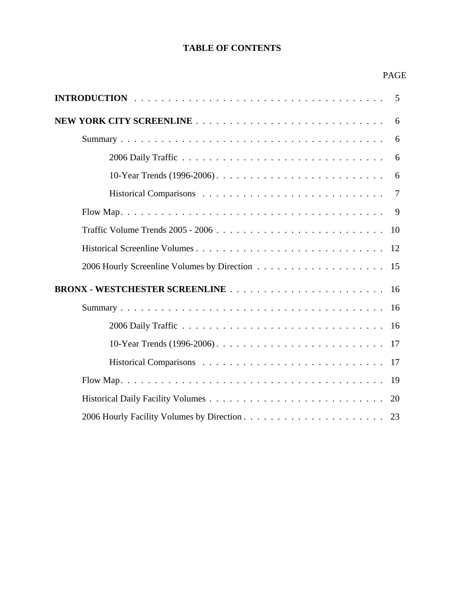### **TABLE OF CONTENTS**

#### PAGE

| 6              |
|----------------|
| 6              |
| 6              |
| 6              |
| $\overline{7}$ |
| 9              |
| 10             |
|                |
|                |
|                |
| 16             |
| 16             |
|                |
|                |
| 19             |
| 20             |
|                |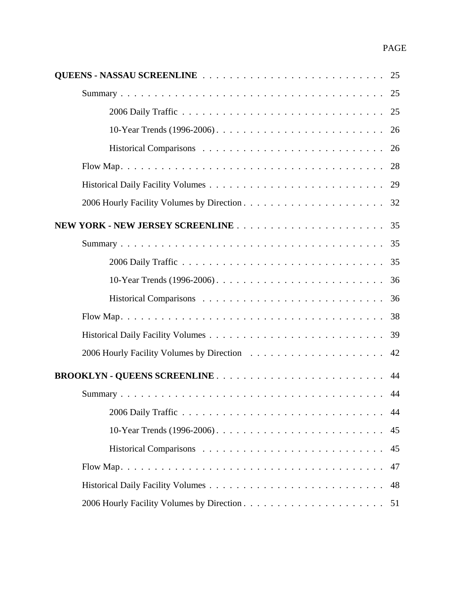| 25 |
|----|
| 25 |
| 26 |
| 26 |
| 28 |
| 29 |
|    |
| 35 |
|    |
|    |
| 36 |
| 36 |
| 38 |
| 39 |
| 42 |
|    |
| 44 |
| 44 |
| 45 |
| 45 |
| 47 |
| 48 |
| 51 |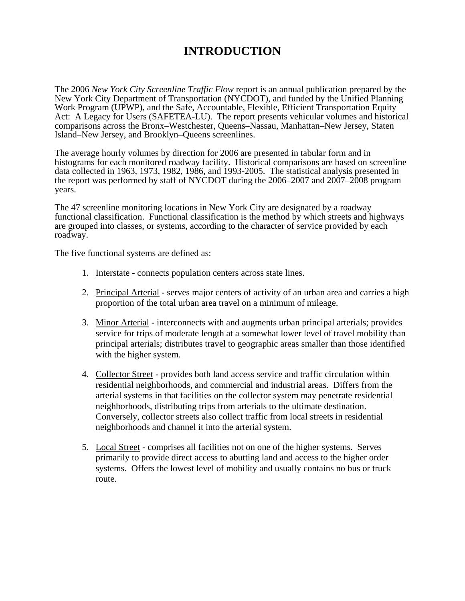## **INTRODUCTION**

The 2006 *New York City Screenline Traffic Flow* report is an annual publication prepared by the New York City Department of Transportation (NYCDOT), and funded by the Unified Planning Work Program (UPWP), and the Safe, Accountable, Flexible, Efficient Transportation Equity Act: A Legacy for Users (SAFETEA-LU). The report presents vehicular volumes and historical comparisons across the Bronx–Westchester, Queens–Nassau, Manhattan–New Jersey, Staten Island–New Jersey, and Brooklyn–Queens screenlines.

The average hourly volumes by direction for 2006 are presented in tabular form and in histograms for each monitored roadway facility. Historical comparisons are based on screenline data collected in 1963, 1973, 1982, 1986, and 1993-2005. The statistical analysis presented in the report was performed by staff of NYCDOT during the 2006–2007 and 2007–2008 program years.

The 47 screenline monitoring locations in New York City are designated by a roadway functional classification. Functional classification is the method by which streets and highways are grouped into classes, or systems, according to the character of service provided by each roadway.

The five functional systems are defined as:

- 1. Interstate connects population centers across state lines.
- 2. Principal Arterial serves major centers of activity of an urban area and carries a high proportion of the total urban area travel on a minimum of mileage.
- 3. Minor Arterial interconnects with and augments urban principal arterials; provides service for trips of moderate length at a somewhat lower level of travel mobility than principal arterials; distributes travel to geographic areas smaller than those identified with the higher system.
- 4. Collector Street provides both land access service and traffic circulation within residential neighborhoods, and commercial and industrial areas. Differs from the arterial systems in that facilities on the collector system may penetrate residential neighborhoods, distributing trips from arterials to the ultimate destination. Conversely, collector streets also collect traffic from local streets in residential neighborhoods and channel it into the arterial system.
- 5. Local Street comprises all facilities not on one of the higher systems. Serves primarily to provide direct access to abutting land and access to the higher order systems. Offers the lowest level of mobility and usually contains no bus or truck route.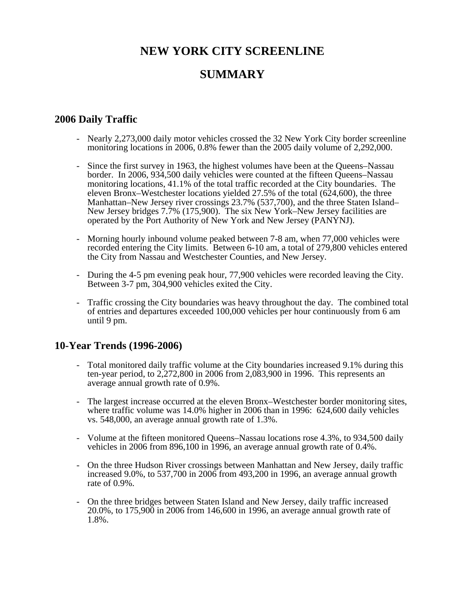# **NEW YORK CITY SCREENLINE**

### **SUMMARY**

#### **2006 Daily Traffic**

- Nearly 2,273,000 daily motor vehicles crossed the 32 New York City border screenline monitoring locations in 2006, 0.8% fewer than the 2005 daily volume of 2,292,000.
- Since the first survey in 1963, the highest volumes have been at the Queens–Nassau border. In 2006, 934,500 daily vehicles were counted at the fifteen Queens–Nassau monitoring locations, 41.1% of the total traffic recorded at the City boundaries. The eleven Bronx–Westchester locations yielded 27.5% of the total (624,600), the three Manhattan–New Jersey river crossings 23.7% (537,700), and the three Staten Island– New Jersey bridges 7.7% (175,900). The six New York–New Jersey facilities are operated by the Port Authority of New York and New Jersey (PANYNJ).
- Morning hourly inbound volume peaked between 7-8 am, when 77,000 vehicles were recorded entering the City limits. Between 6-10 am, a total of 279,800 vehicles entered the City from Nassau and Westchester Counties, and New Jersey.
- During the 4-5 pm evening peak hour, 77,900 vehicles were recorded leaving the City. Between 3-7 pm, 304,900 vehicles exited the City.
- Traffic crossing the City boundaries was heavy throughout the day. The combined total of entries and departures exceeded 100,000 vehicles per hour continuously from 6 am until 9 pm.

#### **10-Year Trends (1996-2006)**

- Total monitored daily traffic volume at the City boundaries increased 9.1% during this ten-year period, to 2,272,800 in 2006 from 2,083,900 in 1996. This represents an average annual growth rate of 0.9%.
- The largest increase occurred at the eleven Bronx–Westchester border monitoring sites, where traffic volume was 14.0% higher in 2006 than in 1996: 624,600 daily vehicles vs. 548,000, an average annual growth rate of 1.3%.
- Volume at the fifteen monitored Queens–Nassau locations rose 4.3%, to 934,500 daily vehicles in 2006 from 896,100 in 1996, an average annual growth rate of 0.4%.
- On the three Hudson River crossings between Manhattan and New Jersey, daily traffic increased 9.0%, to 537,700 in 2006 from 493,200 in 1996, an average annual growth rate of 0.9%.
- On the three bridges between Staten Island and New Jersey, daily traffic increased 20.0%, to 175,900 in 2006 from 146,600 in 1996, an average annual growth rate of 1.8%.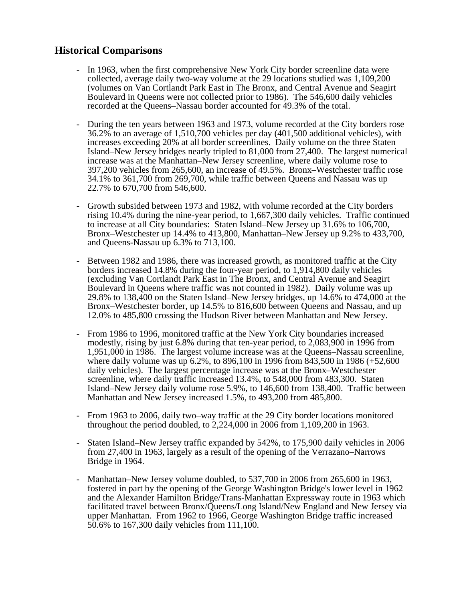### **Historical Comparisons**

- In 1963, when the first comprehensive New York City border screenline data were collected, average daily two-way volume at the 29 locations studied was 1,109,200 (volumes on Van Cortlandt Park East in The Bronx, and Central Avenue and Seagirt Boulevard in Queens were not collected prior to 1986). The 546,600 daily vehicles recorded at the Queens–Nassau border accounted for 49.3% of the total.
- During the ten years between 1963 and 1973, volume recorded at the City borders rose 36.2% to an average of 1,510,700 vehicles per day (401,500 additional vehicles), with increases exceeding 20% at all border screenlines. Daily volume on the three Staten Island–New Jersey bridges nearly tripled to 81,000 from 27,400. The largest numerical increase was at the Manhattan–New Jersey screenline, where daily volume rose to 397,200 vehicles from 265,600, an increase of 49.5%. Bronx–Westchester traffic rose 34.1% to 361,700 from 269,700, while traffic between Queens and Nassau was up 22.7% to 670,700 from 546,600.
- Growth subsided between 1973 and 1982, with volume recorded at the City borders rising 10.4% during the nine-year period, to 1,667,300 daily vehicles. Traffic continued to increase at all City boundaries: Staten Island–New Jersey up 31.6% to 106,700, Bronx–Westchester up 14.4% to 413,800, Manhattan–New Jersey up 9.2% to 433,700, and Queens-Nassau up 6.3% to 713,100.
- Between 1982 and 1986, there was increased growth, as monitored traffic at the City borders increased 14.8% during the four-year period, to 1,914,800 daily vehicles (excluding Van Cortlandt Park East in The Bronx, and Central Avenue and Seagirt Boulevard in Queens where traffic was not counted in 1982). Daily volume was up 29.8% to 138,400 on the Staten Island–New Jersey bridges, up 14.6% to 474,000 at the Bronx–Westchester border, up 14.5% to 816,600 between Queens and Nassau, and up 12.0% to 485,800 crossing the Hudson River between Manhattan and New Jersey.
- From 1986 to 1996, monitored traffic at the New York City boundaries increased modestly, rising by just 6.8% during that ten-year period, to 2,083,900 in 1996 from 1,951,000 in 1986. The largest volume increase was at the Queens–Nassau screenline, where daily volume was up 6.2%, to 896,100 in 1996 from 843,500 in 1986 (+52,600 daily vehicles). The largest percentage increase was at the Bronx–Westchester screenline, where daily traffic increased 13.4%, to 548,000 from 483,300. Staten Island–New Jersey daily volume rose 5.9%, to 146,600 from 138,400. Traffic between Manhattan and New Jersey increased 1.5%, to 493,200 from 485,800.
- From 1963 to 2006, daily two–way traffic at the 29 City border locations monitored throughout the period doubled, to 2,224,000 in 2006 from 1,109,200 in 1963.
- Staten Island–New Jersey traffic expanded by 542%, to 175,900 daily vehicles in 2006 from 27,400 in 1963, largely as a result of the opening of the Verrazano–Narrows Bridge in 1964.
- Manhattan–New Jersey volume doubled, to 537,700 in 2006 from 265,600 in 1963, fostered in part by the opening of the George Washington Bridge's lower level in 1962 and the Alexander Hamilton Bridge/Trans-Manhattan Expressway route in 1963 which facilitated travel between Bronx/Queens/Long Island/New England and New Jersey via upper Manhattan. From 1962 to 1966, George Washington Bridge traffic increased 50.6% to 167,300 daily vehicles from 111,100.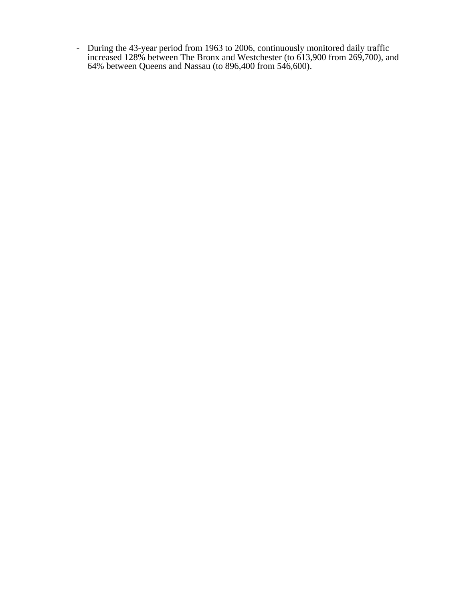- During the 43-year period from 1963 to 2006, continuously monitored daily traffic increased 128% between The Bronx and Westchester (to 613,900 from 269,700), and 64% between Queens and Nassau (to 896,400 from 546,600).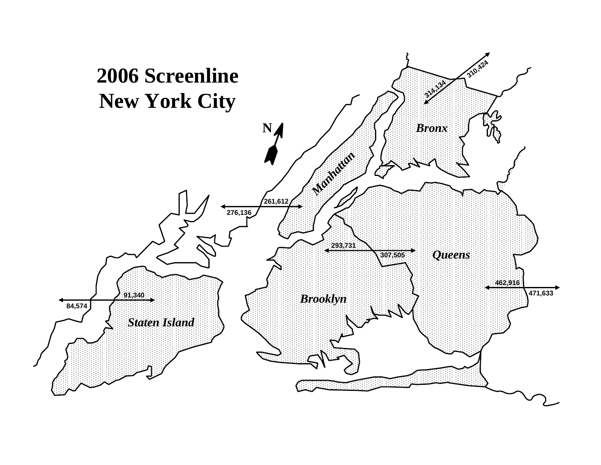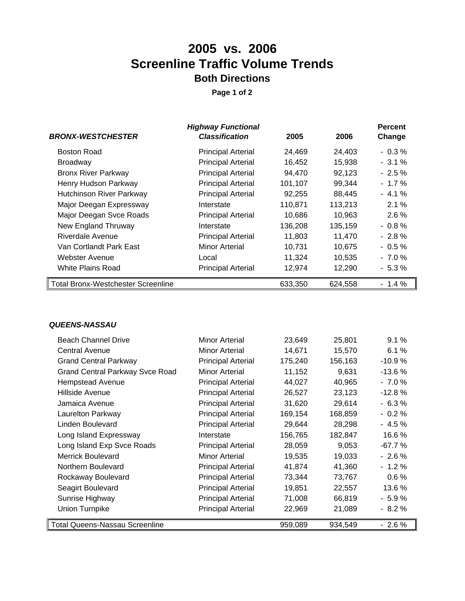# **2005 vs. 2006 Screenline Traffic Volume Trends Both Directions**

**Page 1 of 2**

|                                           | <b>Highway Functional</b> |         |         | <b>Percent</b> |
|-------------------------------------------|---------------------------|---------|---------|----------------|
| <b>BRONX-WESTCHESTER</b>                  | <b>Classification</b>     | 2005    | 2006    | Change         |
| <b>Boston Road</b>                        | <b>Principal Arterial</b> | 24,469  | 24,403  | $-0.3%$        |
| <b>Broadway</b>                           | <b>Principal Arterial</b> | 16,452  | 15,938  | $-3.1%$        |
| <b>Bronx River Parkway</b>                | <b>Principal Arterial</b> | 94,470  | 92,123  | $-2.5%$        |
| Henry Hudson Parkway                      | <b>Principal Arterial</b> | 101,107 | 99,344  | $-1.7\%$       |
| <b>Hutchinson River Parkway</b>           | <b>Principal Arterial</b> | 92,255  | 88,445  | $-4.1%$        |
| Major Deegan Expressway                   | Interstate                | 110,871 | 113,213 | 2.1%           |
| Major Deegan Svce Roads                   | <b>Principal Arterial</b> | 10,686  | 10,963  | $2.6\%$        |
| New England Thruway                       | Interstate                | 136,208 | 135,159 | $-0.8%$        |
| Riverdale Avenue                          | <b>Principal Arterial</b> | 11,803  | 11,470  | $-2.8\%$       |
| Van Cortlandt Park East                   | <b>Minor Arterial</b>     | 10,731  | 10,675  | $-0.5\%$       |
| Webster Avenue                            | Local                     | 11,324  | 10,535  | $-7.0%$        |
| White Plains Road                         | <b>Principal Arterial</b> | 12,974  | 12,290  | $-5.3%$        |
| <b>Total Bronx-Westchester Screenline</b> |                           | 633,350 | 624,558 | $-1.4%$        |

#### *QUEENS-NASSAU*

| <b>Beach Channel Drive</b>             | Minor Arterial            | 23,649  | 25,801  | 9.1%     |
|----------------------------------------|---------------------------|---------|---------|----------|
| <b>Central Avenue</b>                  | <b>Minor Arterial</b>     | 14,671  | 15,570  | 6.1%     |
| <b>Grand Central Parkway</b>           | <b>Principal Arterial</b> | 175,240 | 156,163 | $-10.9%$ |
| <b>Grand Central Parkway Svce Road</b> | Minor Arterial            | 11,152  | 9,631   | $-13.6%$ |
| <b>Hempstead Avenue</b>                | <b>Principal Arterial</b> | 44,027  | 40,965  | $-7.0%$  |
| Hillside Avenue                        | <b>Principal Arterial</b> | 26,527  | 23,123  | $-12.8%$ |
| Jamaica Avenue                         | <b>Principal Arterial</b> | 31,620  | 29,614  | $-6.3%$  |
| Laurelton Parkway                      | <b>Principal Arterial</b> | 169,154 | 168,859 | $-0.2\%$ |
| Linden Boulevard                       | <b>Principal Arterial</b> | 29,644  | 28,298  | $-4.5%$  |
| Long Island Expressway                 | Interstate                | 156,765 | 182,847 | 16.6 %   |
| Long Island Exp Svce Roads             | <b>Principal Arterial</b> | 28,059  | 9,053   | -67.7 %  |
| <b>Merrick Boulevard</b>               | <b>Minor Arterial</b>     | 19,535  | 19,033  | $-2.6%$  |
| Northern Boulevard                     | <b>Principal Arterial</b> | 41,874  | 41,360  | $-1.2%$  |
| Rockaway Boulevard                     | <b>Principal Arterial</b> | 73,344  | 73,767  | 0.6%     |
| Seagirt Boulevard                      | <b>Principal Arterial</b> | 19,851  | 22,557  | 13.6%    |
| Sunrise Highway                        | <b>Principal Arterial</b> | 71,008  | 66,819  | $-5.9%$  |
| <b>Union Turnpike</b>                  | <b>Principal Arterial</b> | 22,969  | 21,089  | $-8.2%$  |
| <b>Total Queens-Nassau Screenline</b>  |                           | 959,089 | 934,549 | $-2.6%$  |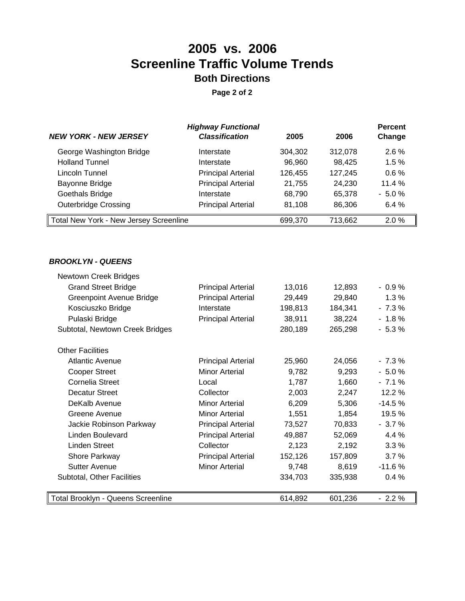# **2005 vs. 2006 Screenline Traffic Volume Trends Both Directions**

**Page 2 of 2**

|                                               | <b>Highway Functional</b> |         |         | <b>Percent</b> |
|-----------------------------------------------|---------------------------|---------|---------|----------------|
| <b>NEW YORK - NEW JERSEY</b>                  | <b>Classification</b>     | 2005    | 2006    | Change         |
| George Washington Bridge                      | Interstate                | 304,302 | 312,078 | $2.6\%$        |
| <b>Holland Tunnel</b>                         | Interstate                | 96,960  | 98,425  | 1.5%           |
| Lincoln Tunnel                                | <b>Principal Arterial</b> | 126,455 | 127,245 | 0.6%           |
| Bayonne Bridge                                | <b>Principal Arterial</b> | 21,755  | 24,230  | 11.4 %         |
| Goethals Bridge                               | Interstate                | 68,790  | 65,378  | $-5.0%$        |
| <b>Outerbridge Crossing</b>                   | <b>Principal Arterial</b> | 81,108  | 86,306  | 6.4%           |
| <b>Total New York - New Jersey Screenline</b> |                           | 699,370 | 713.662 | 2.0%           |

#### *BROOKLYN - QUEENS*

| Newtown Creek Bridges              |                           |         |         |          |
|------------------------------------|---------------------------|---------|---------|----------|
| <b>Grand Street Bridge</b>         | <b>Principal Arterial</b> | 13,016  | 12,893  | $-0.9%$  |
| <b>Greenpoint Avenue Bridge</b>    | <b>Principal Arterial</b> | 29,449  | 29,840  | 1.3%     |
| Kosciuszko Bridge                  | Interstate                | 198,813 | 184,341 | $-7.3%$  |
| Pulaski Bridge                     | <b>Principal Arterial</b> | 38,911  | 38,224  | $-1.8%$  |
| Subtotal, Newtown Creek Bridges    |                           | 280,189 | 265,298 | $-5.3%$  |
| <b>Other Facilities</b>            |                           |         |         |          |
| Atlantic Avenue                    | <b>Principal Arterial</b> | 25,960  | 24,056  | $-7.3\%$ |
| <b>Cooper Street</b>               | Minor Arterial            | 9,782   | 9,293   | $-5.0%$  |
| Cornelia Street                    | Local                     | 1,787   | 1,660   | $-7.1%$  |
| <b>Decatur Street</b>              | Collector                 | 2,003   | 2,247   | 12.2 %   |
| DeKalb Avenue                      | <b>Minor Arterial</b>     | 6,209   | 5,306   | $-14.5%$ |
| Greene Avenue                      | <b>Minor Arterial</b>     | 1,551   | 1,854   | 19.5 %   |
| Jackie Robinson Parkway            | <b>Principal Arterial</b> | 73,527  | 70,833  | $-3.7%$  |
| Linden Boulevard                   | <b>Principal Arterial</b> | 49,887  | 52,069  | 4.4 %    |
| Linden Street                      | Collector                 | 2,123   | 2,192   | 3.3%     |
| Shore Parkway                      | <b>Principal Arterial</b> | 152,126 | 157,809 | 3.7%     |
| <b>Sutter Avenue</b>               | <b>Minor Arterial</b>     | 9,748   | 8,619   | $-11.6%$ |
| Subtotal, Other Facilities         |                           | 334,703 | 335,938 | 0.4%     |
| Total Brooklyn - Queens Screenline |                           | 614,892 | 601,236 | $-2.2%$  |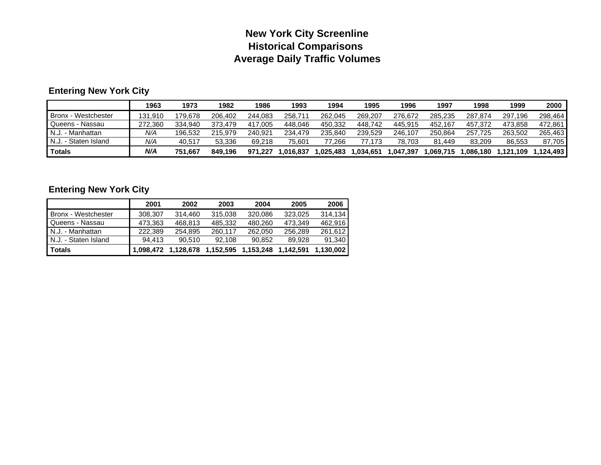### **New York City Screenline Historical Comparisons Average Daily Traffic Volumes**

### **Entering New York City**

|                       | 1963    | 1973    | 1982    | 1986    | 1993     | 1994      | 1995      | 1996      | 1997     | 1998      | 1999      | 2000       |
|-----------------------|---------|---------|---------|---------|----------|-----------|-----------|-----------|----------|-----------|-----------|------------|
| Bronx - Westchester   | 131.910 | 179.678 | 206.402 | 244.083 | 258.711  | 262.045   | 269.207   | 276.672   | 285.235  | 287.874   | 297.196   | 298.464    |
| Queens - Nassau       | 272.360 | 334.940 | 373.479 | 417.005 | 448.046  | 450.332   | 448.742   | 445.915   | 452.167  | 457.372   | 473.858   | 472.861    |
| N.J.<br>. - Manhattan | N/A     | 196.532 | 215.979 | 240.921 | 234.479  | 235.840   | 239.529   | 246.107   | 250.864  | 257.725   | 263.502   | 265,463    |
| N.J. - Staten Island  | N/A     | 40.517  | 53.336  | 69.218  | 75.601   | 77.266    | 77.173    | 78.703    | 81.449   | 83.209    | 86.553    | 87,705     |
| <b>Totals</b>         | N/A     | 751.667 | 849.196 | 971.227 | .016.837 | 1.025.483 | 034,651.ا | 1,047,397 | .069.715 | 1.086.180 | 1,121,109 | ا 124.493. |

### **Entering New York City**

|                      | 2001    | 2002                | 2003                | 2004    | 2005      | 2006      |
|----------------------|---------|---------------------|---------------------|---------|-----------|-----------|
| Bronx - Westchester  | 308.307 | 314.460             | 315,038             | 320,086 | 323,025   | 314.134   |
| Queens - Nassau      | 473,363 | 468.813             | 485.332             | 480.260 | 473.349   | 462.916   |
| N.J. - Manhattan     | 222.389 | 254.895             | 260,117             | 262,050 | 256,289   | 261.612   |
| N.J. - Staten Island | 94.413  | 90.510              | 92.108              | 90.852  | 89.928    | 91.340    |
| <b>Totals</b>        |         | 1,098,472 1,128,678 | 1,152,595 1,153,248 |         | 1,142,591 | 1.130.002 |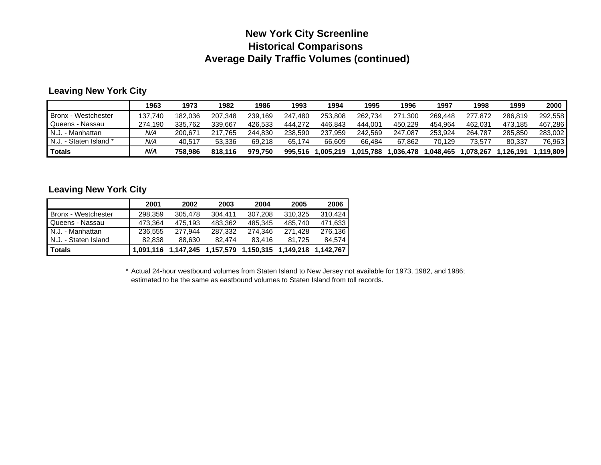### **New York City Screenline Historical Comparisons Average Daily Traffic Volumes (continued)**

#### **Leaving New York City**

|                        | 1963    | 1973    | 1982         | 1986    | 1993    | 1994     | 1995      | 1996        | 1997     | 1998      | 1999     | 2000      |
|------------------------|---------|---------|--------------|---------|---------|----------|-----------|-------------|----------|-----------|----------|-----------|
| Bronx - Westchester    | 137.740 | 182.036 | 207.348      | 239.169 | 247.480 | 253.808  | 262.734   | 271<br>.300 | 269.448  | 277.872   | 286.819  | 292.558   |
| Queens - Nassau        | 274.190 | 335.762 | 339.667      | 426.533 | 444.272 | 446.843  | 444.001   | 450.229     | 454.964  | 462.031   | 473.185  | 467.286   |
| N.J. - Manhattan       | N/A     | 200.671 | 217.<br>.765 | 244.830 | 238.590 | 237.959  | 242.569   | 247.087     | 253.924  | 264.787   | 285.850  | 283.002   |
| N.J. - Staten Island * | N/A     | 40.517  | 53.336       | 69.218  | 65.174  | 66.609   | 66.484    | 67.862      | 70.129   | 73.577    | 80.337   | 76,963    |
| <b>Totals</b>          | N/A     | 758.986 | 818.116      | 979.750 | 995.516 | .005.219 | 1.015.788 | .036,478    | .048.465 | 1.078.267 | .126.191 | 1.119.809 |

#### **Leaving New York City**

|                      | 2001      | 2002      | 2003      | 2004      | 2005      | 2006      |
|----------------------|-----------|-----------|-----------|-----------|-----------|-----------|
| Bronx - Westchester  | 298.359   | 305,478   | 304.411   | 307.208   | 310,325   | 310.424   |
| Queens - Nassau      | 473.364   | 475,193   | 483,362   | 485.345   | 485.740   | 471,633   |
| N.J. - Manhattan     | 236.555   | 277.944   | 287,332   | 274.346   | 271.428   | 276.136   |
| N.J. - Staten Island | 82.838    | 88.630    | 82.474    | 83.416    | 81.725    | 84.574    |
| <b>Totals</b>        | 1.091.116 | 1,147,245 | 1,157,579 | 1,150,315 | 1,149,218 | 1.142.767 |

\* Actual 24-hour westbound volumes from Staten Island to New Jersey not available for 1973, 1982, and 1986; estimated to be the same as eastbound volumes to Staten Island from toll records.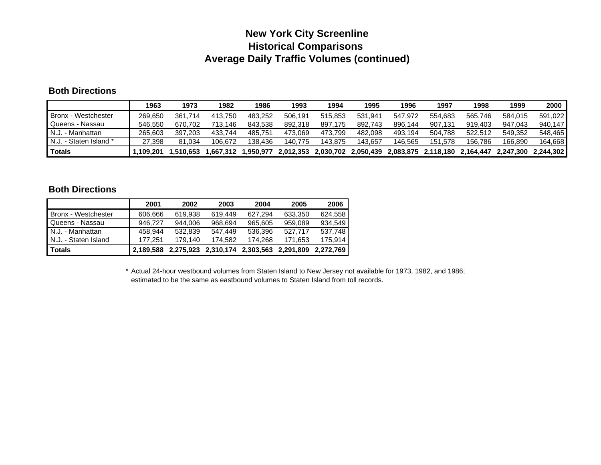### **New York City Screenline Historical Comparisons Average Daily Traffic Volumes (continued)**

#### **Both Directions**

|                        | 1963     | 1973     | 1982        | 1986     | 1993      | 1994      | 1995      | 1996      | 1997                | 1998    | 1999      | 2000      |
|------------------------|----------|----------|-------------|----------|-----------|-----------|-----------|-----------|---------------------|---------|-----------|-----------|
| Bronx - Westchester    | 269,650  | 361.714  | 413.750     | 483.252  | 506.191   | 515.853   | 531.941   | 547.972   | 554.683             | 565.746 | 584.015   | 591.022   |
| Queens - Nassau        | 546.550  | 670.702  | 713<br>146. | 843.538  | 892.318   | 897.175   | 892.743   | 896.144   | 907.131             | 919.403 | 947.043   | 940.147   |
| N.J. - Manhattan       | 265,603  | 397.203  | 433.744     | 485.751  | 473.069   | 473.799   | 482.098   | 493.194   | 504.788             | 522.512 | 549.352   | 548.465   |
| N.J. - Staten Island * | 27.398   | 81.034   | 106.672     | 138.436  | 140.775   | 143.875   | 143.657   | 146,565   | 151.578             | 156.786 | 166.890   | 164.668   |
| Totals                 | .109.201 | .510.653 | .667.312    | .950.977 | 2,012,353 | 2.030.702 | 2,050,439 | 2,083,875 | 2,118,180 2,164,447 |         | 2.247.300 | 2.244.302 |

#### **Both Directions**

|                      | 2001      | 2002    | 2003                          | 2004    | 2005      | 2006      |
|----------------------|-----------|---------|-------------------------------|---------|-----------|-----------|
| Bronx - Westchester  | 606,666   | 619.938 | 619.449                       | 627.294 | 633,350   | 624.558   |
| Queens - Nassau      | 946.727   | 944.006 | 968.694                       | 965,605 | 959,089   | 934.549   |
| N.J. - Manhattan     | 458.944   | 532,839 | 547.449                       | 536.396 | 527.717   | 537.748   |
| N.J. - Staten Island | 177.251   | 179.140 | 174.582                       | 174.268 | 171.653   | 175.914   |
| <b>Totals</b>        | 2.189.588 |         | 2,275,923 2,310,174 2,303,563 |         | 2,291,809 | 2.272.769 |

\* Actual 24-hour westbound volumes from Staten Island to New Jersey not available for 1973, 1982, and 1986; estimated to be the same as eastbound volumes to Staten Island from toll records.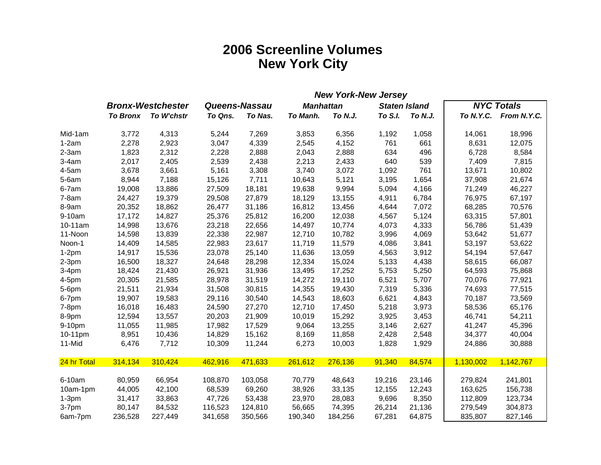# **2006 Screenline Volumes New York City**

| <b>New York-New Jersey</b> |  |  |  |  |  |  |
|----------------------------|--|--|--|--|--|--|
|                            |  |  |  |  |  |  |
| To N.Y.C. From N.Y.C.      |  |  |  |  |  |  |
| 18,996                     |  |  |  |  |  |  |
| 12,075                     |  |  |  |  |  |  |
| 8,584                      |  |  |  |  |  |  |
| 7,815                      |  |  |  |  |  |  |
| 10,802                     |  |  |  |  |  |  |
| 21,674                     |  |  |  |  |  |  |
| 46,227                     |  |  |  |  |  |  |
| 67,197                     |  |  |  |  |  |  |
| 70,576                     |  |  |  |  |  |  |
| 57,801                     |  |  |  |  |  |  |
| 51,439                     |  |  |  |  |  |  |
| 51,677                     |  |  |  |  |  |  |
| 53,622                     |  |  |  |  |  |  |
| 57,647                     |  |  |  |  |  |  |
| 66,087                     |  |  |  |  |  |  |
| 75,868                     |  |  |  |  |  |  |
| 77,921                     |  |  |  |  |  |  |
| 77,515                     |  |  |  |  |  |  |
| 73,569                     |  |  |  |  |  |  |
| 65,176                     |  |  |  |  |  |  |
| 54,211                     |  |  |  |  |  |  |
| 45,396                     |  |  |  |  |  |  |
| 40,004                     |  |  |  |  |  |  |
| 30,888                     |  |  |  |  |  |  |
| 1,142,767                  |  |  |  |  |  |  |
| 241,801                    |  |  |  |  |  |  |
| 156,738                    |  |  |  |  |  |  |
| 123,734                    |  |  |  |  |  |  |
| 304,873                    |  |  |  |  |  |  |
| 827,146                    |  |  |  |  |  |  |
|                            |  |  |  |  |  |  |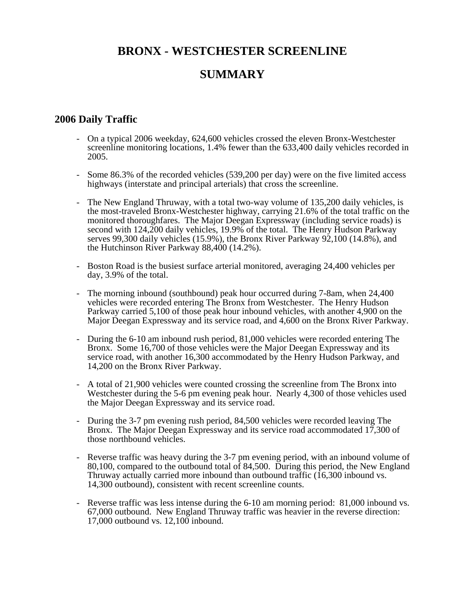### **BRONX - WESTCHESTER SCREENLINE**

### **SUMMARY**

### **2006 Daily Traffic**

- On a typical 2006 weekday, 624,600 vehicles crossed the eleven Bronx-Westchester screenline monitoring locations, 1.4% fewer than the 633,400 daily vehicles recorded in 2005.
- Some 86.3% of the recorded vehicles (539,200 per day) were on the five limited access highways (interstate and principal arterials) that cross the screenline.
- The New England Thruway, with a total two-way volume of 135,200 daily vehicles, is the most-traveled Bronx-Westchester highway, carrying 21.6% of the total traffic on the monitored thoroughfares. The Major Deegan Expressway (including service roads) is second with 124,200 daily vehicles, 19.9% of the total. The Henry Hudson Parkway serves 99,300 daily vehicles (15.9%), the Bronx River Parkway 92,100 (14.8%), and the Hutchinson River Parkway 88,400 (14.2%).
- Boston Road is the busiest surface arterial monitored, averaging 24,400 vehicles per day, 3.9% of the total.
- The morning inbound (southbound) peak hour occurred during 7-8am, when 24,400 vehicles were recorded entering The Bronx from Westchester. The Henry Hudson Parkway carried 5,100 of those peak hour inbound vehicles, with another 4,900 on the Major Deegan Expressway and its service road, and 4,600 on the Bronx River Parkway.
- During the 6-10 am inbound rush period, 81,000 vehicles were recorded entering The Bronx. Some 16,700 of those vehicles were the Major Deegan Expressway and its service road, with another 16,300 accommodated by the Henry Hudson Parkway, and 14,200 on the Bronx River Parkway.
- A total of 21,900 vehicles were counted crossing the screenline from The Bronx into Westchester during the 5-6 pm evening peak hour. Nearly 4,300 of those vehicles used the Major Deegan Expressway and its service road.
- During the 3-7 pm evening rush period, 84,500 vehicles were recorded leaving The Bronx. The Major Deegan Expressway and its service road accommodated 17,300 of those northbound vehicles.
- Reverse traffic was heavy during the 3-7 pm evening period, with an inbound volume of 80,100, compared to the outbound total of 84,500. During this period, the New England Thruway actually carried more inbound than outbound traffic  $(16,300)$  inbound vs. 14,300 outbound), consistent with recent screenline counts.
- Reverse traffic was less intense during the 6-10 am morning period: 81,000 inbound vs. 67,000 outbound. New England Thruway traffic was heavier in the reverse direction: 17,000 outbound vs. 12,100 inbound.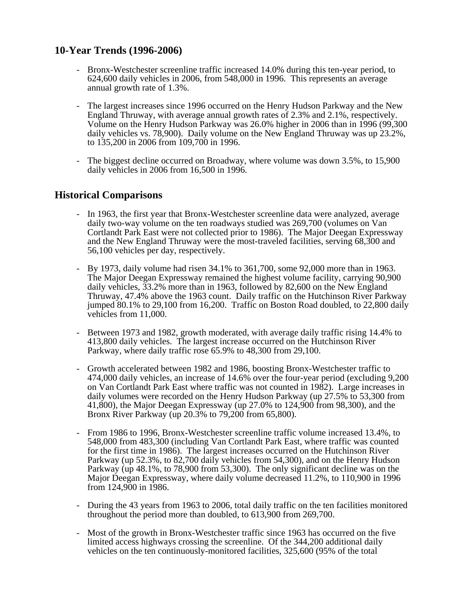### **10-Year Trends (1996-2006)**

- Bronx-Westchester screenline traffic increased 14.0% during this ten-year period, to 624,600 daily vehicles in 2006, from 548,000 in 1996. This represents an average annual growth rate of 1.3%.
- The largest increases since 1996 occurred on the Henry Hudson Parkway and the New England Thruway, with average annual growth rates of 2.3% and 2.1%, respectively. Volume on the Henry Hudson Parkway was 26.0% higher in 2006 than in 1996 (99,300 daily vehicles vs. 78,900). Daily volume on the New England Thruway was up 23.2%, to 135,200 in 2006 from 109,700 in 1996.
- The biggest decline occurred on Broadway, where volume was down 3.5%, to 15,900 daily vehicles in 2006 from 16,500 in 1996.

### **Historical Comparisons**

- In 1963, the first year that Bronx-Westchester screenline data were analyzed, average daily two-way volume on the ten roadways studied was 269,700 (volumes on Van Cortlandt Park East were not collected prior to 1986). The Major Deegan Expressway and the New England Thruway were the most-traveled facilities, serving 68,300 and 56,100 vehicles per day, respectively.
- By 1973, daily volume had risen 34.1% to 361,700, some 92,000 more than in 1963. The Major Deegan Expressway remained the highest volume facility, carrying 90,900 daily vehicles, 33.2% more than in 1963, followed by 82,600 on the New England Thruway, 47.4% above the 1963 count. Daily traffic on the Hutchinson River Parkway jumped 80.1% to 29,100 from 16,200. Traffic on Boston Road doubled, to 22,800 daily vehicles from 11,000.
- Between 1973 and 1982, growth moderated, with average daily traffic rising 14.4% to 413,800 daily vehicles. The largest increase occurred on the Hutchinson River Parkway, where daily traffic rose 65.9% to 48,300 from 29,100.
- Growth accelerated between 1982 and 1986, boosting Bronx-Westchester traffic to 474,000 daily vehicles, an increase of 14.6% over the four-year period (excluding 9,200 on Van Cortlandt Park East where traffic was not counted in 1982). Large increases in daily volumes were recorded on the Henry Hudson Parkway (up 27.5% to 53,300 from 41,800), the Major Deegan Expressway (up 27.0% to 124,900 from 98,300), and the Bronx River Parkway (up 20.3% to 79,200 from 65,800).
- From 1986 to 1996, Bronx-Westchester screenline traffic volume increased 13.4%, to 548,000 from 483,300 (including Van Cortlandt Park East, where traffic was counted for the first time in 1986). The largest increases occurred on the Hutchinson River Parkway (up 52.3%, to 82,700 daily vehicles from 54,300), and on the Henry Hudson Parkway (up 48.1%, to 78,900 from 53,300). The only significant decline was on the Major Deegan Expressway, where daily volume decreased 11.2%, to 110,900 in 1996 from 124,900 in 1986.
- During the 43 years from 1963 to 2006, total daily traffic on the ten facilities monitored throughout the period more than doubled, to 613,900 from 269,700.
- Most of the growth in Bronx-Westchester traffic since 1963 has occurred on the five limited access highways crossing the screenline. Of the 344,200 additional daily vehicles on the ten continuously-monitored facilities, 325,600 (95% of the total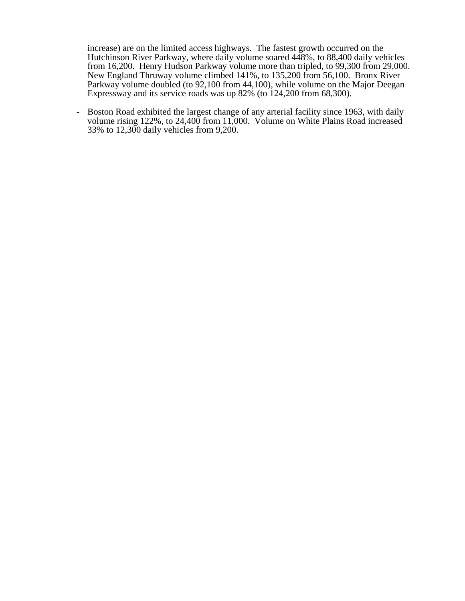increase) are on the limited access highways. The fastest growth occurred on the Hutchinson River Parkway, where daily volume soared 448%, to 88,400 daily vehicles from 16,200. Henry Hudson Parkway volume more than tripled, to 99,300 from 29,000. New England Thruway volume climbed 141%, to 135,200 from 56,100. Bronx River Parkway volume doubled (to 92,100 from 44,100), while volume on the Major Deegan Expressway and its service roads was up 82% (to 124,200 from 68,300).

- Boston Road exhibited the largest change of any arterial facility since 1963, with daily volume rising 122%, to 24,400 from 11,000. Volume on White Plains Road increased 33% to 12,300 daily vehicles from 9,200.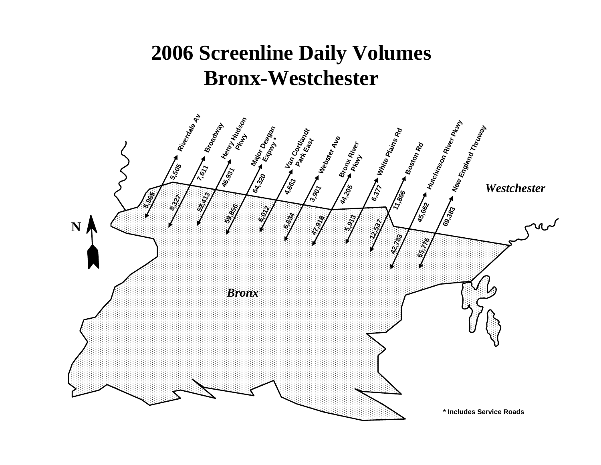# **2006 Screenline Daily Volumes Bronx-Westchester**

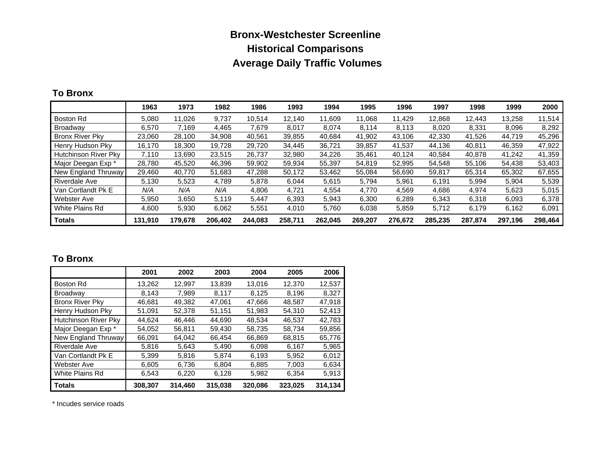### **Bronx-Westchester Screenline Historical Comparisons Average Daily Traffic Volumes**

#### **To Bronx**

|                        | 1963    | 1973    | 1982    | 1986    | 1993    | 1994    | 1995    | 1996    | 1997    | 1998    | 1999    | 2000    |
|------------------------|---------|---------|---------|---------|---------|---------|---------|---------|---------|---------|---------|---------|
| Boston Rd              | 5,080   | 11,026  | 9,737   | 10,514  | 12.140  | 11,609  | 11,068  | 11,429  | 12,868  | 12,443  | 13,258  | 11,514  |
| Broadway               | 6.570   | 7.169   | 4.465   | 7.679   | 8,017   | 8.074   | 8,114   | 8,113   | 8,020   | 8.331   | 8,096   | 8,292   |
| <b>Bronx River Pky</b> | 23,060  | 28,100  | 34,908  | 40,561  | 39,855  | 40,684  | 41,902  | 43,106  | 42,330  | 41,526  | 44,719  | 45,296  |
| Henry Hudson Pky       | 16,170  | 18,300  | 19,728  | 29,720  | 34,445  | 36,721  | 39.857  | 41,537  | 44,136  | 40.811  | 46,359  | 47,922  |
| Hutchinson River Pky   | 7.110   | 13.690  | 23,515  | 26.737  | 32.980  | 34.226  | 35.461  | 40.124  | 40.584  | 40.878  | 41.242  | 41,359  |
| Major Deegan Exp *     | 28,780  | 45.520  | 46,396  | 59,902  | 59,934  | 55,397  | 54.819  | 52,995  | 54,548  | 55.106  | 54,438  | 53,403  |
| New England Thruway    | 29,460  | 40,770  | 51,683  | 47,288  | 50,172  | 53,462  | 55.084  | 56,690  | 59,817  | 65,314  | 65,302  | 67,655  |
| <b>Riverdale Ave</b>   | 5.130   | 5,523   | 4,789   | 5,878   | 6.044   | 5,615   | 5.794   | 5,961   | 6,191   | 5.994   | 5,904   | 5,539   |
| Van Cortlandt Pk E     | N/A     | N/A     | N/A     | 4.806   | 4.721   | 4,554   | 4,770   | 4.569   | 4,686   | 4,974   | 5,623   | 5,015   |
| <b>Webster Ave</b>     | 5,950   | 3,650   | 5,119   | 5,447   | 6,393   | 5,943   | 6,300   | 6,289   | 6,343   | 6,318   | 6,093   | 6,378   |
| White Plains Rd        | 4.600   | 5,930   | 6,062   | 5,551   | 4,010   | 5,760   | 6,038   | 5,859   | 5,712   | 6,179   | 6,162   | 6,091   |
| <b>Totals</b>          | 131,910 | 179,678 | 206.402 | 244.083 | 258,711 | 262.045 | 269,207 | 276.672 | 285.235 | 287,874 | 297,196 | 298,464 |

### **To Bronx**

|                             | 2001    | 2002    | 2003    | 2004    | 2005    | 2006    |
|-----------------------------|---------|---------|---------|---------|---------|---------|
| <b>Boston Rd</b>            | 13,262  | 12,997  | 13,839  | 13,016  | 12,370  | 12,537  |
| Broadway                    | 8.143   | 7.989   | 8.117   | 8.125   | 8.196   | 8,327   |
| <b>Bronx River Pky</b>      | 46,681  | 49,382  | 47,061  | 47,666  | 48,587  | 47,918  |
| Henry Hudson Pky            | 51,091  | 52,378  | 51,151  | 51,983  | 54,310  | 52,413  |
| <b>Hutchinson River Pky</b> | 44.624  | 46.446  | 44.690  | 48,534  | 46,537  | 42,783  |
| Major Deegan Exp *          | 54.052  | 56,811  | 59.430  | 58.735  | 58.734  | 59,856  |
| New England Thruway         | 66,091  | 64,042  | 66,454  | 66,869  | 68,815  | 65,776  |
| Riverdale Ave               | 5,816   | 5,643   | 5,490   | 6,098   | 6.167   | 5,965   |
| Van Cortlandt Pk E          | 5,399   | 5.816   | 5.874   | 6.193   | 5,952   | 6,012   |
| Webster Ave                 | 6,605   | 6,736   | 6,804   | 6,885   | 7,003   | 6,634   |
| White Plains Rd             | 6.543   | 6,220   | 6,128   | 5,982   | 6.354   | 5,913   |
| <b>Totals</b>               | 308,307 | 314,460 | 315,038 | 320,086 | 323,025 | 314,134 |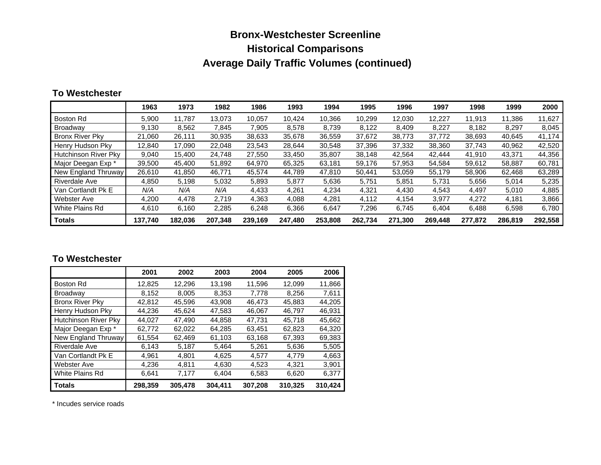# **Bronx-Westchester Screenline Historical Comparisons Average Daily Traffic Volumes (continued)**

#### **To Westchester**

|                        | 1963    | 1973    | 1982    | 1986    | 1993    | 1994    | 1995    | 1996    | 1997    | 1998    | 1999    | 2000    |
|------------------------|---------|---------|---------|---------|---------|---------|---------|---------|---------|---------|---------|---------|
| Boston Rd              | 5,900   | 11.787  | 13.073  | 10.057  | 10.424  | 10.366  | 10.299  | 12.030  | 12,227  | 11.913  | 11.386  | 11,627  |
| Broadway               | 9.130   | 8.562   | 7,845   | 7.905   | 8,578   | 8.739   | 8.122   | 8.409   | 8,227   | 8.182   | 8,297   | 8,045   |
| <b>Bronx River Pky</b> | 21,060  | 26,111  | 30,935  | 38,633  | 35,678  | 36,559  | 37,672  | 38.773  | 37,772  | 38,693  | 40,645  | 41.174  |
| Henry Hudson Pky       | 12,840  | 17,090  | 22,048  | 23,543  | 28,644  | 30,548  | 37.396  | 37,332  | 38,360  | 37,743  | 40,962  | 42,520  |
| Hutchinson River Pky   | 9,040   | 15.400  | 24.748  | 27.550  | 33.450  | 35,807  | 38.148  | 42,564  | 42.444  | 41.910  | 43,371  | 44,356  |
| Major Deegan Exp *     | 39,500  | 45.400  | 51,892  | 64,970  | 65,325  | 63,181  | 59,176  | 57,953  | 54,584  | 59,612  | 58,887  | 60,781  |
| New England Thruway    | 26,610  | 41,850  | 46,771  | 45,574  | 44.789  | 47,810  | 50.441  | 53,059  | 55,179  | 58,906  | 62,468  | 63,289  |
| <b>Riverdale Ave</b>   | 4,850   | 5,198   | 5,032   | 5,893   | 5,877   | 5,636   | 5.751   | 5,851   | 5,731   | 5,656   | 5,014   | 5,235   |
| Van Cortlandt Pk E     | N/A     | N/A     | N/A     | 4,433   | 4,261   | 4,234   | 4,321   | 4,430   | 4,543   | 4,497   | 5,010   | 4,885   |
| <b>Webster Ave</b>     | 4,200   | 4.478   | 2.719   | 4.363   | 4,088   | 4,281   | 4.112   | 4.154   | 3,977   | 4.272   | 4,181   | 3,866   |
| White Plains Rd        | 4.610   | 6.160   | 2,285   | 6,248   | 6,366   | 6.647   | 7,296   | 6,745   | 6,404   | 6.488   | 6,598   | 6.780   |
| <b>Totals</b>          | 137,740 | 182.036 | 207.348 | 239.169 | 247,480 | 253,808 | 262,734 | 271,300 | 269.448 | 277,872 | 286.819 | 292,558 |

#### **To Westchester**

|                        | 2001    | 2002    | 2003    | 2004    | 2005    | 2006    |
|------------------------|---------|---------|---------|---------|---------|---------|
| Boston Rd              | 12.825  | 12.296  | 13.198  | 11,596  | 12,099  | 11,866  |
| <b>Broadway</b>        | 8,152   | 8.005   | 8,353   | 7,778   | 8,256   | 7,611   |
| <b>Bronx River Pky</b> | 42.812  | 45,596  | 43.908  | 46,473  | 45.883  | 44,205  |
| Henry Hudson Pky       | 44.236  | 45.624  | 47,583  | 46,067  | 46,797  | 46,931  |
| Hutchinson River Pky   | 44.027  | 47,490  | 44,858  | 47,731  | 45,718  | 45,662  |
| Major Deegan Exp *     | 62.772  | 62.022  | 64.285  | 63.451  | 62.823  | 64.320  |
| New England Thruway    | 61,554  | 62,469  | 61,103  | 63,168  | 67,393  | 69,383  |
| Riverdale Ave          | 6.143   | 5,187   | 5.464   | 5,261   | 5,636   | 5,505   |
| Van Cortlandt Pk E     | 4.961   | 4.801   | 4.625   | 4.577   | 4.779   | 4,663   |
| Webster Ave            | 4,236   | 4.811   | 4,630   | 4.523   | 4,321   | 3,901   |
| White Plains Rd        | 6.641   | 7.177   | 6.404   | 6,583   | 6,620   | 6.377   |
| <b>Totals</b>          | 298,359 | 305.478 | 304,411 | 307,208 | 310.325 | 310.424 |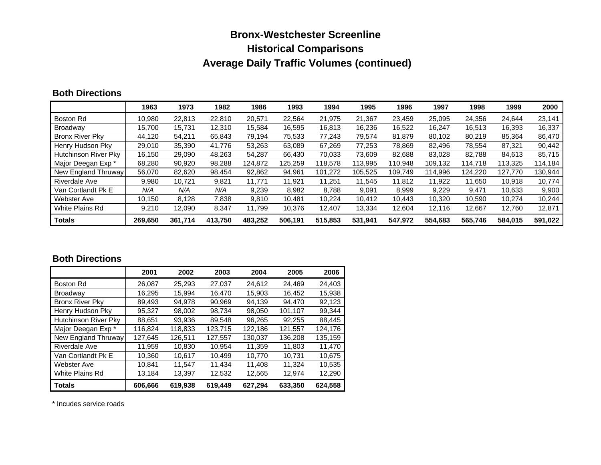# **Bronx-Westchester Screenline Historical Comparisons Average Daily Traffic Volumes (continued)**

#### **Both Directions**

|                        | 1963    | 1973    | 1982    | 1986    | 1993    | 1994    | 1995    | 1996    | 1997    | 1998    | 1999    | 2000    |
|------------------------|---------|---------|---------|---------|---------|---------|---------|---------|---------|---------|---------|---------|
| Boston Rd              | 10,980  | 22.813  | 22,810  | 20.571  | 22.564  | 21,975  | 21.367  | 23,459  | 25,095  | 24,356  | 24,644  | 23,141  |
| Broadway               | 15.700  | 15.731  | 12.310  | 15.584  | 16.595  | 16,813  | 16.236  | 16,522  | 16.247  | 16.513  | 16,393  | 16,337  |
| <b>Bronx River Pky</b> | 44,120  | 54,211  | 65,843  | 79.194  | 75,533  | 77,243  | 79,574  | 81,879  | 80,102  | 80,219  | 85,364  | 86,470  |
| Henry Hudson Pky       | 29,010  | 35,390  | 41,776  | 53,263  | 63,089  | 67,269  | 77,253  | 78,869  | 82,496  | 78,554  | 87,321  | 90,442  |
| Hutchinson River Pky   | 16.150  | 29.090  | 48.263  | 54.287  | 66,430  | 70.033  | 73.609  | 82.688  | 83.028  | 82.788  | 84.613  | 85,715  |
| Major Deegan Exp *     | 68,280  | 90,920  | 98,288  | 124.872 | 125.259 | 118,578 | 113.995 | 110,948 | 109,132 | 114.718 | 113,325 | 114,184 |
| New England Thruway    | 56,070  | 82,620  | 98,454  | 92,862  | 94,961  | 101,272 | 105,525 | 109.749 | 114,996 | 124,220 | 127.770 | 130,944 |
| <b>Riverdale Ave</b>   | 9.980   | 10,721  | 9,821   | 11.771  | 11.921  | 11.251  | 11.545  | 11.812  | 11.922  | 11.650  | 10.918  | 10.774  |
| Van Cortlandt Pk E     | N/A     | N/A     | N/A     | 9,239   | 8,982   | 8,788   | 9,091   | 8,999   | 9,229   | 9,471   | 10,633  | 9,900   |
| <b>Webster Ave</b>     | 10,150  | 8,128   | 7,838   | 9,810   | 10,481  | 10,224  | 10,412  | 10,443  | 10,320  | 10,590  | 10,274  | 10,244  |
| White Plains Rd        | 9,210   | 12,090  | 8,347   | 11.799  | 10,376  | 12,407  | 13,334  | 12,604  | 12,116  | 12,667  | 12,760  | 12,871  |
| <b>Totals</b>          | 269.650 | 361.714 | 413.750 | 483.252 | 506.191 | 515.853 | 531,941 | 547.972 | 554.683 | 565.746 | 584.015 | 591,022 |

### **Both Directions**

|                        | 2001    | 2002    | 2003    | 2004    | 2005    | 2006    |
|------------------------|---------|---------|---------|---------|---------|---------|
| <b>Boston Rd</b>       | 26.087  | 25.293  | 27,037  | 24.612  | 24.469  | 24,403  |
| <b>Broadway</b>        | 16,295  | 15.994  | 16.470  | 15,903  | 16,452  | 15,938  |
| <b>Bronx River Pky</b> | 89,493  | 94.978  | 90.969  | 94,139  | 94.470  | 92,123  |
| Henry Hudson Pky       | 95,327  | 98.002  | 98,734  | 98,050  | 101,107 | 99,344  |
| Hutchinson River Pky   | 88,651  | 93,936  | 89,548  | 96,265  | 92.255  | 88,445  |
| Major Deegan Exp *     | 116,824 | 118.833 | 123.715 | 122.186 | 121.557 | 124.176 |
| New England Thruway    | 127,645 | 126.511 | 127,557 | 130.037 | 136.208 | 135,159 |
| Riverdale Ave          | 11,959  | 10.830  | 10.954  | 11,359  | 11,803  | 11,470  |
| Van Cortlandt Pk E     | 10.360  | 10.617  | 10.499  | 10.770  | 10.731  | 10,675  |
| Webster Ave            | 10,841  | 11.547  | 11.434  | 11,408  | 11,324  | 10,535  |
| White Plains Rd        | 13,184  | 13.397  | 12,532  | 12,565  | 12.974  | 12,290  |
| <b>Totals</b>          | 606,666 | 619,938 | 619,449 | 627,294 | 633.350 | 624,558 |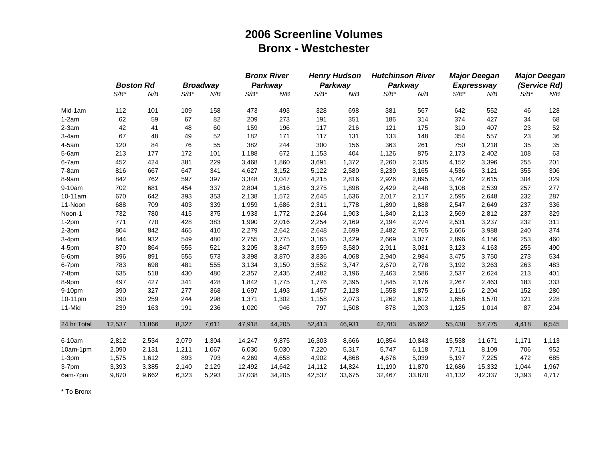### **2006 Screenline Volumes Bronx - Westchester**

|             |         |                  |         |                 |         | <b>Bronx River</b> |         | <b>Henry Hudson</b> |         | <b>Hutchinson River</b> |         | <b>Major Deegan</b> |         | <b>Major Deegan</b> |
|-------------|---------|------------------|---------|-----------------|---------|--------------------|---------|---------------------|---------|-------------------------|---------|---------------------|---------|---------------------|
|             |         | <b>Boston Rd</b> |         | <b>Broadway</b> |         | Parkway            |         | Parkway             |         | Parkway                 |         | <b>Expressway</b>   |         | (Service Rd)        |
|             | $S/B^*$ | N/B              | $S/B^*$ | N/B             | $S/B^*$ | N/B                | $S/B^*$ | N/B                 | $S/B^*$ | N/B                     | $S/B^*$ | N/B                 | $S/B^*$ | N/B                 |
| Mid-1am     | 112     | 101              | 109     | 158             | 473     | 493                | 328     | 698                 | 381     | 567                     | 642     | 552                 | 46      | 128                 |
| $1-2am$     | 62      | 59               | 67      | 82              | 209     | 273                | 191     | 351                 | 186     | 314                     | 374     | 427                 | 34      | 68                  |
| $2-3am$     | 42      | 41               | 48      | 60              | 159     | 196                | 117     | 216                 | 121     | 175                     | 310     | 407                 | 23      | 52                  |
| $3-4am$     | 67      | 48               | 49      | 52              | 182     | 171                | 117     | 131                 | 133     | 148                     | 354     | 557                 | 23      | 36                  |
| $4-5am$     | 120     | 84               | 76      | 55              | 382     | 244                | 300     | 156                 | 363     | 261                     | 750     | 1,218               | 35      | 35                  |
| $5-6am$     | 213     | 177              | 172     | 101             | 1,188   | 672                | 1,153   | 404                 | 1,126   | 875                     | 2,173   | 2,402               | 108     | 63                  |
| $6-7am$     | 452     | 424              | 381     | 229             | 3,468   | 1,860              | 3,691   | 1,372               | 2,260   | 2,335                   | 4,152   | 3,396               | 255     | 201                 |
| $7-8am$     | 816     | 667              | 647     | 341             | 4,627   | 3,152              | 5,122   | 2,580               | 3,239   | 3,165                   | 4,536   | 3,121               | 355     | 306                 |
| 8-9am       | 842     | 762              | 597     | 397             | 3,348   | 3,047              | 4,215   | 2,816               | 2,926   | 2,895                   | 3,742   | 2,615               | 304     | 329                 |
| 9-10am      | 702     | 681              | 454     | 337             | 2,804   | 1,816              | 3,275   | 1,898               | 2,429   | 2,448                   | 3,108   | 2,539               | 257     | 277                 |
| 10-11am     | 670     | 642              | 393     | 353             | 2,138   | 1,572              | 2,645   | 1,636               | 2,017   | 2,117                   | 2,595   | 2,648               | 232     | 287                 |
| 11-Noon     | 688     | 709              | 403     | 339             | 1,959   | 1,686              | 2,311   | 1,778               | 1,890   | 1,888                   | 2,547   | 2,649               | 237     | 336                 |
| Noon-1      | 732     | 780              | 415     | 375             | 1,933   | 1,772              | 2,264   | 1,903               | 1,840   | 2,113                   | 2,569   | 2,812               | 237     | 329                 |
| $1-2pm$     | 771     | 770              | 428     | 383             | 1,990   | 2,016              | 2,254   | 2,169               | 2,194   | 2,274                   | 2,531   | 3,237               | 232     | 311                 |
| $2-3pm$     | 804     | 842              | 465     | 410             | 2,279   | 2,642              | 2,648   | 2,699               | 2,482   | 2,765                   | 2,666   | 3,988               | 240     | 374                 |
| $3-4pm$     | 844     | 932              | 549     | 480             | 2,755   | 3,775              | 3,165   | 3,429               | 2,669   | 3,077                   | 2,896   | 4,156               | 253     | 460                 |
| 4-5pm       | 870     | 864              | 555     | 521             | 3,205   | 3,847              | 3,559   | 3,580               | 2,911   | 3,031                   | 3,123   | 4,163               | 255     | 490                 |
| 5-6pm       | 896     | 891              | 555     | 573             | 3,398   | 3,870              | 3,836   | 4,068               | 2,940   | 2,984                   | 3,475   | 3,750               | 273     | 534                 |
| 6-7pm       | 783     | 698              | 481     | 555             | 3,134   | 3,150              | 3,552   | 3,747               | 2,670   | 2,778                   | 3,192   | 3,263               | 263     | 483                 |
| 7-8pm       | 635     | 518              | 430     | 480             | 2,357   | 2,435              | 2,482   | 3,196               | 2,463   | 2,586                   | 2,537   | 2,624               | 213     | 401                 |
| 8-9pm       | 497     | 427              | 341     | 428             | 1,842   | 1,775              | 1,776   | 2,395               | 1,845   | 2,176                   | 2,267   | 2,463               | 183     | 333                 |
| 9-10pm      | 390     | 327              | 277     | 368             | 1,697   | 1,493              | 1,457   | 2,128               | 1,558   | 1,875                   | 2,116   | 2,204               | 152     | 280                 |
| 10-11pm     | 290     | 259              | 244     | 298             | 1,371   | 1,302              | 1,158   | 2,073               | 1,262   | 1,612                   | 1,658   | 1,570               | 121     | 228                 |
| 11-Mid      | 239     | 163              | 191     | 236             | 1,020   | 946                | 797     | 1,508               | 878     | 1,203                   | 1,125   | 1,014               | 87      | 204                 |
| 24 hr Total | 12,537  | 11,866           | 8,327   | 7,611           | 47,918  | 44,205             | 52,413  | 46,931              | 42,783  | 45,662                  | 55,438  | 57,775              | 4,418   | 6,545               |
| 6-10am      | 2,812   | 2,534            | 2,079   | 1,304           | 14,247  | 9,875              | 16,303  | 8,666               | 10,854  | 10,843                  | 15,538  | 11,671              | 1,171   | 1,113               |
| 10am-1pm    | 2,090   | 2,131            | 1,211   | 1,067           | 6,030   | 5,030              | 7,220   | 5,317               | 5,747   | 6,118                   | 7,711   | 8,109               | 706     | 952                 |
| $1-3pm$     | 1,575   | 1,612            | 893     | 793             | 4,269   | 4,658              | 4,902   | 4,868               | 4,676   | 5,039                   | 5,197   | 7,225               | 472     | 685                 |
|             | 3,393   | 3,385            | 2,140   | 2,129           | 12,492  | 14,642             | 14,112  | 14,824              | 11,190  | 11,870                  | 12,686  | 15,332              | 1,044   | 1,967               |
| 3-7pm       | 9,870   | 9,662            | 6,323   | 5,293           | 37,038  | 34,205             | 42,537  | 33,675              | 32,467  | 33,870                  | 41,132  | 42,337              |         | 4,717               |
| 6am-7pm     |         |                  |         |                 |         |                    |         |                     |         |                         |         |                     | 3,393   |                     |

\* To Bronx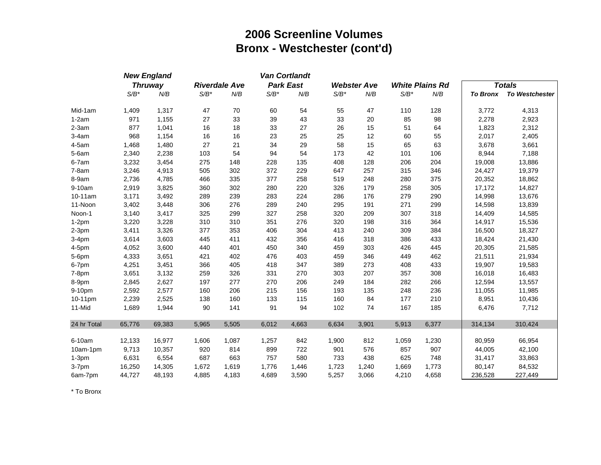### **2006 Screenline Volumes Bronx - Westchester (cont'd)**

|             |         | <b>New England</b> |         |                      |         | <b>Van Cortlandt</b> |         |                    |         |                        |                 |                       |
|-------------|---------|--------------------|---------|----------------------|---------|----------------------|---------|--------------------|---------|------------------------|-----------------|-----------------------|
|             |         | <b>Thruway</b>     |         | <b>Riverdale Ave</b> |         | <b>Park East</b>     |         | <b>Webster Ave</b> |         | <b>White Plains Rd</b> |                 | <b>Totals</b>         |
|             | $S/B^*$ | N/B                | $S/B^*$ | N/B                  | $S/B^*$ | N/B                  | $S/B^*$ | N/B                | $S/B^*$ | N/B                    | <b>To Bronx</b> | <b>To Westchester</b> |
| Mid-1am     | 1,409   | 1,317              | 47      | 70                   | 60      | 54                   | 55      | 47                 | 110     | 128                    | 3,772           | 4,313                 |
| $1-2am$     | 971     | 1,155              | 27      | 33                   | 39      | 43                   | 33      | 20                 | 85      | 98                     | 2,278           | 2,923                 |
| $2-3am$     | 877     | 1,041              | 16      | 18                   | 33      | 27                   | 26      | 15                 | 51      | 64                     | 1,823           | 2,312                 |
| $3-4am$     | 968     | 1,154              | 16      | 16                   | 23      | 25                   | 25      | 12                 | 60      | 55                     | 2,017           | 2,405                 |
| $4-5am$     | 1,468   | 1,480              | 27      | 21                   | 34      | 29                   | 58      | 15                 | 65      | 63                     | 3,678           | 3,661                 |
| $5-6am$     | 2,340   | 2,238              | 103     | 54                   | 94      | 54                   | 173     | 42                 | 101     | 106                    | 8,944           | 7,188                 |
| 6-7am       | 3,232   | 3,454              | 275     | 148                  | 228     | 135                  | 408     | 128                | 206     | 204                    | 19,008          | 13,886                |
| $7-8am$     | 3,246   | 4,913              | 505     | 302                  | 372     | 229                  | 647     | 257                | 315     | 346                    | 24,427          | 19,379                |
| 8-9am       | 2,736   | 4,785              | 466     | 335                  | 377     | 258                  | 519     | 248                | 280     | 375                    | 20,352          | 18,862                |
| 9-10am      | 2,919   | 3,825              | 360     | 302                  | 280     | 220                  | 326     | 179                | 258     | 305                    | 17,172          | 14,827                |
| 10-11am     | 3,171   | 3,492              | 289     | 239                  | 283     | 224                  | 286     | 176                | 279     | 290                    | 14,998          | 13,676                |
| 11-Noon     | 3,402   | 3,448              | 306     | 276                  | 289     | 240                  | 295     | 191                | 271     | 299                    | 14,598          | 13,839                |
| Noon-1      | 3,140   | 3,417              | 325     | 299                  | 327     | 258                  | 320     | 209                | 307     | 318                    | 14,409          | 14,585                |
| $1-2pm$     | 3,220   | 3,228              | 310     | 310                  | 351     | 276                  | 320     | 198                | 316     | 364                    | 14,917          | 15,536                |
| $2-3pm$     | 3,411   | 3,326              | 377     | 353                  | 406     | 304                  | 413     | 240                | 309     | 384                    | 16,500          | 18,327                |
| $3-4pm$     | 3,614   | 3,603              | 445     | 411                  | 432     | 356                  | 416     | 318                | 386     | 433                    | 18,424          | 21,430                |
| 4-5pm       | 4,052   | 3,600              | 440     | 401                  | 450     | 340                  | 459     | 303                | 426     | 445                    | 20,305          | 21,585                |
| 5-6pm       | 4,333   | 3,651              | 421     | 402                  | 476     | 403                  | 459     | 346                | 449     | 462                    | 21,511          | 21,934                |
| 6-7pm       | 4,251   | 3,451              | 366     | 405                  | 418     | 347                  | 389     | 273                | 408     | 433                    | 19,907          | 19,583                |
| $7-8pm$     | 3,651   | 3,132              | 259     | 326                  | 331     | 270                  | 303     | 207                | 357     | 308                    | 16,018          | 16,483                |
| 8-9pm       | 2,845   | 2,627              | 197     | 277                  | 270     | 206                  | 249     | 184                | 282     | 266                    | 12,594          | 13,557                |
| 9-10pm      | 2,592   | 2,577              | 160     | 206                  | 215     | 156                  | 193     | 135                | 248     | 236                    | 11,055          | 11,985                |
| 10-11pm     | 2,239   | 2,525              | 138     | 160                  | 133     | 115                  | 160     | 84                 | 177     | 210                    | 8,951           | 10,436                |
| 11-Mid      | 1,689   | 1,944              | 90      | 141                  | 91      | 94                   | 102     | 74                 | 167     | 185                    | 6,476           | 7,712                 |
| 24 hr Total | 65,776  | 69,383             | 5,965   | 5,505                | 6,012   | 4,663                | 6,634   | 3,901              | 5,913   | 6,377                  | 314,134         | 310,424               |
| 6-10am      | 12,133  | 16,977             | 1,606   | 1,087                | 1,257   | 842                  | 1,900   | 812                | 1,059   | 1,230                  | 80,959          | 66,954                |
| 10am-1pm    | 9,713   | 10,357             | 920     | 814                  | 899     | 722                  | 901     | 576                | 857     | 907                    | 44,005          | 42,100                |
| $1-3pm$     | 6,631   | 6,554              | 687     | 663                  | 757     | 580                  | 733     | 438                | 625     | 748                    | 31,417          | 33,863                |
| 3-7pm       | 16,250  | 14,305             | 1,672   | 1,619                | 1,776   | 1,446                | 1,723   | 1,240              | 1,669   | 1,773                  | 80,147          | 84,532                |
| 6am-7pm     | 44,727  | 48,193             | 4,885   | 4,183                | 4,689   | 3,590                | 5,257   | 3,066              | 4,210   | 4,658                  | 236,528         | 227,449               |

\* To Bronx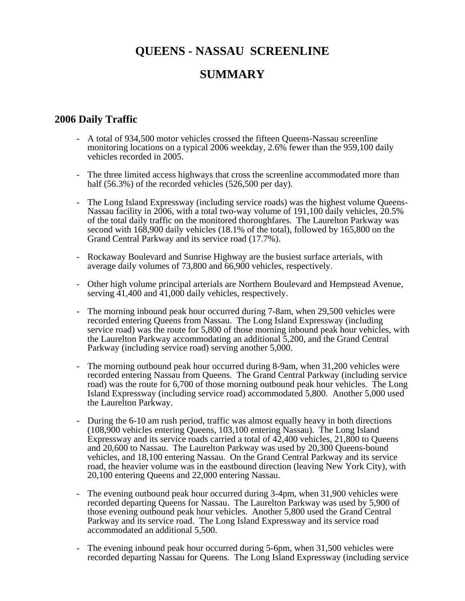# **QUEENS - NASSAU SCREENLINE SUMMARY**

### **2006 Daily Traffic**

- A total of 934,500 motor vehicles crossed the fifteen Queens-Nassau screenline monitoring locations on a typical 2006 weekday, 2.6% fewer than the 959,100 daily vehicles recorded in 2005.
- The three limited access highways that cross the screenline accommodated more than half (56.3%) of the recorded vehicles (526,500 per day).
- The Long Island Expressway (including service roads) was the highest volume Queens-Nassau facility in 2006, with a total two-way volume of 191,100 daily vehicles, 20.5% of the total daily traffic on the monitored thoroughfares. The Laurelton Parkway was second with 168,900 daily vehicles (18.1% of the total), followed by 165,800 on the Grand Central Parkway and its service road (17.7%).
- Rockaway Boulevard and Sunrise Highway are the busiest surface arterials, with average daily volumes of 73,800 and 66,900 vehicles, respectively.
- Other high volume principal arterials are Northern Boulevard and Hempstead Avenue, serving 41,400 and 41,000 daily vehicles, respectively.
- The morning inbound peak hour occurred during 7-8am, when 29,500 vehicles were recorded entering Queens from Nassau. The Long Island Expressway (including service road) was the route for 5,800 of those morning inbound peak hour vehicles, with the Laurelton Parkway accommodating an additional 5,200, and the Grand Central Parkway (including service road) serving another 5,000.
- The morning outbound peak hour occurred during 8-9am, when 31,200 vehicles were recorded entering Nassau from Queens. The Grand Central Parkway (including service road) was the route for 6,700 of those morning outbound peak hour vehicles. The Long Island Expressway (including service road) accommodated 5,800. Another 5,000 used the Laurelton Parkway.
- During the 6-10 am rush period, traffic was almost equally heavy in both directions (108,900 vehicles entering Queens, 103,100 entering Nassau). The Long Island Expressway and its service roads carried a total of 42,400 vehicles, 21,800 to Queens and 20,600 to Nassau. The Laurelton Parkway was used by 20,300 Queens-bound vehicles, and 18,100 entering Nassau. On the Grand Central Parkway and its service road, the heavier volume was in the eastbound direction (leaving New York City), with 20,100 entering Queens and 22,000 entering Nassau.
- The evening outbound peak hour occurred during 3-4pm, when 31,900 vehicles were recorded departing Queens for Nassau. The Laurelton Parkway was used by 5,900 of those evening outbound peak hour vehicles. Another 5,800 used the Grand Central Parkway and its service road. The Long Island Expressway and its service road accommodated an additional 5,500.
- The evening inbound peak hour occurred during 5-6pm, when 31,500 vehicles were recorded departing Nassau for Queens. The Long Island Expressway (including service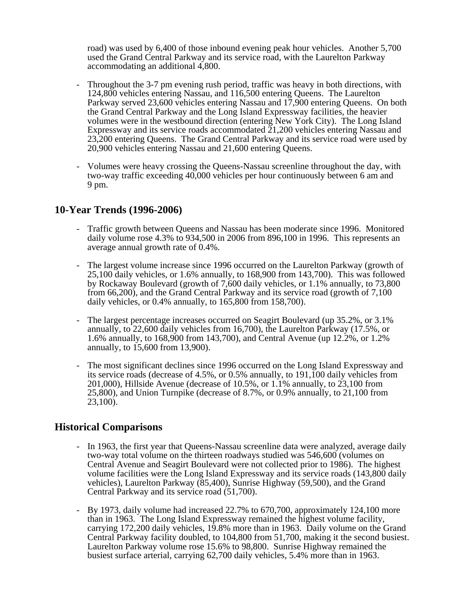road) was used by 6,400 of those inbound evening peak hour vehicles. Another 5,700 used the Grand Central Parkway and its service road, with the Laurelton Parkway accommodating an additional 4,800.

- Throughout the 3-7 pm evening rush period, traffic was heavy in both directions, with 124,800 vehicles entering Nassau, and 116,500 entering Queens. The Laurelton Parkway served 23,600 vehicles entering Nassau and 17,900 entering Queens. On both the Grand Central Parkway and the Long Island Expressway facilities, the heavier volumes were in the westbound direction (entering New York City). The Long Island Expressway and its service roads accommodated 21,200 vehicles entering Nassau and 23,200 entering Queens. The Grand Central Parkway and its service road were used by 20,900 vehicles entering Nassau and 21,600 entering Queens.
- Volumes were heavy crossing the Queens-Nassau screenline throughout the day, with two-way traffic exceeding 40,000 vehicles per hour continuously between 6 am and 9 pm.

### **10-Year Trends (1996-2006)**

- Traffic growth between Queens and Nassau has been moderate since 1996. Monitored daily volume rose 4.3% to 934,500 in 2006 from 896,100 in 1996. This represents an average annual growth rate of 0.4%.
- The largest volume increase since 1996 occurred on the Laurelton Parkway (growth of 25,100 daily vehicles, or 1.6% annually, to 168,900 from 143,700). This was followed by Rockaway Boulevard (growth of 7,600 daily vehicles, or 1.1% annually, to 73,800 from 66,200), and the Grand Central Parkway and its service road (growth of 7,100 daily vehicles, or 0.4% annually, to 165,800 from 158,700).
- The largest percentage increases occurred on Seagirt Boulevard (up 35.2%, or 3.1%) annually, to 22,600 daily vehicles from 16,700), the Laurelton Parkway (17.5%, or 1.6% annually, to 168,900 from 143,700), and Central Avenue (up 12.2%, or 1.2% annually, to 15,600 from 13,900).
- The most significant declines since 1996 occurred on the Long Island Expressway and its service roads (decrease of 4.5%, or 0.5% annually, to 191,100 daily vehicles from 201,000), Hillside Avenue (decrease of 10.5%, or 1.1% annually, to 23,100 from 25,800), and Union Turnpike (decrease of 8.7%, or 0.9% annually, to 21,100 from 23,100).

### **Historical Comparisons**

- In 1963, the first year that Queens-Nassau screenline data were analyzed, average daily two-way total volume on the thirteen roadways studied was 546,600 (volumes on Central Avenue and Seagirt Boulevard were not collected prior to 1986). The highest volume facilities were the Long Island Expressway and its service roads (143,800 daily vehicles), Laurelton Parkway (85,400), Sunrise Highway (59,500), and the Grand Central Parkway and its service road (51,700).
- By 1973, daily volume had increased 22.7% to 670,700, approximately 124,100 more than in 1963. The Long Island Expressway remained the highest volume facility, carrying 172,200 daily vehicles, 19.8% more than in 1963. Daily volume on the Grand Central Parkway facility doubled, to 104,800 from 51,700, making it the second busiest. Laurelton Parkway volume rose 15.6% to 98,800. Sunrise Highway remained the busiest surface arterial, carrying 62,700 daily vehicles, 5.4% more than in 1963.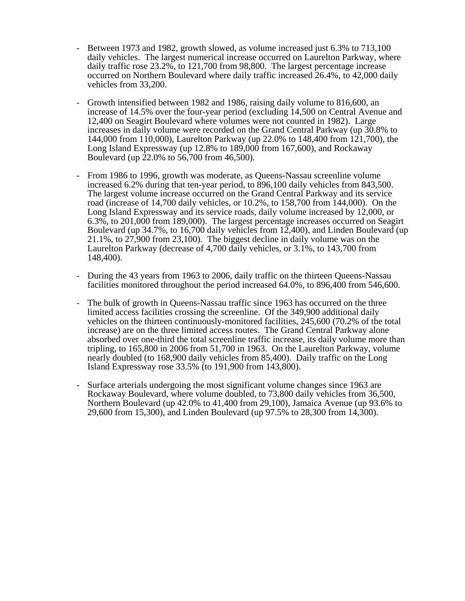- Between 1973 and 1982, growth slowed, as volume increased just 6.3% to 713,100 daily vehicles. The largest numerical increase occurred on Laurelton Parkway, where daily traffic rose 23.2%, to 121,700 from 98,800. The largest percentage increase occurred on Northern Boulevard where daily traffic increased 26.4%, to 42,000 daily vehicles from 33,200.
- Growth intensified between 1982 and 1986, raising daily volume to 816,600, an increase of 14.5% over the four-year period (excluding 14,500 on Central Avenue and 12,400 on Seagirt Boulevard where volumes were not counted in 1982). Large increases in daily volume were recorded on the Grand Central Parkway (up 30.8% to 144,000 from 110,000), Laurelton Parkway (up 22.0% to 148,400 from 121,700), the Long Island Expressway (up 12.8% to 189,000 from 167,600), and Rockaway Boulevard (up 22.0% to 56,700 from 46,500).
- From 1986 to 1996, growth was moderate, as Queens-Nassau screenline volume increased 6.2% during that ten-year period, to 896,100 daily vehicles from 843,500. The largest volume increase occurred on the Grand Central Parkway and its service road (increase of 14,700 daily vehicles, or 10.2%, to 158,700 from 144,000). On the Long Island Expressway and its service roads, daily volume increased by 12,000, or 6.3%, to 201,000 from 189,000). The largest percentage increases occurred on Seagirt Boulevard (up 34.7%, to 16,700 daily vehicles from 12,400), and Linden Boulevard (up 21.1%, to 27,900 from 23,100). The biggest decline in daily volume was on the Laurelton Parkway (decrease of 4,700 daily vehicles, or 3.1%, to 143,700 from 148,400).
- During the 43 years from 1963 to 2006, daily traffic on the thirteen Queens-Nassau facilities monitored throughout the period increased 64.0%, to 896,400 from 546,600.
- The bulk of growth in Queens-Nassau traffic since 1963 has occurred on the three limited access facilities crossing the screenline. Of the 349,900 additional daily vehicles on the thirteen continuously-monitored facilities, 245,600 (70.2% of the total increase) are on the three limited access routes. The Grand Central Parkway alone absorbed over one-third the total screenline traffic increase, its daily volume more than tripling, to 165,800 in 2006 from 51,700 in 1963. On the Laurelton Parkway, volume nearly doubled (to 168,900 daily vehicles from 85,400). Daily traffic on the Long Island Expressway rose 33.5% (to 191,900 from 143,800).
- Surface arterials undergoing the most significant volume changes since 1963 are Rockaway Boulevard, where volume doubled, to 73,800 daily vehicles from 36,500, Northern Boulevard (up 42.0% to 41,400 from 29,100), Jamaica Avenue (up 93.6% to 29,600 from 15,300), and Linden Boulevard (up 97.5% to 28,300 from 14,300).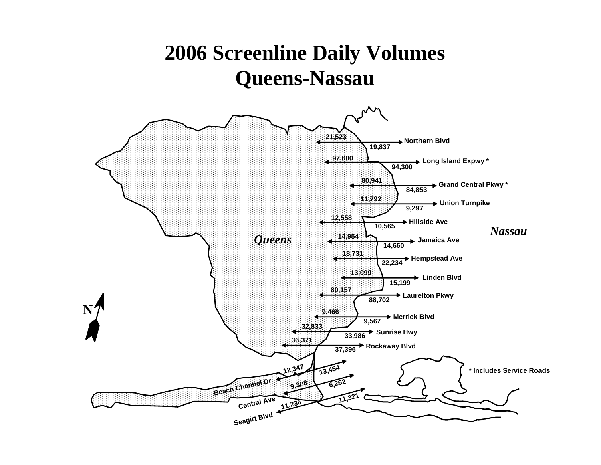# **2006 Screenline Daily Volumes Queens-Nassau**

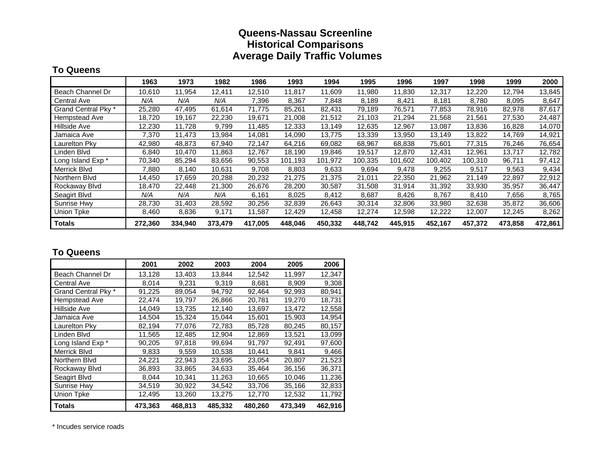### **Queens-Nassau Screenline Historical Comparisons Average Daily Traffic Volumes**

#### **To Queens**

|                     | 1963    | 1973    | 1982    | 1986    | 1993    | 1994    | 1995    | 1996    | 1997    | 1998    | 1999    | 2000    |
|---------------------|---------|---------|---------|---------|---------|---------|---------|---------|---------|---------|---------|---------|
| Beach Channel Dr    | 10,610  | 11,954  | 12,411  | 12,510  | 11,817  | 11,609  | 11,980  | 11,830  | 12,317  | 12,220  | 12,794  | 13,845  |
| <b>Central Ave</b>  | N/A     | N/A     | N/A     | 7,396   | 8,367   | 7,848   | 8,189   | 8,421   | 8,181   | 8,780   | 8,095   | 8,647   |
| Grand Central Pky * | 25,280  | 47.495  | 61,614  | 71.775  | 85,261  | 82,431  | 79,189  | 76,571  | 77,853  | 78,916  | 82,978  | 87,617  |
| Hempstead Ave       | 18,720  | 19,167  | 22,230  | 19,671  | 21,008  | 21,512  | 21,103  | 21,294  | 21,568  | 21,561  | 27,530  | 24,487  |
| Hillside Ave        | 12,230  | 11,728  | 9,799   | 11.485  | 12,333  | 13,149  | 12,635  | 12,967  | 13,087  | 13,836  | 16,828  | 14,070  |
| Jamaica Ave         | 7,370   | 11,473  | 13,984  | 14,081  | 14,090  | 13,775  | 13,339  | 13,950  | 13,149  | 13,822  | 14,769  | 14,921  |
| Laurelton Pky       | 42,980  | 48,873  | 67,940  | 72,147  | 64,216  | 69,082  | 68,967  | 68,838  | 75,601  | 77,315  | 76,246  | 76,654  |
| Linden Blvd         | 6,840   | 10,470  | 11,863  | 12,767  | 18,190  | 19,846  | 19,517  | 12,870  | 12,431  | 12,961  | 13,717  | 12,782  |
| Long Island Exp *   | 70,340  | 85,294  | 83,656  | 90,553  | 101,193 | 101,972 | 100,335 | 101,602 | 100,402 | 100,310 | 96,711  | 97,412  |
| <b>Merrick Blvd</b> | 7,880   | 8,140   | 10,631  | 9,708   | 8,803   | 9,633   | 9,694   | 9,478   | 9,255   | 9,517   | 9,563   | 9,434   |
| Northern Blvd       | 14,450  | 17,659  | 20,288  | 20,232  | 21,275  | 21,375  | 21,011  | 22,350  | 21,962  | 21,149  | 22,897  | 22,912  |
| Rockaway Blvd       | 18.470  | 22,448  | 21,300  | 26,676  | 28,200  | 30,587  | 31,508  | 31,914  | 31,392  | 33,930  | 35,957  | 36,447  |
| Seagirt Blvd        | N/A     | N/A     | N/A     | 6,161   | 8,025   | 8,412   | 8,687   | 8,426   | 8,767   | 8,410   | 7,656   | 8,765   |
| Sunrise Hwy         | 28,730  | 31,403  | 28,592  | 30,256  | 32,839  | 26,643  | 30,314  | 32,806  | 33,980  | 32,638  | 35,872  | 36,606  |
| Union Tpke          | 8,460   | 8,836   | 9,171   | 11,587  | 12,429  | 12,458  | 12,274  | 12,598  | 12,222  | 12,007  | 12,245  | 8,262   |
| <b>Totals</b>       | 272,360 | 334,940 | 373,479 | 417,005 | 448.046 | 450,332 | 448,742 | 445,915 | 452,167 | 457,372 | 473,858 | 472,861 |

### **To Queens**

|                     | 2001    | 2002    | 2003    | 2004    | 2005    | 2006    |
|---------------------|---------|---------|---------|---------|---------|---------|
| Beach Channel Dr    | 13,128  | 13,403  | 13.844  | 12.542  | 11.997  | 12,347  |
| <b>Central Ave</b>  | 8,014   | 9,231   | 9,319   | 8,681   | 8,909   | 9,308   |
| Grand Central Pky * | 91,225  | 89,054  | 94,792  | 92,464  | 92,993  | 80,941  |
| Hempstead Ave       | 22,474  | 19,797  | 26,866  | 20,781  | 19.270  | 18,731  |
| <b>Hillside Ave</b> | 14,049  | 13,735  | 12,140  | 13,697  | 13,472  | 12,558  |
| Jamaica Ave         | 14,504  | 15,324  | 15,044  | 15,601  | 15,903  | 14,954  |
| Laurelton Pky       | 82,194  | 77,076  | 72,783  | 85,728  | 80,245  | 80,157  |
| Linden Blvd         | 11,565  | 12,485  | 12,904  | 12,869  | 13,521  | 13,099  |
| Long Island Exp *   | 90,205  | 97,818  | 99,694  | 91,797  | 92,491  | 97,600  |
| <b>Merrick Blvd</b> | 9.833   | 9.559   | 10,538  | 10.441  | 9,841   | 9,466   |
| Northern Blvd       | 24,221  | 22,943  | 23,695  | 23,054  | 20,807  | 21,523  |
| Rockaway Blvd       | 36,893  | 33,865  | 34,633  | 35.464  | 36.156  | 36,371  |
| Seagirt Blvd        | 8,044   | 10,341  | 11,263  | 10,665  | 10,046  | 11,236  |
| Sunrise Hwy         | 34,519  | 30.922  | 34,542  | 33,706  | 35,166  | 32,833  |
| <b>Union Tpke</b>   | 12,495  | 13,260  | 13,275  | 12,770  | 12,532  | 11,792  |
| <b>Totals</b>       | 473,363 | 468,813 | 485,332 | 480,260 | 473,349 | 462,916 |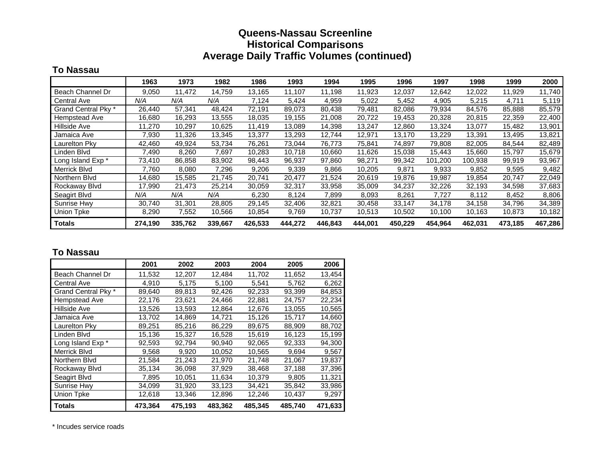### **Queens-Nassau Screenline Historical Comparisons Average Daily Traffic Volumes (continued)**

#### **To Nassau**

|                     | 1963    | 1973    | 1982    | 1986    | 1993    | 1994    | 1995    | 1996    | 1997    | 1998    | 1999    | 2000    |
|---------------------|---------|---------|---------|---------|---------|---------|---------|---------|---------|---------|---------|---------|
| Beach Channel Dr    | 9,050   | 11.472  | 14,759  | 13.165  | 11,107  | 11,198  | 11,923  | 12,037  | 12,642  | 12,022  | 11,929  | 11,740  |
| Central Ave         | N/A     | N/A     | N/A     | 7,124   | 5,424   | 4,959   | 5,022   | 5,452   | 4,905   | 5,215   | 4,711   | 5,119   |
| Grand Central Pky * | 26,440  | 57,341  | 48,424  | 72,191  | 89,073  | 80,438  | 79,481  | 82,086  | 79,934  | 84,576  | 85,888  | 85,579  |
| Hempstead Ave       | 16,680  | 16,293  | 13,555  | 18,035  | 19,155  | 21,008  | 20,722  | 19,453  | 20,328  | 20,815  | 22,359  | 22,400  |
| Hillside Ave        | 11,270  | 10,297  | 10,625  | 11.419  | 13,089  | 14,398  | 13,247  | 12,860  | 13,324  | 13,077  | 15,482  | 13,901  |
| Jamaica Ave         | 7,930   | 11.326  | 13,345  | 13,377  | 13,293  | 12.744  | 12,971  | 13,170  | 13,229  | 13,391  | 13,495  | 13,821  |
| Laurelton Pky       | 42,460  | 49,924  | 53,734  | 76,261  | 73,044  | 76,773  | 75,841  | 74,897  | 79,808  | 82,005  | 84,544  | 82,489  |
| Linden Blvd         | 7,490   | 8,260   | 7,697   | 10,283  | 10,718  | 10,660  | 11,626  | 15,038  | 15,443  | 15,660  | 15,797  | 15,679  |
| Long Island Exp *   | 73,410  | 86,858  | 83,902  | 98,443  | 96,937  | 97,860  | 98,271  | 99,342  | 101,200 | 100,938 | 99,919  | 93,967  |
| Merrick Blvd        | 7,760   | 8,080   | 7,296   | 9,206   | 9,339   | 9,866   | 10,205  | 9,871   | 9,933   | 9,852   | 9,595   | 9,482   |
| Northern Blvd       | 14,680  | 15,585  | 21,745  | 20,741  | 20,477  | 21,524  | 20,619  | 19,876  | 19,987  | 19,854  | 20,747  | 22,049  |
| Rockaway Blvd       | 17,990  | 21,473  | 25,214  | 30,059  | 32,317  | 33,958  | 35,009  | 34,237  | 32,226  | 32,193  | 34,598  | 37,683  |
| Seagirt Blvd        | N/A     | N/A     | N/A     | 6,230   | 8,124   | 7,899   | 8,093   | 8,261   | 7,727   | 8,112   | 8,452   | 8,806   |
| Sunrise Hwy         | 30,740  | 31,301  | 28,805  | 29,145  | 32,406  | 32,821  | 30,458  | 33,147  | 34,178  | 34,158  | 34,796  | 34,389  |
| Union Tpke          | 8,290   | 7,552   | 10,566  | 10,854  | 9,769   | 10,737  | 10,513  | 10,502  | 10,100  | 10,163  | 10,873  | 10,182  |
| <b>Totals</b>       | 274,190 | 335,762 | 339,667 | 426,533 | 444,272 | 446,843 | 444,001 | 450,229 | 454,964 | 462,031 | 473,185 | 467,286 |

#### **To Nassau**

|                     | 2001    | 2002    | 2003    | 2004    | 2005    | 2006    |
|---------------------|---------|---------|---------|---------|---------|---------|
| Beach Channel Dr    | 11,532  | 12,207  | 12.484  | 11,702  | 11.652  | 13,454  |
| <b>Central Ave</b>  | 4,910   | 5,175   | 5,100   | 5,541   | 5,762   | 6,262   |
| Grand Central Pky * | 89,640  | 89,813  | 92,426  | 92,233  | 93,399  | 84,853  |
| Hempstead Ave       | 22,176  | 23,621  | 24,466  | 22,881  | 24,757  | 22,234  |
| <b>Hillside Ave</b> | 13,526  | 13,593  | 12,864  | 12,676  | 13,055  | 10,565  |
| Jamaica Ave         | 13,702  | 14,869  | 14,721  | 15,126  | 15,717  | 14,660  |
| Laurelton Pky       | 89,251  | 85,216  | 86,229  | 89,675  | 88,909  | 88,702  |
| Linden Blvd         | 15,136  | 15,327  | 16,528  | 15,619  | 16,123  | 15,199  |
| Long Island Exp *   | 92,593  | 92,794  | 90,940  | 92,065  | 92,333  | 94,300  |
| <b>Merrick Blvd</b> | 9,568   | 9.920   | 10,052  | 10,565  | 9,694   | 9,567   |
| Northern Blvd       | 21,584  | 21,243  | 21,970  | 21,748  | 21,067  | 19,837  |
| Rockaway Blvd       | 35,134  | 36,098  | 37,929  | 38.468  | 37.188  | 37,396  |
| Seagirt Blvd        | 7,895   | 10,051  | 11,634  | 10,379  | 9,805   | 11,321  |
| Sunrise Hwy         | 34,099  | 31,920  | 33,123  | 34,421  | 35,842  | 33,986  |
| Union Tpke          | 12,618  | 13,346  | 12,896  | 12,246  | 10,437  | 9,297   |
| <b>Totals</b>       | 473,364 | 475,193 | 483,362 | 485,345 | 485,740 | 471,633 |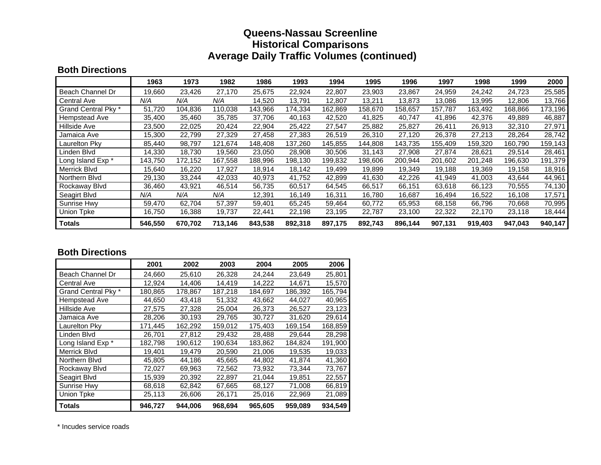### **Queens-Nassau Screenline Historical Comparisons Average Daily Traffic Volumes (continued)**

#### **Both Directions**

|                     | 1963    | 1973    | 1982    | 1986    | 1993    | 1994    | 1995    | 1996    | 1997    | 1998    | 1999    | 2000    |
|---------------------|---------|---------|---------|---------|---------|---------|---------|---------|---------|---------|---------|---------|
| Beach Channel Dr    | 19,660  | 23,426  | 27,170  | 25,675  | 22,924  | 22,807  | 23,903  | 23,867  | 24,959  | 24,242  | 24,723  | 25,585  |
| <b>Central Ave</b>  | N/A     | N/A     | N/A     | 14,520  | 13.791  | 12,807  | 13,211  | 13,873  | 13,086  | 13,995  | 12,806  | 13,766  |
| Grand Central Pky * | 51,720  | 104.836 | 110,038 | 143,966 | 174,334 | 162,869 | 158,670 | 158.657 | 157,787 | 163,492 | 168,866 | 173,196 |
| Hempstead Ave       | 35,400  | 35,460  | 35,785  | 37,706  | 40,163  | 42,520  | 41,825  | 40,747  | 41,896  | 42,376  | 49,889  | 46,887  |
| Hillside Ave        | 23,500  | 22,025  | 20,424  | 22,904  | 25,422  | 27,547  | 25,882  | 25,827  | 26,411  | 26,913  | 32,310  | 27,971  |
| Jamaica Ave         | 15,300  | 22.799  | 27,329  | 27,458  | 27.383  | 26,519  | 26,310  | 27.120  | 26,378  | 27,213  | 28,264  | 28,742  |
| Laurelton Pky       | 85,440  | 98.797  | 121,674 | 148.408 | 137,260 | 145,855 | 144,808 | 143.735 | 155,409 | 159,320 | 160.790 | 159,143 |
| Linden Blvd         | 14,330  | 18,730  | 19,560  | 23,050  | 28,908  | 30,506  | 31,143  | 27,908  | 27,874  | 28,621  | 29,514  | 28,461  |
| Long Island Exp *   | 143,750 | 172,152 | 167,558 | 188,996 | 198,130 | 199,832 | 198,606 | 200,944 | 201,602 | 201,248 | 196,630 | 191,379 |
| Merrick Blvd        | 15,640  | 16,220  | 17,927  | 18,914  | 18,142  | 19,499  | 19,899  | 19,349  | 19,188  | 19,369  | 19,158  | 18,916  |
| Northern Blvd       | 29,130  | 33,244  | 42,033  | 40,973  | 41,752  | 42,899  | 41,630  | 42,226  | 41,949  | 41,003  | 43,644  | 44,961  |
| Rockaway Blyd       | 36,460  | 43,921  | 46,514  | 56,735  | 60,517  | 64,545  | 66,517  | 66,151  | 63,618  | 66.123  | 70,555  | 74,130  |
| Seagirt Blvd        | N/A     | N/A     | N/A     | 12,391  | 16.149  | 16,311  | 16,780  | 16,687  | 16,494  | 16,522  | 16,108  | 17,571  |
| Sunrise Hwy         | 59,470  | 62,704  | 57,397  | 59,401  | 65,245  | 59,464  | 60,772  | 65,953  | 68,158  | 66,796  | 70,668  | 70,995  |
| <b>Union Tpke</b>   | 16,750  | 16,388  | 19,737  | 22,441  | 22,198  | 23,195  | 22,787  | 23,100  | 22,322  | 22,170  | 23,118  | 18,444  |
| <b>Totals</b>       | 546,550 | 670.702 | 713.146 | 843,538 | 892,318 | 897,175 | 892,743 | 896.144 | 907,131 | 919,403 | 947.043 | 940,147 |

#### **Both Directions**

|                     | 2001    | 2002    | 2003    | 2004    | 2005    | 2006    |
|---------------------|---------|---------|---------|---------|---------|---------|
| Beach Channel Dr    | 24,660  | 25,610  | 26.328  | 24.244  | 23.649  | 25,801  |
| <b>Central Ave</b>  | 12,924  | 14,406  | 14.419  | 14,222  | 14,671  | 15,570  |
| Grand Central Pky * | 180,865 | 178,867 | 187,218 | 184,697 | 186,392 | 165,794 |
| Hempstead Ave       | 44,650  | 43,418  | 51,332  | 43,662  | 44,027  | 40,965  |
| <b>Hillside Ave</b> | 27,575  | 27,328  | 25,004  | 26,373  | 26,527  | 23,123  |
| Jamaica Ave         | 28,206  | 30,193  | 29,765  | 30,727  | 31,620  | 29,614  |
| Laurelton Pky       | 171,445 | 162,292 | 159,012 | 175,403 | 169,154 | 168,859 |
| Linden Blvd         | 26,701  | 27,812  | 29,432  | 28,488  | 29,644  | 28,298  |
| Long Island Exp *   | 182,798 | 190,612 | 190,634 | 183,862 | 184.824 | 191,900 |
| <b>Merrick Blvd</b> | 19,401  | 19,479  | 20,590  | 21,006  | 19,535  | 19,033  |
| Northern Blvd       | 45,805  | 44,186  | 45,665  | 44,802  | 41,874  | 41,360  |
| Rockaway Blvd       | 72,027  | 69,963  | 72.562  | 73,932  | 73.344  | 73,767  |
| Seagirt Blvd        | 15,939  | 20,392  | 22,897  | 21,044  | 19.851  | 22,557  |
| Sunrise Hwy         | 68,618  | 62,842  | 67,665  | 68,127  | 71,008  | 66,819  |
| Union Tpke          | 25,113  | 26,606  | 26,171  | 25,016  | 22,969  | 21,089  |
| <b>Totals</b>       | 946,727 | 944,006 | 968,694 | 965,605 | 959,089 | 934,549 |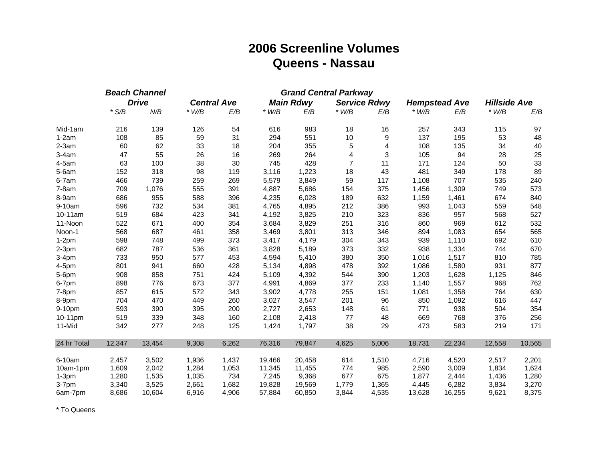# **2006 Screenline Volume s Queens - Nassau**

|             |         | <b>Beach Channel</b> |         |                    |         | <b>Grand Central Parkway</b> |                         |                     |         |                      |                     |        |
|-------------|---------|----------------------|---------|--------------------|---------|------------------------------|-------------------------|---------------------|---------|----------------------|---------------------|--------|
|             |         | <b>Drive</b>         |         | <b>Central Ave</b> |         | <b>Main Rdwy</b>             |                         | <b>Service Rdwy</b> |         | <b>Hempstead Ave</b> | <b>Hillside Ave</b> |        |
|             | $*$ S/B | N/B                  | $*$ W/B | E/B                | $*$ W/B | E/B                          | $*$ W/B                 | E/B                 | $*$ W/B | E/B                  | $*$ W/B             | E/B    |
| Mid-1am     | 216     | 139                  | 126     | 54                 | 616     | 983                          | 18                      | 16                  | 257     | 343                  | 115                 | 97     |
| $1-2am$     | 108     | 85                   | 59      | 31                 | 294     | 551                          | 10                      | $\boldsymbol{9}$    | 137     | 195                  | 53                  | 48     |
| $2-3am$     | 60      | 62                   | 33      | 18                 | 204     | 355                          | 5                       | 4                   | 108     | 135                  | 34                  | 40     |
| $3-4am$     | 47      | 55                   | 26      | 16                 | 269     | 264                          | $\overline{\mathbf{4}}$ | 3                   | 105     | 94                   | 28                  | 25     |
| 4-5am       | 63      | 100                  | 38      | 30                 | 745     | 428                          | $\overline{7}$          | 11                  | 171     | 124                  | 50                  | 33     |
| $5-6am$     | 152     | 318                  | 98      | 119                | 3,116   | 1,223                        | 18                      | 43                  | 481     | 349                  | 178                 | 89     |
| 6-7am       | 466     | 739                  | 259     | 269                | 5,579   | 3,849                        | 59                      | 117                 | 1,108   | 707                  | 535                 | 240    |
| $7-8am$     | 709     | 1,076                | 555     | 391                | 4,887   | 5,686                        | 154                     | 375                 | 1,456   | 1,309                | 749                 | 573    |
| 8-9am       | 686     | 955                  | 588     | 396                | 4,235   | 6,028                        | 189                     | 632                 | 1,159   | 1,461                | 674                 | 840    |
| 9-10am      | 596     | 732                  | 534     | 381                | 4,765   | 4,895                        | 212                     | 386                 | 993     | 1,043                | 559                 | 548    |
| 10-11am     | 519     | 684                  | 423     | 341                | 4,192   | 3,825                        | 210                     | 323                 | 836     | 957                  | 568                 | 527    |
| 11-Noon     | 522     | 671                  | 400     | 354                | 3,684   | 3,829                        | 251                     | 316                 | 860     | 969                  | 612                 | 532    |
| Noon-1      | 568     | 687                  | 461     | 358                | 3,469   | 3,801                        | 313                     | 346                 | 894     | 1,083                | 654                 | 565    |
| $1-2pm$     | 598     | 748                  | 499     | 373                | 3,417   | 4,179                        | 304                     | 343                 | 939     | 1,110                | 692                 | 610    |
| $2-3pm$     | 682     | 787                  | 536     | 361                | 3,828   | 5,189                        | 373                     | 332                 | 938     | 1,334                | 744                 | 670    |
| $3-4pm$     | 733     | 950                  | 577     | 453                | 4,594   | 5,410                        | 380                     | 350                 | 1,016   | 1,517                | 810                 | 785    |
| 4-5pm       | 801     | 941                  | 660     | 428                | 5,134   | 4,898                        | 478                     | 392                 | 1,086   | 1,580                | 931                 | 877    |
| 5-6pm       | 908     | 858                  | 751     | 424                | 5,109   | 4,392                        | 544                     | 390                 | 1,203   | 1,628                | 1,125               | 846    |
| 6-7pm       | 898     | 776                  | 673     | 377                | 4,991   | 4,869                        | 377                     | 233                 | 1,140   | 1,557                | 968                 | 762    |
| $7-8pm$     | 857     | 615                  | 572     | 343                | 3,902   | 4,778                        | 255                     | 151                 | 1,081   | 1,358                | 764                 | 630    |
| 8-9pm       | 704     | 470                  | 449     | 260                | 3,027   | 3,547                        | 201                     | 96                  | 850     | 1,092                | 616                 | 447    |
| 9-10pm      | 593     | 390                  | 395     | 200                | 2,727   | 2,653                        | 148                     | 61                  | 771     | 938                  | 504                 | 354    |
| 10-11pm     | 519     | 339                  | 348     | 160                | 2,108   | 2,418                        | 77                      | 48                  | 669     | 768                  | 376                 | 256    |
| 11-Mid      | 342     | 277                  | 248     | 125                | 1,424   | 1,797                        | 38                      | 29                  | 473     | 583                  | 219                 | 171    |
| 24 hr Total | 12,347  | 13,454               | 9,308   | 6,262              | 76,316  | 79,847                       | 4,625                   | 5,006               | 18,731  | 22,234               | 12,558              | 10,565 |
| 6-10am      | 2,457   | 3,502                | 1,936   | 1,437              | 19,466  | 20,458                       | 614                     | 1,510               | 4,716   | 4,520                | 2,517               | 2,201  |
| 10am-1pm    | 1,609   | 2,042                | 1,284   | 1,053              | 11,345  | 11,455                       | 774                     | 985                 | 2,590   | 3,009                | 1,834               | 1,624  |
| $1-3pm$     | 1,280   | 1,535                | 1,035   | 734                | 7,245   | 9,368                        | 677                     | 675                 | 1,877   | 2,444                | 1,436               | 1,280  |
| 3-7pm       | 3,340   | 3,525                | 2,661   | 1,682              | 19,828  | 19,569                       | 1,779                   | 1,365               | 4,445   | 6,282                | 3,834               | 3,270  |
| 6am-7pm     | 8,686   | 10,604               | 6,916   | 4,906              | 57,884  | 60,850                       | 3,844                   | 4,535               | 13,628  | 16,255               | 9,621               | 8,375  |

\* To Queens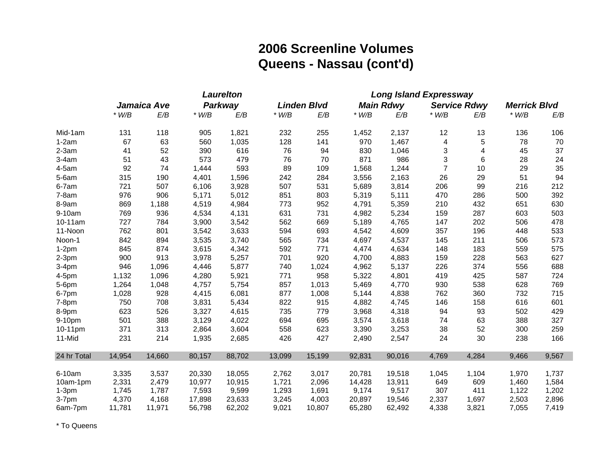# **2006 Screenline Volumes Queens - Nassau (cont'd)**

|             | <b>Laurelton</b> |             |         |         | <b>Long Island Expressway</b> |                    |         |                  |                         |                         |                     |       |
|-------------|------------------|-------------|---------|---------|-------------------------------|--------------------|---------|------------------|-------------------------|-------------------------|---------------------|-------|
|             |                  | Jamaica Ave |         | Parkway |                               | <b>Linden Blvd</b> |         | <b>Main Rdwy</b> |                         | <b>Service Rdwy</b>     | <b>Merrick Blvd</b> |       |
|             | $*$ W/B          | E/B         | $*$ W/B | E/B     | $*$ W/B                       | E/B                | $*$ W/B | E/B              | $*$ W/B                 | E/B                     | $*$ W/B             | E/B   |
| Mid-1am     | 131              | 118         | 905     | 1,821   | 232                           | 255                | 1,452   | 2,137            | 12                      | 13                      | 136                 | 106   |
| $1-2am$     | 67               | 63          | 560     | 1,035   | 128                           | 141                | 970     | 1,467            | $\overline{\mathbf{4}}$ | $\sqrt{5}$              | 78                  | 70    |
| $2-3am$     | 41               | 52          | 390     | 616     | 76                            | 94                 | 830     | 1,046            | 3                       | $\overline{\mathbf{4}}$ | 45                  | 37    |
| $3-4am$     | 51               | 43          | 573     | 479     | 76                            | 70                 | 871     | 986              | 3                       | 6                       | 28                  | 24    |
| 4-5am       | 92               | 74          | 1,444   | 593     | 89                            | 109                | 1,568   | 1,244            | $\overline{7}$          | 10                      | 29                  | 35    |
| $5-6am$     | 315              | 190         | 4,401   | 1,596   | 242                           | 284                | 3,556   | 2,163            | 26                      | 29                      | 51                  | 94    |
| 6-7am       | 721              | 507         | 6,106   | 3,928   | 507                           | 531                | 5,689   | 3,814            | 206                     | 99                      | 216                 | 212   |
| $7-8am$     | 976              | 906         | 5,171   | 5,012   | 851                           | 803                | 5,319   | 5,111            | 470                     | 286                     | 500                 | 392   |
| 8-9am       | 869              | 1,188       | 4,519   | 4,984   | 773                           | 952                | 4,791   | 5,359            | 210                     | 432                     | 651                 | 630   |
| 9-10am      | 769              | 936         | 4,534   | 4,131   | 631                           | 731                | 4,982   | 5,234            | 159                     | 287                     | 603                 | 503   |
| 10-11am     | 727              | 784         | 3,900   | 3,542   | 562                           | 669                | 5,189   | 4,765            | 147                     | 202                     | 506                 | 478   |
| 11-Noon     | 762              | 801         | 3,542   | 3,633   | 594                           | 693                | 4,542   | 4,609            | 357                     | 196                     | 448                 | 533   |
| Noon-1      | 842              | 894         | 3,535   | 3,740   | 565                           | 734                | 4,697   | 4,537            | 145                     | 211                     | 506                 | 573   |
| $1-2pm$     | 845              | 874         | 3,615   | 4,342   | 592                           | 771                | 4,474   | 4,634            | 148                     | 183                     | 559                 | 575   |
| $2-3pm$     | 900              | 913         | 3,978   | 5,257   | 701                           | 920                | 4,700   | 4,883            | 159                     | 228                     | 563                 | 627   |
| $3-4pm$     | 946              | 1,096       | 4,446   | 5,877   | 740                           | 1,024              | 4,962   | 5,137            | 226                     | 374                     | 556                 | 688   |
| 4-5pm       | 1,132            | 1,096       | 4,280   | 5,921   | 771                           | 958                | 5,322   | 4,801            | 419                     | 425                     | 587                 | 724   |
| 5-6pm       | 1,264            | 1,048       | 4,757   | 5,754   | 857                           | 1,013              | 5,469   | 4,770            | 930                     | 538                     | 628                 | 769   |
| 6-7pm       | 1,028            | 928         | 4,415   | 6,081   | 877                           | 1,008              | 5,144   | 4,838            | 762                     | 360                     | 732                 | 715   |
| $7-8pm$     | 750              | 708         | 3,831   | 5,434   | 822                           | 915                | 4,882   | 4,745            | 146                     | 158                     | 616                 | 601   |
| 8-9pm       | 623              | 526         | 3,327   | 4,615   | 735                           | 779                | 3,968   | 4,318            | 94                      | 93                      | 502                 | 429   |
| 9-10pm      | 501              | 388         | 3,129   | 4,022   | 694                           | 695                | 3,574   | 3,618            | 74                      | 63                      | 388                 | 327   |
| 10-11pm     | 371              | 313         | 2,864   | 3,604   | 558                           | 623                | 3,390   | 3,253            | 38                      | 52                      | 300                 | 259   |
| 11-Mid      | 231              | 214         | 1,935   | 2,685   | 426                           | 427                | 2,490   | 2,547            | 24                      | 30                      | 238                 | 166   |
| 24 hr Total | 14,954           | 14,660      | 80,157  | 88,702  | 13,099                        | 15,199             | 92,831  | 90,016           | 4,769                   | 4,284                   | 9,466               | 9,567 |
| 6-10am      | 3,335            | 3,537       | 20,330  | 18,055  | 2,762                         | 3,017              | 20,781  | 19,518           | 1,045                   | 1,104                   | 1,970               | 1,737 |
| 10am-1pm    | 2,331            | 2,479       | 10,977  | 10,915  | 1,721                         | 2,096              | 14,428  | 13,911           | 649                     | 609                     | 1,460               | 1,584 |
| $1-3pm$     | 1,745            | 1,787       | 7,593   | 9,599   | 1,293                         | 1,691              | 9,174   | 9,517            | 307                     | 411                     | 1,122               | 1,202 |
| 3-7pm       | 4,370            | 4,168       | 17,898  | 23,633  | 3,245                         | 4,003              | 20,897  | 19,546           | 2,337                   | 1,697                   | 2,503               | 2,896 |
| 6am-7pm     | 11,781           | 11,971      | 56,798  | 62,202  | 9,021                         | 10,807             | 65,280  | 62,492           | 4,338                   | 3,821                   | 7,055               | 7,419 |

\* To Queens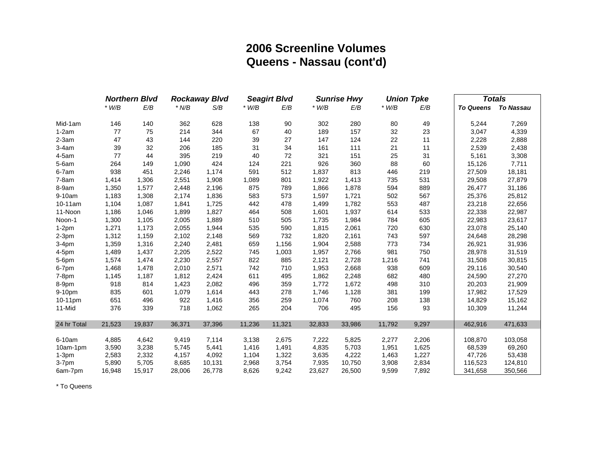## **2006 Screenline Volumes Queens - Nassau (cont'd)**

|             | <b>Northern Blvd</b><br><b>Rockaway Blvd</b> |        |         | <b>Seagirt Blvd</b> |         | <b>Sunrise Hwy</b><br><b>Union Tpke</b> |         |        | <b>Totals</b> |       |         |                     |
|-------------|----------------------------------------------|--------|---------|---------------------|---------|-----------------------------------------|---------|--------|---------------|-------|---------|---------------------|
|             | $*$ W/B                                      | E/B    | $*$ N/B | S/B                 | $*$ W/B | E/B                                     | $*$ W/B | E/B    | $*$ W/B       | E/B   |         | To Queens To Nassau |
| Mid-1am     | 146                                          | 140    | 362     | 628                 | 138     | 90                                      | 302     | 280    | 80            | 49    | 5,244   | 7,269               |
| $1-2am$     | 77                                           | 75     | 214     | 344                 | 67      | 40                                      | 189     | 157    | 32            | 23    | 3,047   | 4,339               |
| $2-3am$     | 47                                           | 43     | 144     | 220                 | 39      | 27                                      | 147     | 124    | 22            | 11    | 2,228   | 2,888               |
| $3-4am$     | 39                                           | 32     | 206     | 185                 | 31      | 34                                      | 161     | 111    | 21            | 11    | 2,539   | 2,438               |
| $4-5am$     | 77                                           | 44     | 395     | 219                 | 40      | 72                                      | 321     | 151    | 25            | 31    | 5,161   | 3,308               |
| $5-6am$     | 264                                          | 149    | 1,090   | 424                 | 124     | 221                                     | 926     | 360    | 88            | 60    | 15,126  | 7,711               |
| 6-7am       | 938                                          | 451    | 2,246   | 1,174               | 591     | 512                                     | 1,837   | 813    | 446           | 219   | 27,509  | 18,181              |
| $7-8am$     | 1,414                                        | 1,306  | 2,551   | 1,908               | 1,089   | 801                                     | 1,922   | 1,413  | 735           | 531   | 29,508  | 27,879              |
| 8-9am       | 1,350                                        | 1,577  | 2,448   | 2,196               | 875     | 789                                     | 1,866   | 1,878  | 594           | 889   | 26,477  | 31,186              |
| 9-10am      | 1,183                                        | 1,308  | 2,174   | 1,836               | 583     | 573                                     | 1,597   | 1,721  | 502           | 567   | 25,376  | 25,812              |
| 10-11am     | 1,104                                        | 1,087  | 1,841   | 1,725               | 442     | 478                                     | 1,499   | 1,782  | 553           | 487   | 23,218  | 22,656              |
| 11-Noon     | 1,186                                        | 1,046  | 1,899   | 1,827               | 464     | 508                                     | 1,601   | 1,937  | 614           | 533   | 22,338  | 22,987              |
| Noon-1      | 1,300                                        | 1,105  | 2,005   | 1,889               | 510     | 505                                     | 1,735   | 1,984  | 784           | 605   | 22,983  | 23,617              |
| $1-2pm$     | 1,271                                        | 1,173  | 2,055   | 1,944               | 535     | 590                                     | 1,815   | 2,061  | 720           | 630   | 23,078  | 25,140              |
| $2-3pm$     | 1,312                                        | 1,159  | 2,102   | 2,148               | 569     | 732                                     | 1,820   | 2,161  | 743           | 597   | 24,648  | 28,298              |
| $3-4pm$     | 1,359                                        | 1,316  | 2,240   | 2,481               | 659     | 1,156                                   | 1,904   | 2,588  | 773           | 734   | 26,921  | 31,936              |
| $4-5$ pm    | 1,489                                        | 1,437  | 2,205   | 2,522               | 745     | 1,003                                   | 1,957   | 2,766  | 981           | 750   | 28,978  | 31,519              |
| 5-6pm       | 1,574                                        | 1,474  | 2,230   | 2,557               | 822     | 885                                     | 2,121   | 2,728  | 1,216         | 741   | 31,508  | 30,815              |
| 6-7pm       | 1,468                                        | 1,478  | 2,010   | 2,571               | 742     | 710                                     | 1,953   | 2,668  | 938           | 609   | 29,116  | 30,540              |
| 7-8pm       | 1,145                                        | 1,187  | 1,812   | 2,424               | 611     | 495                                     | 1,862   | 2,248  | 682           | 480   | 24,590  | 27,270              |
| 8-9pm       | 918                                          | 814    | 1,423   | 2,082               | 496     | 359                                     | 1,772   | 1,672  | 498           | 310   | 20,203  | 21,909              |
| 9-10pm      | 835                                          | 601    | 1,079   | 1,614               | 443     | 278                                     | 1,746   | 1,128  | 381           | 199   | 17,982  | 17,529              |
| 10-11pm     | 651                                          | 496    | 922     | 1,416               | 356     | 259                                     | 1,074   | 760    | 208           | 138   | 14,829  | 15,162              |
| 11-Mid      | 376                                          | 339    | 718     | 1,062               | 265     | 204                                     | 706     | 495    | 156           | 93    | 10,309  | 11,244              |
| 24 hr Total | 21,523                                       | 19,837 | 36,371  | 37,396              | 11,236  | 11,321                                  | 32,833  | 33,986 | 11,792        | 9,297 | 462,916 | 471,633             |
| 6-10am      | 4,885                                        | 4,642  | 9,419   | 7,114               | 3,138   | 2,675                                   | 7,222   | 5,825  | 2,277         | 2,206 | 108,870 | 103,058             |
| 10am-1pm    | 3,590                                        | 3,238  | 5,745   | 5,441               | 1,416   | 1,491                                   | 4,835   | 5,703  | 1,951         | 1,625 | 68,539  | 69,260              |
| $1-3pm$     | 2,583                                        | 2,332  | 4,157   | 4,092               | 1,104   | 1,322                                   | 3,635   | 4,222  | 1,463         | 1,227 | 47,726  | 53,438              |
| 3-7pm       | 5,890                                        | 5,705  | 8,685   | 10,131              | 2,968   | 3,754                                   | 7,935   | 10,750 | 3,908         | 2,834 | 116,523 | 124,810             |
| 6am-7pm     | 16,948                                       | 15,917 | 28,006  | 26,778              | 8,626   | 9,242                                   | 23,627  | 26,500 | 9,599         | 7,892 | 341,658 | 350,566             |

\* To Queens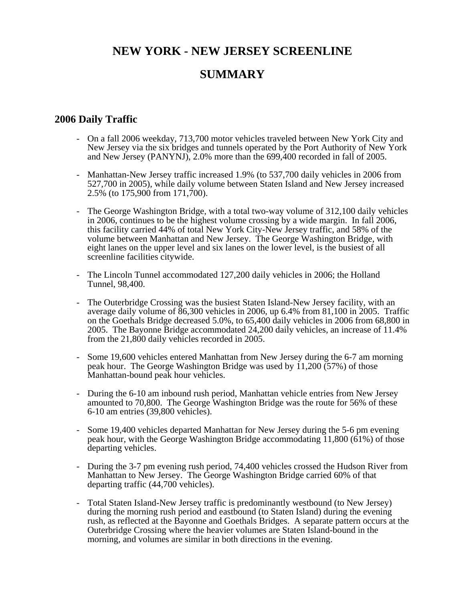# **NEW YORK - NEW JERSEY SCREENLINE SUMMARY**

#### **2006 Daily Traffic**

- On a fall 2006 weekday, 713,700 motor vehicles traveled between New York City and New Jersey via the six bridges and tunnels operated by the Port Authority of New York and New Jersey (PANYNJ), 2.0% more than the 699,400 recorded in fall of 2005.
- Manhattan-New Jersey traffic increased 1.9% (to 537,700 daily vehicles in 2006 from 527,700 in 2005), while daily volume between Staten Island and New Jersey increased 2.5% (to 175,900 from 171,700).
- The George Washington Bridge, with a total two-way volume of 312,100 daily vehicles in 2006, continues to be the highest volume crossing by a wide margin. In fall 2006, this facility carried 44% of total New York City-New Jersey traffic, and 58% of the volume between Manhattan and New Jersey. The George Washington Bridge, with eight lanes on the upper level and six lanes on the lower level, is the busiest of all screenline facilities citywide.
- The Lincoln Tunnel accommodated 127,200 daily vehicles in 2006; the Holland Tunnel, 98,400.
- The Outerbridge Crossing was the busiest Staten Island-New Jersey facility, with an average daily volume of 86,300 vehicles in 2006, up 6.4% from 81,100 in 2005. Traffic on the Goethals Bridge decreased 5.0%, to 65,400 daily vehicles in 2006 from 68,800 in 2005. The Bayonne Bridge accommodated 24,200 daily vehicles, an increase of 11.4% from the 21,800 daily vehicles recorded in 2005.
- Some 19,600 vehicles entered Manhattan from New Jersey during the 6-7 am morning peak hour. The George Washington Bridge was used by 11,200 (57%) of those Manhattan-bound peak hour vehicles.
- During the 6-10 am inbound rush period, Manhattan vehicle entries from New Jersey amounted to 70,800. The George Washington Bridge was the route for 56% of these 6-10 am entries (39,800 vehicles).
- Some 19,400 vehicles departed Manhattan for New Jersey during the 5-6 pm evening peak hour, with the George Washington Bridge accommodating 11,800 (61%) of those departing vehicles.
- During the 3-7 pm evening rush period, 74,400 vehicles crossed the Hudson River from Manhattan to New Jersey. The George Washington Bridge carried 60% of that departing traffic (44,700 vehicles).
- Total Staten Island-New Jersey traffic is predominantly westbound (to New Jersey) during the morning rush period and eastbound (to Staten Island) during the evening rush, as reflected at the Bayonne and Goethals Bridges. A separate pattern occurs at the Outerbridge Crossing where the heavier volumes are Staten Island-bound in the morning, and volumes are similar in both directions in the evening.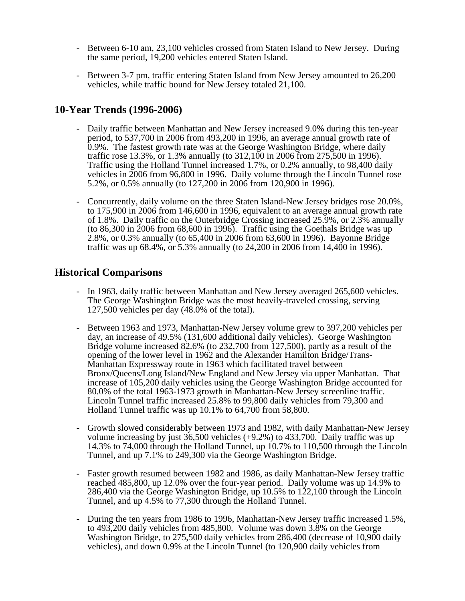- Between 6-10 am, 23,100 vehicles crossed from Staten Island to New Jersey. During the same period, 19,200 vehicles entered Staten Island.
- Between 3-7 pm, traffic entering Staten Island from New Jersey amounted to 26,200 vehicles, while traffic bound for New Jersey totaled 21,100.

### **10-Year Trends (1996-2006)**

- Daily traffic between Manhattan and New Jersey increased 9.0% during this ten-year period, to 537,700 in 2006 from 493,200 in 1996, an average annual growth rate of 0.9%. The fastest growth rate was at the George Washington Bridge, where daily traffic rose 13.3%, or 1.3% annually (to 312,100 in 2006 from 275,500 in 1996). Traffic using the Holland Tunnel increased 1.7%, or 0.2% annually, to 98,400 daily vehicles in 2006 from 96,800 in 1996. Daily volume through the Lincoln Tunnel rose 5.2%, or 0.5% annually (to 127,200 in 2006 from 120,900 in 1996).
- Concurrently, daily volume on the three Staten Island-New Jersey bridges rose 20.0%, to 175,900 in 2006 from 146,600 in 1996, equivalent to an average annual growth rate of 1.8%. Daily traffic on the Outerbridge Crossing increased 25.9%, or 2.3% annually (to 86,300 in 2006 from 68,600 in 1996). Traffic using the Goethals Bridge was up 2.8%, or 0.3% annually (to 65,400 in 2006 from 63,600 in 1996). Bayonne Bridge traffic was up 68.4%, or 5.3% annually (to 24,200 in 2006 from 14,400 in 1996).

### **Historical Comparisons**

- In 1963, daily traffic between Manhattan and New Jersey averaged 265,600 vehicles. The George Washington Bridge was the most heavily-traveled crossing, serving 127,500 vehicles per day  $(48.0\% \text{ of the total})$ .
- Between 1963 and 1973, Manhattan-New Jersey volume grew to 397,200 vehicles per day, an increase of 49.5% (131,600 additional daily vehicles). George Washington Bridge volume increased 82.6% (to 232,700 from 127,500), partly as a result of the opening of the lower level in 1962 and the Alexander Hamilton Bridge/Trans-Manhattan Expressway route in 1963 which facilitated travel between Bronx/Queens/Long Island/New England and New Jersey via upper Manhattan. That increase of 105,200 daily vehicles using the George Washington Bridge accounted for 80.0% of the total 1963-1973 growth in Manhattan-New Jersey screenline traffic. Lincoln Tunnel traffic increased 25.8% to 99,800 daily vehicles from 79,300 and Holland Tunnel traffic was up 10.1% to 64,700 from 58,800.
- Growth slowed considerably between 1973 and 1982, with daily Manhattan-New Jersey volume increasing by just  $36,500$  vehicles  $(+9.2%)$  to  $433,700$ . Daily traffic was up 14.3% to 74,000 through the Holland Tunnel, up 10.7% to 110,500 through the Lincoln Tunnel, and up 7.1% to 249,300 via the George Washington Bridge.
- Faster growth resumed between 1982 and 1986, as daily Manhattan-New Jersey traffic reached 485,800, up 12.0% over the four-year period. Daily volume was up 14.9% to 286,400 via the George Washington Bridge, up 10.5% to 122,100 through the Lincoln Tunnel, and up 4.5% to 77,300 through the Holland Tunnel.
- During the ten years from 1986 to 1996, Manhattan-New Jersey traffic increased 1.5%, to 493,200 daily vehicles from 485,800. Volume was down 3.8% on the George Washington Bridge, to 275,500 daily vehicles from 286,400 (decrease of 10,900 daily vehicles), and down 0.9% at the Lincoln Tunnel (to 120,900 daily vehicles from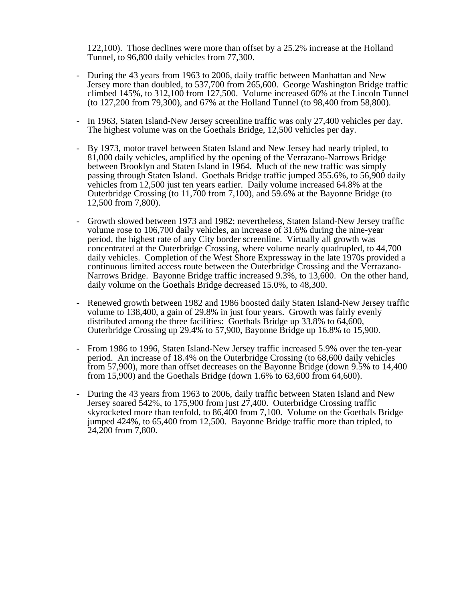122,100). Those declines were more than offset by a 25.2% increase at the Holland Tunnel, to 96,800 daily vehicles from 77,300.

- During the 43 years from 1963 to 2006, daily traffic between Manhattan and New Jersey more than doubled, to 537,700 from 265,600. George Washington Bridge traffic climbed 145%, to 312,100 from 127,500. Volume increased 60% at the Lincoln Tunnel (to 127,200 from 79,300), and 67% at the Holland Tunnel (to 98,400 from 58,800).
- In 1963, Staten Island-New Jersey screenline traffic was only 27,400 vehicles per day. The highest volume was on the Goethals Bridge, 12,500 vehicles per day.
- By 1973, motor travel between Staten Island and New Jersey had nearly tripled, to 81,000 daily vehicles, amplified by the opening of the Verrazano-Narrows Bridge between Brooklyn and Staten Island in 1964. Much of the new traffic was simply passing through Staten Island. Goethals Bridge traffic jumped 355.6%, to 56,900 daily vehicles from 12,500 just ten years earlier. Daily volume increased 64.8% at the Outerbridge Crossing (to 11,700 from 7,100), and 59.6% at the Bayonne Bridge (to 12,500 from 7,800).
- Growth slowed between 1973 and 1982; nevertheless, Staten Island-New Jersey traffic volume rose to 106,700 daily vehicles, an increase of 31.6% during the nine-year period, the highest rate of any City border screenline. Virtually all growth was concentrated at the Outerbridge Crossing, where volume nearly quadrupled, to 44,700 daily vehicles. Completion of the West Shore Expressway in the late 1970s provided a continuous limited access route between the Outerbridge Crossing and the Verrazano-Narrows Bridge. Bayonne Bridge traffic increased 9.3%, to 13,600. On the other hand, daily volume on the Goethals Bridge decreased 15.0%, to 48,300.
- Renewed growth between 1982 and 1986 boosted daily Staten Island-New Jersey traffic volume to 138,400, a gain of 29.8% in just four years. Growth was fairly evenly distributed among the three facilities: Goethals Bridge up 33.8% to 64,600, Outerbridge Crossing up 29.4% to 57,900, Bayonne Bridge up 16.8% to 15,900.
- From 1986 to 1996, Staten Island-New Jersey traffic increased 5.9% over the ten-year period. An increase of 18.4% on the Outerbridge Crossing (to 68,600 daily vehicles from 57,900), more than offset decreases on the Bayonne Bridge (down 9.5% to 14,400 from 15,900) and the Goethals Bridge (down 1.6% to 63,600 from 64,600).
- During the 43 years from 1963 to 2006, daily traffic between Staten Island and New Jersey soared 542%, to 175,900 from just 27,400. Outerbridge Crossing traffic skyrocketed more than tenfold, to 86,400 from 7,100. Volume on the Goethals Bridge jumped 424%, to 65,400 from 12,500. Bayonne Bridge traffic more than tripled, to 24,200 from 7,800.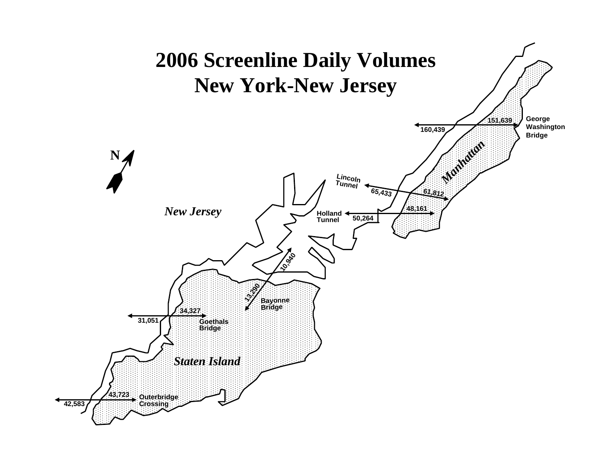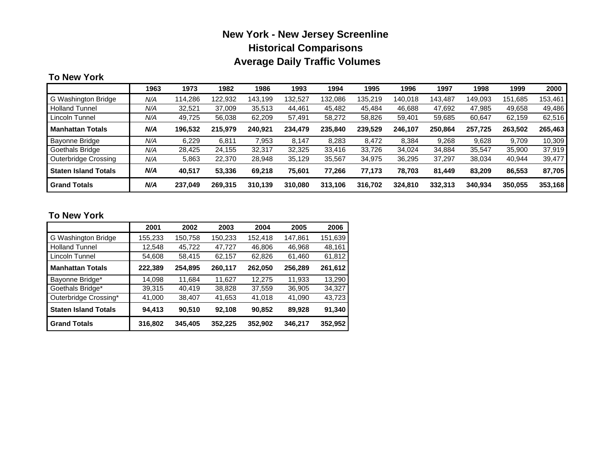# **New York - New Jersey Screenline Historical Comparisons Average Daily Traffic Volumes**

#### **To New York**

|                             | 1963 | 1973    | 1982    | 1986    | 1993    | 1994    | 1995    | 1996    | 1997    | 1998    | 1999    | 2000    |
|-----------------------------|------|---------|---------|---------|---------|---------|---------|---------|---------|---------|---------|---------|
| G Washington Bridge         | N/A  | 114,286 | 122.932 | 143.199 | 32.527  | 132.086 | 135.219 | 140.018 | 143.487 | 149.093 | 151.685 | 153,461 |
| <b>Holland Tunnel</b>       | N/A  | 32,521  | 37,009  | 35,513  | 44.461  | 45.482  | 45,484  | 46,688  | 47,692  | 47.985  | 49,658  | 49,486  |
| Lincoln Tunnel              | N/A  | 49.725  | 56,038  | 62,209  | 57.491  | 58,272  | 58,826  | 59,401  | 59,685  | 60,647  | 62,159  | 62,516  |
| <b>Manhattan Totals</b>     | N/A  | 196,532 | 215,979 | 240.921 | 234,479 | 235,840 | 239,529 | 246,107 | 250.864 | 257,725 | 263,502 | 265,463 |
| Bayonne Bridge              | N/A  | 6.229   | 6.811   | 7.953   | 8.147   | 8.283   | 8.472   | 8.384   | 9.268   | 9.628   | 9.709   | 10,309  |
| Goethals Bridge             | N/A  | 28,425  | 24.155  | 32,317  | 32,325  | 33,416  | 33,726  | 34.024  | 34,884  | 35,547  | 35,900  | 37,919  |
| Outerbridge Crossing        | N/A  | 5,863   | 22,370  | 28,948  | 35.129  | 35,567  | 34,975  | 36,295  | 37.297  | 38,034  | 40,944  | 39,477  |
| <b>Staten Island Totals</b> | N/A  | 40.517  | 53,336  | 69.218  | 75.601  | 77,266  | 77.173  | 78.703  | 81.449  | 83.209  | 86,553  | 87,705  |
| <b>Grand Totals</b>         | N/A  | 237.049 | 269,315 | 310.139 | 310.080 | 313,106 | 316.702 | 324,810 | 332.313 | 340.934 | 350,055 | 353,168 |

#### **To New York**

|                             | 2001    | 2002    | 2003    | 2004    | 2005    | 2006    |
|-----------------------------|---------|---------|---------|---------|---------|---------|
| G Washington Bridge         | 155,233 | 150,758 | 150,233 | 152.418 | 147,861 | 151,639 |
| <b>Holland Tunnel</b>       | 12,548  | 45,722  | 47,727  | 46,806  | 46,968  | 48.161  |
| Lincoln Tunnel              | 54,608  | 58,415  | 62,157  | 62,826  | 61,460  | 61,812  |
| <b>Manhattan Totals</b>     | 222,389 | 254,895 | 260,117 | 262,050 | 256,289 | 261,612 |
| Bayonne Bridge*             | 14,098  | 11,684  | 11,627  | 12,275  | 11,933  | 13,290  |
| Goethals Bridge*            | 39,315  | 40,419  | 38,828  | 37,559  | 36,905  | 34,327  |
| Outerbridge Crossing*       | 41,000  | 38,407  | 41,653  | 41.018  | 41,090  | 43,723  |
| <b>Staten Island Totals</b> | 94,413  | 90.510  | 92,108  | 90,852  | 89,928  | 91,340  |
| <b>Grand Totals</b>         | 316,802 | 345,405 | 352,225 | 352,902 | 346,217 | 352,952 |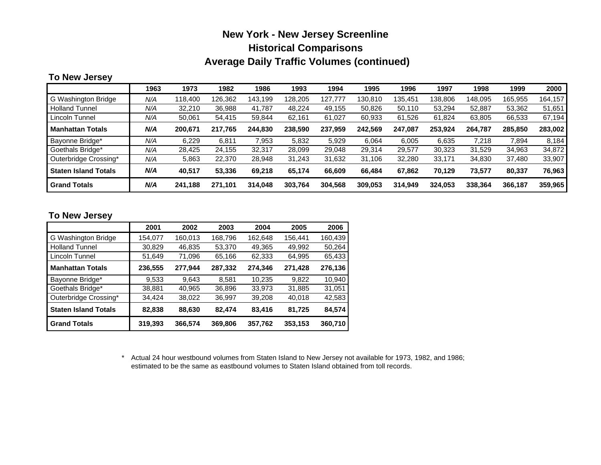### **New York - New Jersey Screenline Historical Comparisons Average Daily Traffic Volumes (continued)**

#### **To New Jersey**

|                             | 1963 | 1973    | 1982    | 1986    | 1993    | 1994    | 1995    | 1996    | 1997    | 1998    | 1999    | 2000    |
|-----------------------------|------|---------|---------|---------|---------|---------|---------|---------|---------|---------|---------|---------|
| G Washington Bridge         | N/A  | 118,400 | 126.362 | 143.199 | 128.205 | 127.777 | 130.810 | 135.451 | 138.806 | 148.095 | 165.955 | 164,157 |
| <b>Holland Tunnel</b>       | N/A  | 32,210  | 36.988  | 41.787  | 48.224  | 49,155  | 50,826  | 50,110  | 53,294  | 52.887  | 53,362  | 51,651  |
| Lincoln Tunnel              | N/A  | 50,061  | 54,415  | 59,844  | 62.161  | 61.027  | 60,933  | 61,526  | 61,824  | 63,805  | 66,533  | 67,194  |
| <b>Manhattan Totals</b>     | N/A  | 200,671 | 217,765 | 244.830 | 238.590 | 237,959 | 242.569 | 247,087 | 253.924 | 264,787 | 285,850 | 283,002 |
| Bayonne Bridge*             | N/A  | 6.229   | 6.811   | 7.953   | 5.832   | 5.929   | 6.064   | 6.005   | 6,635   | 7.218   | 7.894   | 8.184   |
| Goethals Bridge*            | N/A  | 28,425  | 24.155  | 32,317  | 28.099  | 29,048  | 29,314  | 29.577  | 30,323  | 31.529  | 34,963  | 34,872  |
| Outerbridge Crossing*       | N/A  | 5,863   | 22,370  | 28,948  | 31.243  | 31,632  | 31,106  | 32,280  | 33,171  | 34,830  | 37,480  | 33,907  |
| <b>Staten Island Totals</b> | N/A  | 40.517  | 53,336  | 69.218  | 65.174  | 66,609  | 66.484  | 67.862  | 70.129  | 73,577  | 80,337  | 76,963  |
| <b>Grand Totals</b>         | N/A  | 241.188 | 271,101 | 314.048 | 303.764 | 304,568 | 309.053 | 314,949 | 324.053 | 338,364 | 366,187 | 359,965 |

#### **To New Jersey**

|                             | 2001    | 2002    | 2003    | 2004    | 2005    | 2006    |
|-----------------------------|---------|---------|---------|---------|---------|---------|
| G Washington Bridge         | 154,077 | 160,013 | 168,796 | 162.648 | 156.441 | 160,439 |
| <b>Holland Tunnel</b>       | 30,829  | 46,835  | 53,370  | 49,365  | 49,992  | 50,264  |
| Lincoln Tunnel              | 51,649  | 71,096  | 65,166  | 62,333  | 64,995  | 65,433  |
| <b>Manhattan Totals</b>     | 236,555 | 277,944 | 287,332 | 274,346 | 271,428 | 276,136 |
| Bayonne Bridge*             | 9.533   | 9.643   | 8.581   | 10,235  | 9.822   | 10.940  |
| Goethals Bridge*            | 38,881  | 40,965  | 36,896  | 33,973  | 31,885  | 31,051  |
| Outerbridge Crossing*       | 34,424  | 38,022  | 36,997  | 39,208  | 40,018  | 42,583  |
| <b>Staten Island Totals</b> | 82,838  | 88,630  | 82,474  | 83,416  | 81,725  | 84,574  |
| <b>Grand Totals</b>         | 319,393 | 366,574 | 369,806 | 357,762 | 353,153 | 360,710 |

\* Actual 24 hour westbound volumes from Staten Island to New Jersey not available for 1973, 1982, and 1986; estimated to be the same as eastbound volumes to Staten Island obtained from toll records.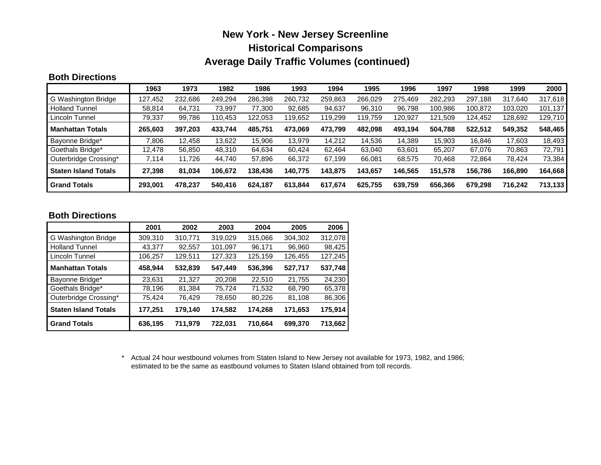### **New York - New Jersey Screenline Historical Comparisons Average Daily Traffic Volumes (continued)**

#### **Both Directions**

|                             | 1963    | 1973    | 1982    | 1986    | 1993    | 1994    | 1995    | 1996    | 1997    | 1998    | 1999    | 2000    |
|-----------------------------|---------|---------|---------|---------|---------|---------|---------|---------|---------|---------|---------|---------|
| G Washington Bridge         | 127,452 | 232.686 | 249.294 | 286,398 | 260.732 | 259,863 | 266.029 | 275.469 | 282.293 | 297.188 | 317.640 | 317.618 |
| <b>Holland Tunnel</b>       | 58,814  | 64.731  | 73.997  | 77.300  | 92.685  | 94,637  | 96,310  | 96.798  | 100,986 | 100.872 | 103,020 | 101,137 |
| Lincoln Tunnel              | 79,337  | 99,786  | 110,453 | 122,053 | 19,652  | 119,299 | 119,759 | 120,927 | 121,509 | 124,452 | 128,692 | 129,710 |
| <b>Manhattan Totals</b>     | 265,603 | 397,203 | 433,744 | 485,751 | 473.069 | 473,799 | 482,098 | 493,194 | 504.788 | 522.512 | 549,352 | 548,465 |
| Bayonne Bridge*             | 7,806   | 12.458  | 13.622  | 15.906  | 13.979  | 14.212  | 14,536  | 14.389  | 15.903  | 16.846  | 17.603  | 18,493  |
| Goethals Bridge*            | 12.478  | 56,850  | 48,310  | 64.634  | 60.424  | 62,464  | 63.040  | 63.601  | 65.207  | 67.076  | 70.863  | 72,791  |
| Outerbridge Crossing*       | 7,114   | 11,726  | 44,740  | 57,896  | 66,372  | 67,199  | 66,081  | 68,575  | 70,468  | 72,864  | 78,424  | 73,384  |
| <b>Staten Island Totals</b> | 27,398  | 81,034  | 106.672 | 138.436 | 140.775 | 143,875 | 143,657 | 146,565 | 151.578 | 156.786 | 166,890 | 164,668 |
| <b>Grand Totals</b>         | 293,001 | 478.237 | 540,416 | 624.187 | 613.844 | 617,674 | 625,755 | 639,759 | 656.366 | 679,298 | 716,242 | 713,133 |

#### **Both Directions**

|                             | 2001    | 2002    | 2003    | 2004    | 2005    | 2006    |
|-----------------------------|---------|---------|---------|---------|---------|---------|
| G Washington Bridge         | 309,310 | 310,771 | 319,029 | 315,066 | 304,302 | 312,078 |
| <b>Holland Tunnel</b>       | 43,377  | 92,557  | 101,097 | 96,171  | 96,960  | 98,425  |
| Lincoln Tunnel              | 106,257 | 129,511 | 127,323 | 125,159 | 126,455 | 127,245 |
| <b>Manhattan Totals</b>     | 458,944 | 532,839 | 547,449 | 536,396 | 527,717 | 537,748 |
| Bayonne Bridge*             | 23,631  | 21.327  | 20.208  | 22.510  | 21.755  | 24,230  |
| Goethals Bridge*            | 78,196  | 81,384  | 75,724  | 71,532  | 68,790  | 65,378  |
| Outerbridge Crossing*       | 75,424  | 76,429  | 78,650  | 80,226  | 81,108  | 86,306  |
| <b>Staten Island Totals</b> | 177,251 | 179,140 | 174,582 | 174,268 | 171,653 | 175,914 |
| <b>Grand Totals</b>         | 636,195 | 711,979 | 722,031 | 710,664 | 699,370 | 713,662 |

\* Actual 24 hour westbound volumes from Staten Island to New Jersey not available for 1973, 1982, and 1986; estimated to be the same as eastbound volumes to Staten Island obtained from toll records.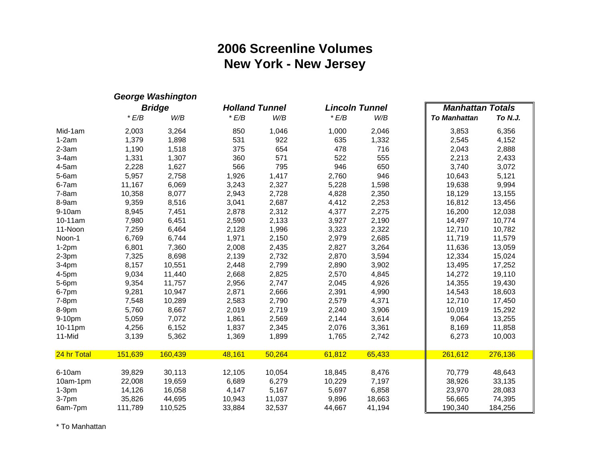# **2006 Screenline Volumes New York - New Jersey**

|             |         | <b>George Washington</b> |                       |        |                       |        |                         |         |
|-------------|---------|--------------------------|-----------------------|--------|-----------------------|--------|-------------------------|---------|
|             |         | <b>Bridge</b>            | <b>Holland Tunnel</b> |        | <b>Lincoln Tunnel</b> |        | <b>Manhattan Totals</b> |         |
|             | E/B     | W/B                      | E/B                   | W/B    | E/B                   | W/B    | <b>To Manhattan</b>     | To N.J. |
| Mid-1am     | 2,003   | 3,264                    | 850                   | 1,046  | 1,000                 | 2,046  | 3,853                   | 6,356   |
| $1-2am$     | 1,379   | 1,898                    | 531                   | 922    | 635                   | 1,332  | 2,545                   | 4,152   |
| $2-3am$     | 1,190   | 1,518                    | 375                   | 654    | 478                   | 716    | 2,043                   | 2,888   |
| $3-4am$     | 1,331   | 1,307                    | 360                   | 571    | 522                   | 555    | 2,213                   | 2,433   |
| 4-5am       | 2,228   | 1,627                    | 566                   | 795    | 946                   | 650    | 3,740                   | 3,072   |
| $5-6am$     | 5,957   | 2,758                    | 1,926                 | 1,417  | 2,760                 | 946    | 10,643                  | 5,121   |
| $6-7am$     | 11,167  | 6,069                    | 3,243                 | 2,327  | 5,228                 | 1,598  | 19,638                  | 9,994   |
| $7-8am$     | 10,358  | 8,077                    | 2,943                 | 2,728  | 4,828                 | 2,350  | 18,129                  | 13,155  |
| 8-9am       | 9,359   | 8,516                    | 3,041                 | 2,687  | 4,412                 | 2,253  | 16,812                  | 13,456  |
| 9-10am      | 8,945   | 7,451                    | 2,878                 | 2,312  | 4,377                 | 2,275  | 16,200                  | 12,038  |
| 10-11am     | 7,980   | 6,451                    | 2,590                 | 2,133  | 3,927                 | 2,190  | 14,497                  | 10,774  |
| 11-Noon     | 7,259   | 6,464                    | 2,128                 | 1,996  | 3,323                 | 2,322  | 12,710                  | 10,782  |
| Noon-1      | 6,769   | 6,744                    | 1,971                 | 2,150  | 2,979                 | 2,685  | 11,719                  | 11,579  |
| $1-2pm$     | 6,801   | 7,360                    | 2,008                 | 2,435  | 2,827                 | 3,264  | 11,636                  | 13,059  |
| $2-3pm$     | 7,325   | 8,698                    | 2,139                 | 2,732  | 2,870                 | 3,594  | 12,334                  | 15,024  |
| $3-4pm$     | 8,157   | 10,551                   | 2,448                 | 2,799  | 2,890                 | 3,902  | 13,495                  | 17,252  |
| 4-5pm       | 9,034   | 11,440                   | 2,668                 | 2,825  | 2,570                 | 4,845  | 14,272                  | 19,110  |
| 5-6pm       | 9,354   | 11,757                   | 2,956                 | 2,747  | 2,045                 | 4,926  | 14,355                  | 19,430  |
| 6-7pm       | 9,281   | 10,947                   | 2,871                 | 2,666  | 2,391                 | 4,990  | 14,543                  | 18,603  |
| 7-8pm       | 7,548   | 10,289                   | 2,583                 | 2,790  | 2,579                 | 4,371  | 12,710                  | 17,450  |
| 8-9pm       | 5,760   | 8,667                    | 2,019                 | 2,719  | 2,240                 | 3,906  | 10,019                  | 15,292  |
| 9-10pm      | 5,059   | 7,072                    | 1,861                 | 2,569  | 2,144                 | 3,614  | 9,064                   | 13,255  |
| 10-11pm     | 4,256   | 6,152                    | 1,837                 | 2,345  | 2,076                 | 3,361  | 8,169                   | 11,858  |
| 11-Mid      | 3,139   | 5,362                    | 1,369                 | 1,899  | 1,765                 | 2,742  | 6,273                   | 10,003  |
| 24 hr Total | 151,639 | 160,439                  | 48,161                | 50,264 | 61,812                | 65,433 | 261,612                 | 276,136 |
| 6-10am      | 39,829  | 30,113                   | 12,105                | 10,054 | 18,845                | 8,476  | 70,779                  | 48,643  |
| 10am-1pm    | 22,008  | 19,659                   | 6,689                 | 6,279  | 10,229                | 7,197  | 38,926                  | 33,135  |
| $1-3pm$     | 14,126  | 16,058                   | 4,147                 | 5,167  | 5,697                 | 6,858  | 23,970                  | 28,083  |
| $3-7$ pm    | 35,826  | 44,695                   | 10,943                | 11,037 | 9,896                 | 18,663 | 56,665                  | 74,395  |
| 6am-7pm     | 111,789 | 110,525                  | 33,884                | 32,537 | 44,667                | 41,194 | 190,340                 | 184,256 |

\* To Manhattan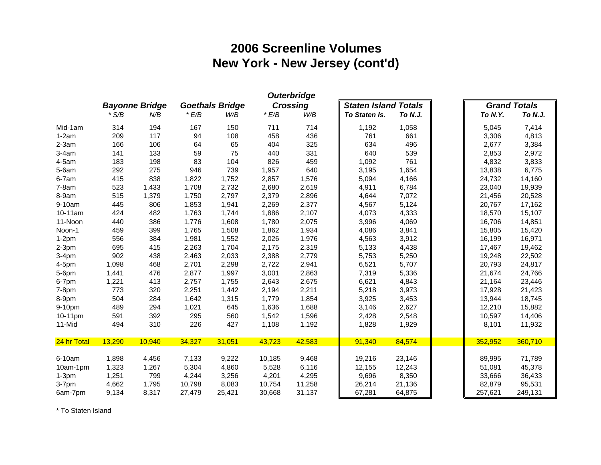# **2006 Screenline Volumes New York - New Jersey (cont'd)**

| <b>Goethals Bridge</b><br><b>Crossing</b><br><b>Staten Island Totals</b><br><b>Grand Totals</b><br><b>Bayonne Bridge</b><br>E/B<br>E/B<br>$*$ S/B<br>N/B<br>W/B<br>W/B<br>To Staten Is.<br>To N.J.<br>To N.Y.<br>To N.J.<br>194<br>714<br>7,414<br>Mid-1am<br>314<br>167<br>150<br>711<br>1,192<br>1,058<br>5,045<br>117<br>661<br>4,813<br>209<br>94<br>108<br>458<br>436<br>761<br>3,306<br>$1-2am$<br>496<br>3,384<br>$2-3am$<br>166<br>106<br>64<br>65<br>404<br>325<br>634<br>2,677<br>133<br>59<br>75<br>331<br>539<br>2,972<br>$3-4am$<br>141<br>440<br>640<br>2,853<br>761<br>4,832<br>3,833<br>4-5am<br>183<br>198<br>83<br>104<br>826<br>459<br>1,092<br>275<br>946<br>739<br>6,775<br>$5-6am$<br>292<br>1,957<br>640<br>3,195<br>1,654<br>13,838<br>838<br>1,752<br>1,576<br>4,166<br>6-7am<br>415<br>1,822<br>2,857<br>5,094<br>24,732<br>14,160<br>523<br>1,433<br>1,708<br>2,732<br>2,680<br>2,619<br>6,784<br>23,040<br>19,939<br>$7-8am$<br>4,911<br>8-9am<br>515<br>1,379<br>1,750<br>2,797<br>2,379<br>2,896<br>4,644<br>7,072<br>21,456<br>20,528<br>9-10am<br>445<br>806<br>1,941<br>2,269<br>2,377<br>5,124<br>17,162<br>1,853<br>4,567<br>20,767<br>2,107<br>15,107<br>$10-11am$<br>424<br>482<br>1,763<br>1,744<br>1,886<br>4,073<br>4,333<br>18,570<br>11-Noon<br>386<br>1,608<br>2,075<br>4,069<br>14,851<br>440<br>1,776<br>1,780<br>3,996<br>16,706<br>1,934<br>399<br>1,765<br>1,508<br>1,862<br>3,841<br>15,805<br>15,420<br>459<br>4,086<br>Noon-1<br>384<br>1,552<br>2,026<br>1,976<br>3,912<br>16,971<br>$1-2pm$<br>556<br>1,981<br>4,563<br>16,199<br>695<br>415<br>2,263<br>1,704<br>2,175<br>2,319<br>5,133<br>4,438<br>$2-3pm$<br>17,467<br>19,462<br>902<br>438<br>2,033<br>2,388<br>2,779<br>5,250<br>22,502<br>$3-4pm$<br>2,463<br>5,753<br>19,248<br>2,701<br>1,098<br>468<br>2,298<br>2,722<br>2,941<br>6,521<br>5,707<br>20,793<br>24,817<br>$4-5$ pm<br>476<br>2,877<br>3,001<br>1,441<br>1,997<br>2,863<br>7,319<br>5,336<br>21,674<br>24,766<br>5-6pm<br>1,221<br>413<br>2,757<br>1,755<br>2,643<br>2,675<br>6,621<br>4,843<br>23,446<br>6-7pm<br>21,164<br>773<br>320<br>2,251<br>1,442<br>2,194<br>2,211<br>3,973<br>21,423<br>5,218<br>17,928<br>$7-8pm$<br>18,745<br>504<br>284<br>1,315<br>1,779<br>1,854<br>3,925<br>3,453<br>13,944<br>8-9pm<br>1,642<br>294<br>1,636<br>1,688<br>2,627<br>15,882<br>9-10pm<br>489<br>1,021<br>645<br>3,146<br>12,210<br>1,596<br>10-11pm<br>591<br>392<br>295<br>560<br>1,542<br>2,548<br>10,597<br>14,406<br>2,428<br>310<br>11-Mid<br>494<br>226<br>427<br>1,108<br>1,192<br>1,828<br>1,929<br>8,101<br>11,932<br>13,290<br>10,940<br>34,327<br>43,723<br>42,583<br>91,340<br>84,574<br>352,952<br>360,710<br>24 hr Total<br>31,051 |  |  |  | <b>Outerbridge</b> |  |  |  |
|----------------------------------------------------------------------------------------------------------------------------------------------------------------------------------------------------------------------------------------------------------------------------------------------------------------------------------------------------------------------------------------------------------------------------------------------------------------------------------------------------------------------------------------------------------------------------------------------------------------------------------------------------------------------------------------------------------------------------------------------------------------------------------------------------------------------------------------------------------------------------------------------------------------------------------------------------------------------------------------------------------------------------------------------------------------------------------------------------------------------------------------------------------------------------------------------------------------------------------------------------------------------------------------------------------------------------------------------------------------------------------------------------------------------------------------------------------------------------------------------------------------------------------------------------------------------------------------------------------------------------------------------------------------------------------------------------------------------------------------------------------------------------------------------------------------------------------------------------------------------------------------------------------------------------------------------------------------------------------------------------------------------------------------------------------------------------------------------------------------------------------------------------------------------------------------------------------------------------------------------------------------------------------------------------------------------------------------------------------------------------------------------------------------------------------------------------------------------------------------------------------------------------------------------------------------------------------------------------------------------------------------------------------------------------------------------------------------------------|--|--|--|--------------------|--|--|--|
|                                                                                                                                                                                                                                                                                                                                                                                                                                                                                                                                                                                                                                                                                                                                                                                                                                                                                                                                                                                                                                                                                                                                                                                                                                                                                                                                                                                                                                                                                                                                                                                                                                                                                                                                                                                                                                                                                                                                                                                                                                                                                                                                                                                                                                                                                                                                                                                                                                                                                                                                                                                                                                                                                                                            |  |  |  |                    |  |  |  |
|                                                                                                                                                                                                                                                                                                                                                                                                                                                                                                                                                                                                                                                                                                                                                                                                                                                                                                                                                                                                                                                                                                                                                                                                                                                                                                                                                                                                                                                                                                                                                                                                                                                                                                                                                                                                                                                                                                                                                                                                                                                                                                                                                                                                                                                                                                                                                                                                                                                                                                                                                                                                                                                                                                                            |  |  |  |                    |  |  |  |
|                                                                                                                                                                                                                                                                                                                                                                                                                                                                                                                                                                                                                                                                                                                                                                                                                                                                                                                                                                                                                                                                                                                                                                                                                                                                                                                                                                                                                                                                                                                                                                                                                                                                                                                                                                                                                                                                                                                                                                                                                                                                                                                                                                                                                                                                                                                                                                                                                                                                                                                                                                                                                                                                                                                            |  |  |  |                    |  |  |  |
|                                                                                                                                                                                                                                                                                                                                                                                                                                                                                                                                                                                                                                                                                                                                                                                                                                                                                                                                                                                                                                                                                                                                                                                                                                                                                                                                                                                                                                                                                                                                                                                                                                                                                                                                                                                                                                                                                                                                                                                                                                                                                                                                                                                                                                                                                                                                                                                                                                                                                                                                                                                                                                                                                                                            |  |  |  |                    |  |  |  |
|                                                                                                                                                                                                                                                                                                                                                                                                                                                                                                                                                                                                                                                                                                                                                                                                                                                                                                                                                                                                                                                                                                                                                                                                                                                                                                                                                                                                                                                                                                                                                                                                                                                                                                                                                                                                                                                                                                                                                                                                                                                                                                                                                                                                                                                                                                                                                                                                                                                                                                                                                                                                                                                                                                                            |  |  |  |                    |  |  |  |
|                                                                                                                                                                                                                                                                                                                                                                                                                                                                                                                                                                                                                                                                                                                                                                                                                                                                                                                                                                                                                                                                                                                                                                                                                                                                                                                                                                                                                                                                                                                                                                                                                                                                                                                                                                                                                                                                                                                                                                                                                                                                                                                                                                                                                                                                                                                                                                                                                                                                                                                                                                                                                                                                                                                            |  |  |  |                    |  |  |  |
|                                                                                                                                                                                                                                                                                                                                                                                                                                                                                                                                                                                                                                                                                                                                                                                                                                                                                                                                                                                                                                                                                                                                                                                                                                                                                                                                                                                                                                                                                                                                                                                                                                                                                                                                                                                                                                                                                                                                                                                                                                                                                                                                                                                                                                                                                                                                                                                                                                                                                                                                                                                                                                                                                                                            |  |  |  |                    |  |  |  |
|                                                                                                                                                                                                                                                                                                                                                                                                                                                                                                                                                                                                                                                                                                                                                                                                                                                                                                                                                                                                                                                                                                                                                                                                                                                                                                                                                                                                                                                                                                                                                                                                                                                                                                                                                                                                                                                                                                                                                                                                                                                                                                                                                                                                                                                                                                                                                                                                                                                                                                                                                                                                                                                                                                                            |  |  |  |                    |  |  |  |
|                                                                                                                                                                                                                                                                                                                                                                                                                                                                                                                                                                                                                                                                                                                                                                                                                                                                                                                                                                                                                                                                                                                                                                                                                                                                                                                                                                                                                                                                                                                                                                                                                                                                                                                                                                                                                                                                                                                                                                                                                                                                                                                                                                                                                                                                                                                                                                                                                                                                                                                                                                                                                                                                                                                            |  |  |  |                    |  |  |  |
|                                                                                                                                                                                                                                                                                                                                                                                                                                                                                                                                                                                                                                                                                                                                                                                                                                                                                                                                                                                                                                                                                                                                                                                                                                                                                                                                                                                                                                                                                                                                                                                                                                                                                                                                                                                                                                                                                                                                                                                                                                                                                                                                                                                                                                                                                                                                                                                                                                                                                                                                                                                                                                                                                                                            |  |  |  |                    |  |  |  |
|                                                                                                                                                                                                                                                                                                                                                                                                                                                                                                                                                                                                                                                                                                                                                                                                                                                                                                                                                                                                                                                                                                                                                                                                                                                                                                                                                                                                                                                                                                                                                                                                                                                                                                                                                                                                                                                                                                                                                                                                                                                                                                                                                                                                                                                                                                                                                                                                                                                                                                                                                                                                                                                                                                                            |  |  |  |                    |  |  |  |
|                                                                                                                                                                                                                                                                                                                                                                                                                                                                                                                                                                                                                                                                                                                                                                                                                                                                                                                                                                                                                                                                                                                                                                                                                                                                                                                                                                                                                                                                                                                                                                                                                                                                                                                                                                                                                                                                                                                                                                                                                                                                                                                                                                                                                                                                                                                                                                                                                                                                                                                                                                                                                                                                                                                            |  |  |  |                    |  |  |  |
|                                                                                                                                                                                                                                                                                                                                                                                                                                                                                                                                                                                                                                                                                                                                                                                                                                                                                                                                                                                                                                                                                                                                                                                                                                                                                                                                                                                                                                                                                                                                                                                                                                                                                                                                                                                                                                                                                                                                                                                                                                                                                                                                                                                                                                                                                                                                                                                                                                                                                                                                                                                                                                                                                                                            |  |  |  |                    |  |  |  |
|                                                                                                                                                                                                                                                                                                                                                                                                                                                                                                                                                                                                                                                                                                                                                                                                                                                                                                                                                                                                                                                                                                                                                                                                                                                                                                                                                                                                                                                                                                                                                                                                                                                                                                                                                                                                                                                                                                                                                                                                                                                                                                                                                                                                                                                                                                                                                                                                                                                                                                                                                                                                                                                                                                                            |  |  |  |                    |  |  |  |
|                                                                                                                                                                                                                                                                                                                                                                                                                                                                                                                                                                                                                                                                                                                                                                                                                                                                                                                                                                                                                                                                                                                                                                                                                                                                                                                                                                                                                                                                                                                                                                                                                                                                                                                                                                                                                                                                                                                                                                                                                                                                                                                                                                                                                                                                                                                                                                                                                                                                                                                                                                                                                                                                                                                            |  |  |  |                    |  |  |  |
|                                                                                                                                                                                                                                                                                                                                                                                                                                                                                                                                                                                                                                                                                                                                                                                                                                                                                                                                                                                                                                                                                                                                                                                                                                                                                                                                                                                                                                                                                                                                                                                                                                                                                                                                                                                                                                                                                                                                                                                                                                                                                                                                                                                                                                                                                                                                                                                                                                                                                                                                                                                                                                                                                                                            |  |  |  |                    |  |  |  |
|                                                                                                                                                                                                                                                                                                                                                                                                                                                                                                                                                                                                                                                                                                                                                                                                                                                                                                                                                                                                                                                                                                                                                                                                                                                                                                                                                                                                                                                                                                                                                                                                                                                                                                                                                                                                                                                                                                                                                                                                                                                                                                                                                                                                                                                                                                                                                                                                                                                                                                                                                                                                                                                                                                                            |  |  |  |                    |  |  |  |
|                                                                                                                                                                                                                                                                                                                                                                                                                                                                                                                                                                                                                                                                                                                                                                                                                                                                                                                                                                                                                                                                                                                                                                                                                                                                                                                                                                                                                                                                                                                                                                                                                                                                                                                                                                                                                                                                                                                                                                                                                                                                                                                                                                                                                                                                                                                                                                                                                                                                                                                                                                                                                                                                                                                            |  |  |  |                    |  |  |  |
|                                                                                                                                                                                                                                                                                                                                                                                                                                                                                                                                                                                                                                                                                                                                                                                                                                                                                                                                                                                                                                                                                                                                                                                                                                                                                                                                                                                                                                                                                                                                                                                                                                                                                                                                                                                                                                                                                                                                                                                                                                                                                                                                                                                                                                                                                                                                                                                                                                                                                                                                                                                                                                                                                                                            |  |  |  |                    |  |  |  |
|                                                                                                                                                                                                                                                                                                                                                                                                                                                                                                                                                                                                                                                                                                                                                                                                                                                                                                                                                                                                                                                                                                                                                                                                                                                                                                                                                                                                                                                                                                                                                                                                                                                                                                                                                                                                                                                                                                                                                                                                                                                                                                                                                                                                                                                                                                                                                                                                                                                                                                                                                                                                                                                                                                                            |  |  |  |                    |  |  |  |
|                                                                                                                                                                                                                                                                                                                                                                                                                                                                                                                                                                                                                                                                                                                                                                                                                                                                                                                                                                                                                                                                                                                                                                                                                                                                                                                                                                                                                                                                                                                                                                                                                                                                                                                                                                                                                                                                                                                                                                                                                                                                                                                                                                                                                                                                                                                                                                                                                                                                                                                                                                                                                                                                                                                            |  |  |  |                    |  |  |  |
|                                                                                                                                                                                                                                                                                                                                                                                                                                                                                                                                                                                                                                                                                                                                                                                                                                                                                                                                                                                                                                                                                                                                                                                                                                                                                                                                                                                                                                                                                                                                                                                                                                                                                                                                                                                                                                                                                                                                                                                                                                                                                                                                                                                                                                                                                                                                                                                                                                                                                                                                                                                                                                                                                                                            |  |  |  |                    |  |  |  |
|                                                                                                                                                                                                                                                                                                                                                                                                                                                                                                                                                                                                                                                                                                                                                                                                                                                                                                                                                                                                                                                                                                                                                                                                                                                                                                                                                                                                                                                                                                                                                                                                                                                                                                                                                                                                                                                                                                                                                                                                                                                                                                                                                                                                                                                                                                                                                                                                                                                                                                                                                                                                                                                                                                                            |  |  |  |                    |  |  |  |
|                                                                                                                                                                                                                                                                                                                                                                                                                                                                                                                                                                                                                                                                                                                                                                                                                                                                                                                                                                                                                                                                                                                                                                                                                                                                                                                                                                                                                                                                                                                                                                                                                                                                                                                                                                                                                                                                                                                                                                                                                                                                                                                                                                                                                                                                                                                                                                                                                                                                                                                                                                                                                                                                                                                            |  |  |  |                    |  |  |  |
|                                                                                                                                                                                                                                                                                                                                                                                                                                                                                                                                                                                                                                                                                                                                                                                                                                                                                                                                                                                                                                                                                                                                                                                                                                                                                                                                                                                                                                                                                                                                                                                                                                                                                                                                                                                                                                                                                                                                                                                                                                                                                                                                                                                                                                                                                                                                                                                                                                                                                                                                                                                                                                                                                                                            |  |  |  |                    |  |  |  |
|                                                                                                                                                                                                                                                                                                                                                                                                                                                                                                                                                                                                                                                                                                                                                                                                                                                                                                                                                                                                                                                                                                                                                                                                                                                                                                                                                                                                                                                                                                                                                                                                                                                                                                                                                                                                                                                                                                                                                                                                                                                                                                                                                                                                                                                                                                                                                                                                                                                                                                                                                                                                                                                                                                                            |  |  |  |                    |  |  |  |
|                                                                                                                                                                                                                                                                                                                                                                                                                                                                                                                                                                                                                                                                                                                                                                                                                                                                                                                                                                                                                                                                                                                                                                                                                                                                                                                                                                                                                                                                                                                                                                                                                                                                                                                                                                                                                                                                                                                                                                                                                                                                                                                                                                                                                                                                                                                                                                                                                                                                                                                                                                                                                                                                                                                            |  |  |  |                    |  |  |  |
| 6-10am<br>1,898<br>4,456<br>7,133<br>9,222<br>10,185<br>9,468<br>19,216<br>23,146<br>89,995<br>71,789                                                                                                                                                                                                                                                                                                                                                                                                                                                                                                                                                                                                                                                                                                                                                                                                                                                                                                                                                                                                                                                                                                                                                                                                                                                                                                                                                                                                                                                                                                                                                                                                                                                                                                                                                                                                                                                                                                                                                                                                                                                                                                                                                                                                                                                                                                                                                                                                                                                                                                                                                                                                                      |  |  |  |                    |  |  |  |
| 45,378<br>1,323<br>1,267<br>5,304<br>4,860<br>5,528<br>6,116<br>12,243<br>51,081<br>10am-1pm<br>12,155                                                                                                                                                                                                                                                                                                                                                                                                                                                                                                                                                                                                                                                                                                                                                                                                                                                                                                                                                                                                                                                                                                                                                                                                                                                                                                                                                                                                                                                                                                                                                                                                                                                                                                                                                                                                                                                                                                                                                                                                                                                                                                                                                                                                                                                                                                                                                                                                                                                                                                                                                                                                                     |  |  |  |                    |  |  |  |
| 1,251<br>799<br>4,244<br>3,256<br>4,201<br>4,295<br>9,696<br>8,350<br>33,666<br>36,433<br>$1-3pm$                                                                                                                                                                                                                                                                                                                                                                                                                                                                                                                                                                                                                                                                                                                                                                                                                                                                                                                                                                                                                                                                                                                                                                                                                                                                                                                                                                                                                                                                                                                                                                                                                                                                                                                                                                                                                                                                                                                                                                                                                                                                                                                                                                                                                                                                                                                                                                                                                                                                                                                                                                                                                          |  |  |  |                    |  |  |  |
| 4,662<br>10,798<br>8,083<br>3-7pm<br>1,795<br>10,754<br>11,258<br>26,214<br>21,136<br>82,879<br>95,531                                                                                                                                                                                                                                                                                                                                                                                                                                                                                                                                                                                                                                                                                                                                                                                                                                                                                                                                                                                                                                                                                                                                                                                                                                                                                                                                                                                                                                                                                                                                                                                                                                                                                                                                                                                                                                                                                                                                                                                                                                                                                                                                                                                                                                                                                                                                                                                                                                                                                                                                                                                                                     |  |  |  |                    |  |  |  |
| 9,134<br>8,317<br>30,668<br>31,137<br>67,281<br>64,875<br>6am-7pm<br>27,479<br>25,421<br>257,621<br>249,131                                                                                                                                                                                                                                                                                                                                                                                                                                                                                                                                                                                                                                                                                                                                                                                                                                                                                                                                                                                                                                                                                                                                                                                                                                                                                                                                                                                                                                                                                                                                                                                                                                                                                                                                                                                                                                                                                                                                                                                                                                                                                                                                                                                                                                                                                                                                                                                                                                                                                                                                                                                                                |  |  |  |                    |  |  |  |

\* To Staten Island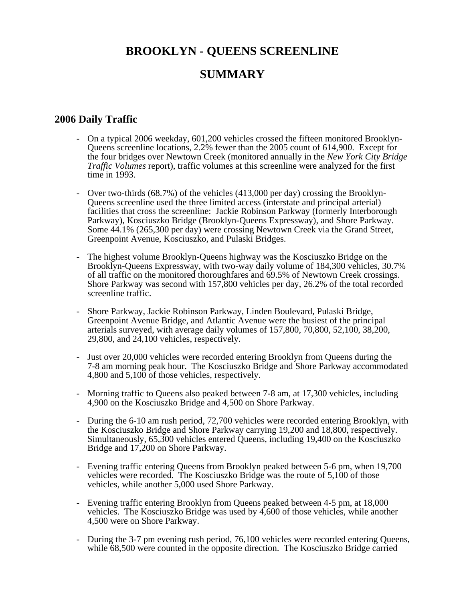# **BROOKLYN - QUEENS SCREENLINE SUMMARY**

#### **2006 Daily Traffic**

- On a typical 2006 weekday, 601,200 vehicles crossed the fifteen monitored Brooklyn-Queens screenline locations, 2.2% fewer than the 2005 count of 614,900. Except for the four bridges over Newtown Creek (monitored annually in the *New York City Bridge Traffic Volumes* report), traffic volumes at this screenline were analyzed for the first time in 1993.
- Over two-thirds (68.7%) of the vehicles (413,000 per day) crossing the Brooklyn-Queens screenline used the three limited access (interstate and principal arterial) facilities that cross the screenline: Jackie Robinson Parkway (formerly Interborough Parkway), Kosciuszko Bridge (Brooklyn-Queens Expressway), and Shore Parkway. Some 44.1% (265,300 per day) were crossing Newtown Creek via the Grand Street, Greenpoint Avenue, Kosciuszko, and Pulaski Bridges.
- The highest volume Brooklyn-Queens highway was the Kosciuszko Bridge on the Brooklyn-Queens Expressway, with two-way daily volume of 184,300 vehicles, 30.7% of all traffic on the monitored thoroughfares and 69.5% of Newtown Creek crossings. Shore Parkway was second with 157,800 vehicles per day, 26.2% of the total recorded screenline traffic.
- Shore Parkway, Jackie Robinson Parkway, Linden Boulevard, Pulaski Bridge, Greenpoint Avenue Bridge, and Atlantic Avenue were the busiest of the principal arterials surveyed, with average daily volumes of 157,800, 70,800, 52,100, 38,200, 29,800, and 24,100 vehicles, respectively.
- Just over 20,000 vehicles were recorded entering Brooklyn from Queens during the 7-8 am morning peak hour. The Kosciuszko Bridge and Shore Parkway accommodated 4,800 and 5,100 of those vehicles, respectively.
- Morning traffic to Queens also peaked between 7-8 am, at 17,300 vehicles, including 4,900 on the Kosciuszko Bridge and 4,500 on Shore Parkway.
- During the 6-10 am rush period, 72,700 vehicles were recorded entering Brooklyn, with the Kosciuszko Bridge and Shore Parkway carrying 19,200 and 18,800, respectively. Simultaneously, 65,300 vehicles entered Queens, including 19,400 on the Kosciuszko Bridge and 17,200 on Shore Parkway.
- Evening traffic entering Queens from Brooklyn peaked between 5-6 pm, when 19,700 vehicles were recorded. The Kosciuszko Bridge was the route of 5,100 of those vehicles, while another 5,000 used Shore Parkway.
- Evening traffic entering Brooklyn from Queens peaked between 4-5 pm, at 18,000 vehicles. The Kosciuszko Bridge was used by 4,600 of those vehicles, while another 4,500 were on Shore Parkway.
- During the 3-7 pm evening rush period, 76,100 vehicles were recorded entering Queens, while 68,500 were counted in the opposite direction. The Kosciuszko Bridge carried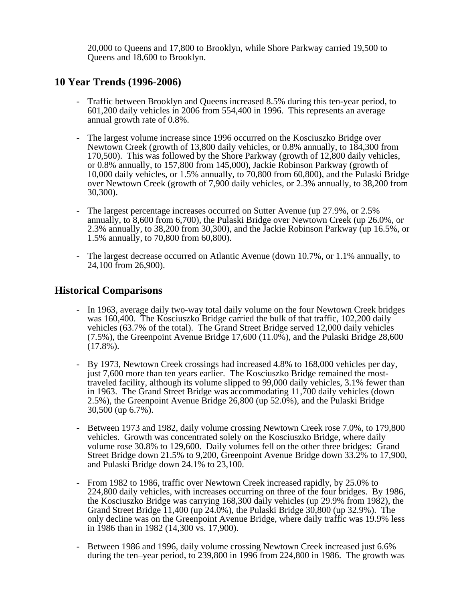20,000 to Queens and 17,800 to Brooklyn, while Shore Parkway carried 19,500 to Queens and 18,600 to Brooklyn.

#### **10 Year Trends (1996-2006)**

- Traffic between Brooklyn and Queens increased 8.5% during this ten-year period, to 601,200 daily vehicles in 2006 from 554,400 in 1996. This represents an average annual growth rate of 0.8%.
- The largest volume increase since 1996 occurred on the Kosciuszko Bridge over Newtown Creek (growth of 13,800 daily vehicles, or 0.8% annually, to 184,300 from 170,500). This was followed by the Shore Parkway (growth of 12,800 daily vehicles, or 0.8% annually, to 157,800 from 145,000), Jackie Robinson Parkway (growth of 10,000 daily vehicles, or 1.5% annually, to 70,800 from 60,800), and the Pulaski Bridge over Newtown Creek (growth of 7,900 daily vehicles, or 2.3% annually, to 38,200 from 30,300).
- The largest percentage increases occurred on Sutter Avenue (up 27.9%, or 2.5% annually, to 8,600 from 6,700), the Pulaski Bridge over Newtown Creek (up 26.0%, or 2.3% annually, to 38,200 from 30,300), and the Jackie Robinson Parkway (up 16.5%, or 1.5% annually, to 70,800 from 60,800).
- The largest decrease occurred on Atlantic Avenue (down 10.7%, or 1.1% annually, to 24,100 from 26,900).

#### **Historical Comparisons**

- In 1963, average daily two-way total daily volume on the four Newtown Creek bridges was 160,400. The Kosciuszko Bridge carried the bulk of that traffic, 102,200 daily vehicles (63.7% of the total). The Grand Street Bridge served 12,000 daily vehicles (7.5%), the Greenpoint Avenue Bridge 17,600 (11.0%), and the Pulaski Bridge 28,600  $(17.8\%)$ .
- By 1973, Newtown Creek crossings had increased 4.8% to 168,000 vehicles per day, just 7,600 more than ten years earlier. The Kosciuszko Bridge remained the mosttraveled facility, although its volume slipped to 99,000 daily vehicles, 3.1% fewer than in 1963. The Grand Street Bridge was accommodating 11,700 daily vehicles (down 2.5%), the Greenpoint Avenue Bridge 26,800 (up 52.0%), and the Pulaski Bridge 30,500 (up 6.7%).
- Between 1973 and 1982, daily volume crossing Newtown Creek rose 7.0%, to 179,800 vehicles. Growth was concentrated solely on the Kosciuszko Bridge, where daily volume rose 30.8% to 129,600. Daily volumes fell on the other three bridges: Grand Street Bridge down 21.5% to 9,200, Greenpoint Avenue Bridge down 33.2% to 17,900, and Pulaski Bridge down 24.1% to 23,100.
- From 1982 to 1986, traffic over Newtown Creek increased rapidly, by 25.0% to 224,800 daily vehicles, with increases occurring on three of the four bridges. By 1986, the Kosciuszko Bridge was carrying 168,300 daily vehicles (up 29.9% from 1982), the Grand Street Bridge 11,400 (up 24.0%), the Pulaski Bridge 30,800 (up 32.9%). The only decline was on the Greenpoint Avenue Bridge, where daily traffic was 19.9% less in 1986 than in 1982 (14,300 vs. 17,900).
- Between 1986 and 1996, daily volume crossing Newtown Creek increased just 6.6% during the ten–year period, to 239,800 in 1996 from 224,800 in 1986. The growth was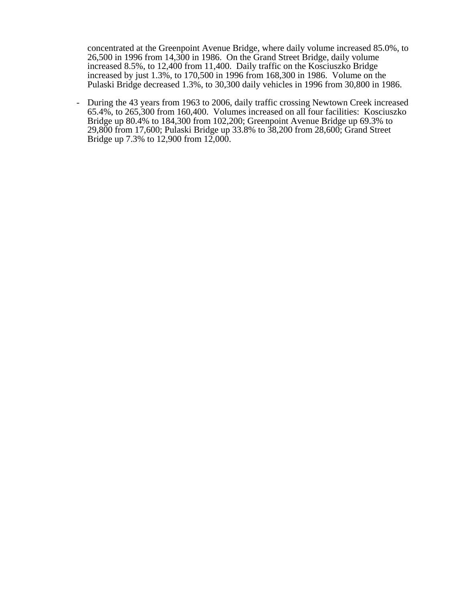concentrated at the Greenpoint Avenue Bridge, where daily volume increased 85.0%, to 26,500 in 1996 from 14,300 in 1986. On the Grand Street Bridge, daily volume increased 8.5%, to 12,400 from 11,400. Daily traffic on the Kosciuszko Bridge increased by just 1.3%, to 170,500 in 1996 from 168,300 in 1986. Volume on the Pulaski Bridge decreased 1.3%, to 30,300 daily vehicles in 1996 from 30,800 in 1986.

- During the 43 years from 1963 to 2006, daily traffic crossing Newtown Creek increased 65.4%, to 265,300 from 160,400. Volumes increased on all four facilities: Kosciuszko Bridge up 80.4% to 184,300 from 102,200; Greenpoint Avenue Bridge up 69.3% to 29,800 from 17,600; Pulaski Bridge up 33.8% to 38,200 from 28,600; Grand Street Bridge up 7.3% to 12,900 from 12,000.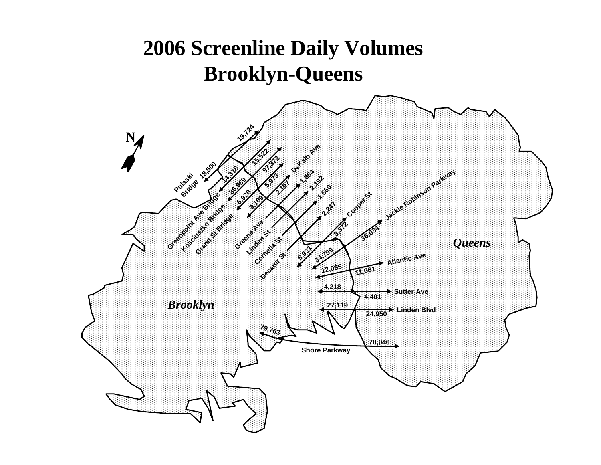# **2006 Screenline Daily Volumes Brooklyn-Queens**

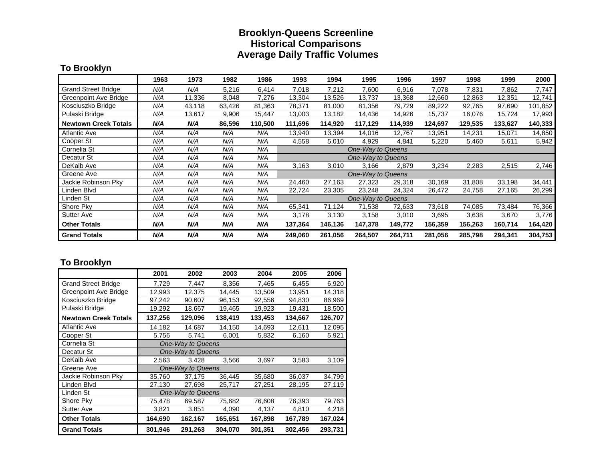#### **Brooklyn-Queens Screenline Historical Comparisons Average Daily Traffic Volumes**

#### **To Brooklyn**

|                             | 1963 | 1973   | 1982   | 1986    | 1993    | 1994    | 1995                     | 1996    | 1997    | 1998    | 1999    | 2000    |
|-----------------------------|------|--------|--------|---------|---------|---------|--------------------------|---------|---------|---------|---------|---------|
| <b>Grand Street Bridge</b>  | N/A  | N/A    | 5,216  | 6,414   | 7,018   | 7,212   | 7,600                    | 6,916   | 7,078   | 7,831   | 7,862   | 7,747   |
| Greenpoint Ave Bridge       | N/A  | 11,336 | 8,048  | 7,276   | 13,304  | 13,526  | 13,737                   | 13,368  | 12,660  | 12,863  | 12,351  | 12,741  |
| Kosciuszko Bridge           | N/A  | 43,118 | 63,426 | 81,363  | 78,371  | 81,000  | 81,356                   | 79,729  | 89,222  | 92,765  | 97,690  | 101,852 |
| Pulaski Bridge              | N/A  | 13,617 | 9,906  | 15,447  | 13,003  | 13,182  | 14,436                   | 14,926  | 15,737  | 16,076  | 15,724  | 17,993  |
| <b>Newtown Creek Totals</b> | N/A  | N/A    | 86,596 | 110,500 | 111,696 | 114,920 | 117,129                  | 114,939 | 124,697 | 129,535 | 133,627 | 140,333 |
| <b>Atlantic Ave</b>         | N/A  | N/A    | N/A    | N/A     | 13,940  | 13,394  | 14,016                   | 12,767  | 13,951  | 14,231  | 15,071  | 14,850  |
| Cooper St                   | N/A  | N/A    | N/A    | N/A     | 4,558   | 5,010   | 4,929                    | 4,841   | 5,220   | 5,460   | 5,611   | 5,942   |
| Cornelia St                 | N/A  | N/A    | N/A    | N/A     |         |         | One-Way to Queens        |         |         |         |         |         |
| Decatur St                  | N/A  | N/A    | N/A    | N/A     |         |         | <b>One-Way to Queens</b> |         |         |         |         |         |
| DeKalb Ave                  | N/A  | N/A    | N/A    | N/A     | 3,163   | 3,010   | 3,166                    | 2,879   | 3,234   | 2,283   | 2,515   | 2,746   |
| Greene Ave                  | N/A  | N/A    | N/A    | N/A     |         |         | One-Way to Queens        |         |         |         |         |         |
| Jackie Robinson Pky         | N/A  | N/A    | N/A    | N/A     | 24,460  | 27,163  | 27,323                   | 29,318  | 30,169  | 31,808  | 33,198  | 34,441  |
| Linden Blvd                 | N/A  | N/A    | N/A    | N/A     | 22,724  | 23,305  | 23,248                   | 24,324  | 26,472  | 24,758  | 27,165  | 26,299  |
| Linden St                   | N/A  | N/A    | N/A    | N/A     |         |         | One-Way to Queens        |         |         |         |         |         |
| Shore Pky                   | N/A  | N/A    | N/A    | N/A     | 65,341  | 71,124  | 71,538                   | 72,633  | 73,618  | 74,085  | 73,484  | 76,366  |
| <b>Sutter Ave</b>           | N/A  | N/A    | N/A    | N/A     | 3,178   | 3,130   | 3,158                    | 3,010   | 3,695   | 3,638   | 3,670   | 3,776   |
| <b>Other Totals</b>         | N/A  | N/A    | N/A    | N/A     | 137,364 | 146,136 | 147,378                  | 149,772 | 156,359 | 156,263 | 160,714 | 164,420 |
| <b>Grand Totals</b>         | N/A  | N/A    | N/A    | N/A     | 249,060 | 261,056 | 264,507                  | 264,711 | 281,056 | 285,798 | 294,341 | 304,753 |

#### **To Brooklyn**

|                             | 2001              | 2002              | 2003    | 2004    | 2005    | 2006    |  |  |  |
|-----------------------------|-------------------|-------------------|---------|---------|---------|---------|--|--|--|
| <b>Grand Street Bridge</b>  | 7,729             | 7,447             | 8,356   | 7,465   | 6,455   | 6,920   |  |  |  |
| Greenpoint Ave Bridge       | 12,993            | 12,375            | 14,445  | 13,509  | 13,951  | 14,318  |  |  |  |
| Kosciuszko Bridge           | 97,242            | 90,607            | 96,153  | 92,556  | 94,830  | 86,969  |  |  |  |
| Pulaski Bridge              | 19,292            | 18,667            | 19,465  | 19,923  | 19,431  | 18,500  |  |  |  |
| <b>Newtown Creek Totals</b> | 137,256           | 129,096           | 138,419 | 133,453 | 134,667 | 126,707 |  |  |  |
| <b>Atlantic Ave</b>         | 14,182            | 14,687            | 14,150  | 14,693  | 12,611  | 12,095  |  |  |  |
| Cooper St                   | 5,756             | 5,741             | 6,001   | 5,832   | 6,160   | 5,921   |  |  |  |
| Cornelia St                 | One-Way to Queens |                   |         |         |         |         |  |  |  |
| Decatur St                  |                   | One-Way to Queens |         |         |         |         |  |  |  |
| DeKalb Ave                  | 2,563             | 3,428             | 3,566   | 3,697   | 3,583   | 3,109   |  |  |  |
| Greene Ave                  |                   | One-Way to Queens |         |         |         |         |  |  |  |
| Jackie Robinson Pky         | 35,760            | 37,175            | 36,445  | 35,680  | 36,037  | 34,799  |  |  |  |
| Linden Blvd                 | 27,130            | 27,698            | 25,717  | 27,251  | 28,195  | 27,119  |  |  |  |
| Linden St                   |                   | One-Way to Queens |         |         |         |         |  |  |  |
| Shore Pky                   | 75,478            | 69,587            | 75,682  | 76,608  | 76,393  | 79,763  |  |  |  |
| <b>Sutter Ave</b>           | 3,821             | 3,851             | 4,090   | 4,137   | 4,810   | 4,218   |  |  |  |
| <b>Other Totals</b>         | 164,690           | 162,167           | 165,651 | 167,898 | 167,789 | 167,024 |  |  |  |
| <b>Grand Totals</b>         | 301,946           | 291,263           | 304,070 | 301,351 | 302,456 | 293,731 |  |  |  |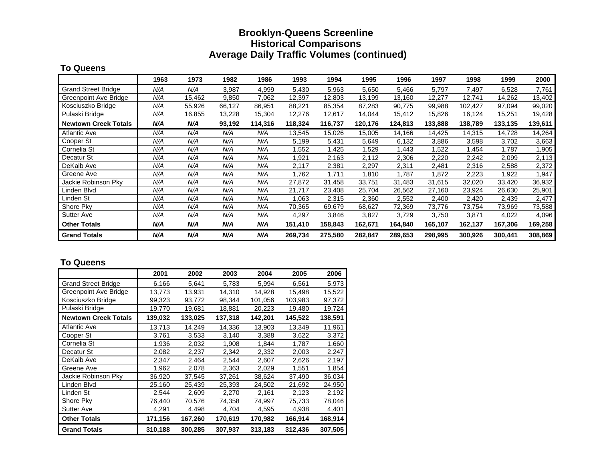#### **Brooklyn-Queens Screenline Historical Comparisons Average Daily Traffic Volumes (continued)**

#### **To Queens**

|                              | 1963 | 1973   | 1982   | 1986    | 1993    | 1994    | 1995    | 1996    | 1997    | 1998    | 1999    | 2000    |
|------------------------------|------|--------|--------|---------|---------|---------|---------|---------|---------|---------|---------|---------|
| <b>Grand Street Bridge</b>   | N/A  | N/A    | 3,987  | 4,999   | 5,430   | 5,963   | 5,650   | 5,466   | 5,797   | 7,497   | 6,528   | 7,761   |
| <b>Greenpoint Ave Bridge</b> | N/A  | 15,462 | 9,850  | 7,062   | 12,397  | 12,803  | 13,199  | 13,160  | 12,277  | 12,741  | 14,262  | 13,402  |
| Kosciuszko Bridge            | N/A  | 55,926 | 66,127 | 86,951  | 88,221  | 85,354  | 87,283  | 90,775  | 99,988  | 102,427 | 97,094  | 99,020  |
| Pulaski Bridge               | N/A  | 16,855 | 13,228 | 15,304  | 12,276  | 12,617  | 14,044  | 15,412  | 15,826  | 16,124  | 15,251  | 19,428  |
| <b>Newtown Creek Totals</b>  | N/A  | N/A    | 93,192 | 114,316 | 118,324 | 116,737 | 120,176 | 124,813 | 133,888 | 138,789 | 133,135 | 139,611 |
| <b>Atlantic Ave</b>          | N/A  | N/A    | N/A    | N/A     | 13,545  | 15,026  | 15,005  | 14,166  | 14,425  | 14,315  | 14,728  | 14,264  |
| Cooper St                    | N/A  | N/A    | N/A    | N/A     | 5,199   | 5,431   | 5,649   | 6,132   | 3,886   | 3,598   | 3,702   | 3,663   |
| Cornelia St                  | N/A  | N/A    | N/A    | N/A     | .552    | ,425    | .529    | 1,443   | .522    | .454    | 1,787   | 1,905   |
| Decatur St                   | N/A  | N/A    | N/A    | N/A     | ,921    | 2,163   | 2,112   | 2,306   | 2,220   | 2,242   | 2,099   | 2,113   |
| DeKalb Ave                   | N/A  | N/A    | N/A    | N/A     | 2,117   | 2,381   | 2,297   | 2,311   | 2,481   | 2,316   | 2,588   | 2,372   |
| Greene Ave                   | N/A  | N/A    | N/A    | N/A     | 1,762   | 1.711   | 810. ا  | 1,787   | 1,872   | 2,223   | 1,922   | 1,947   |
| Jackie Robinson Pky          | N/A  | N/A    | N/A    | N/A     | 27,872  | 31,458  | 33,751  | 31,483  | 31,615  | 32,020  | 33,420  | 36,932  |
| Linden Blvd                  | N/A  | N/A    | N/A    | N/A     | 21,717  | 23,408  | 25,704  | 26,562  | 27,160  | 23,924  | 26,630  | 25,901  |
| Linden St                    | N/A  | N/A    | N/A    | N/A     | 1,063   | 2,315   | 2,360   | 2,552   | 2,400   | 2,420   | 2,439   | 2,477   |
| Shore Pky                    | N/A  | N/A    | N/A    | N/A     | 70,365  | 69,679  | 68,627  | 72,369  | 73,776  | 73,754  | 73,969  | 73,588  |
| Sutter Ave                   | N/A  | N/A    | N/A    | N/A     | 4,297   | 3,846   | 3,827   | 3,729   | 3,750   | 3,871   | 4,022   | 4,096   |
| <b>Other Totals</b>          | N/A  | N/A    | N/A    | N/A     | 151,410 | 158,843 | 162,671 | 164,840 | 165,107 | 162,137 | 167,306 | 169,258 |
| <b>Grand Totals</b>          | N/A  | N/A    | N/A    | N/A     | 269,734 | 275,580 | 282,847 | 289,653 | 298,995 | 300,926 | 300,441 | 308,869 |

#### **To Queens**

|                             | 2001    | 2002    | 2003    | 2004    | 2005    | 2006    |
|-----------------------------|---------|---------|---------|---------|---------|---------|
| <b>Grand Street Bridge</b>  | 6,166   | 5,641   | 5,783   | 5,994   | 6,561   | 5,973   |
| Greenpoint Ave Bridge       | 13,773  | 13,931  | 14,310  | 14,928  | 15,498  | 15,522  |
| Kosciuszko Bridge           | 99,323  | 93,772  | 98,344  | 101,056 | 103,983 | 97,372  |
| Pulaski Bridge              | 19,770  | 19,681  | 18,881  | 20,223  | 19,480  | 19,724  |
| <b>Newtown Creek Totals</b> | 139,032 | 133,025 | 137,318 | 142,201 | 145,522 | 138,591 |
| <b>Atlantic Ave</b>         | 13,713  | 14,249  | 14.336  | 13,903  | 13,349  | 11,961  |
| Cooper St                   | 3,761   | 3,533   | 3,140   | 3,388   | 3,622   | 3,372   |
| Cornelia St                 | 1,936   | 2,032   | 1,908   | 1,844   | 1,787   | 1,660   |
| Decatur St                  | 2,082   | 2,237   | 2,342   | 2,332   | 2,003   | 2,247   |
| DeKalb Ave                  | 2,347   | 2,464   | 2,544   | 2,607   | 2,626   | 2,197   |
| Greene Ave                  | 1,962   | 2,078   | 2,363   | 2,029   | 1,551   | 1,854   |
| Jackie Robinson Pky         | 36,920  | 37,545  | 37,261  | 38,624  | 37,490  | 36,034  |
| Linden Blvd                 | 25,160  | 25,439  | 25,393  | 24,502  | 21,692  | 24,950  |
| Linden St                   | 2,544   | 2,609   | 2,270   | 2,161   | 2,123   | 2,192   |
| Shore Pky                   | 76,440  | 70,576  | 74,358  | 74,997  | 75,733  | 78,046  |
| <b>Sutter Ave</b>           | 4,291   | 4,498   | 4,704   | 4,595   | 4,938   | 4,401   |
| <b>Other Totals</b>         | 171,156 | 167,260 | 170,619 | 170,982 | 166,914 | 168,914 |
| <b>Grand Totals</b>         | 310,188 | 300,285 | 307,937 | 313,183 | 312,436 | 307,505 |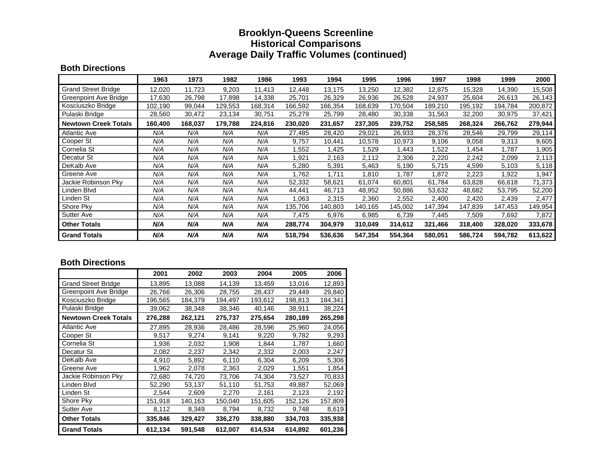#### **Brooklyn-Queens Screenline Historical Comparisons Average Daily Traffic Volumes (continued)**

#### **Both Directions**

|                             | 1963    | 1973    | 1982    | 1986    | 1993    | 1994    | 1995    | 1996    | 1997    | 1998    | 1999    | 2000    |
|-----------------------------|---------|---------|---------|---------|---------|---------|---------|---------|---------|---------|---------|---------|
| <b>Grand Street Bridge</b>  | 12,020  | 11,723  | 9,203   | 11,413  | 12,448  | 13,175  | 13,250  | 12,382  | 12,875  | 15,328  | 14,390  | 15,508  |
| Greenpoint Ave Bridge       | 17,630  | 26,798  | 17,898  | 14,338  | 25,701  | 26,329  | 26,936  | 26,528  | 24,937  | 25,604  | 26,613  | 26,143  |
| Kosciuszko Bridge           | 102,190 | 99,044  | 129,553 | 168,314 | 166,592 | 166,354 | 168,639 | 170,504 | 189,210 | 195,192 | 194,784 | 200,872 |
| Pulaski Bridge              | 28,560  | 30,472  | 23,134  | 30,751  | 25,279  | 25,799  | 28,480  | 30,338  | 31,563  | 32,200  | 30,975  | 37,421  |
| <b>Newtown Creek Totals</b> | 160,400 | 168,037 | 179,788 | 224,816 | 230,020 | 231,657 | 237,305 | 239,752 | 258,585 | 268,324 | 266,762 | 279,944 |
| <b>Atlantic Ave</b>         | N/A     | N/A     | N/A     | N/A     | 27,485  | 28,420  | 29,021  | 26,933  | 28,376  | 28,546  | 29,799  | 29,114  |
| Cooper St                   | N/A     | N/A     | N/A     | N/A     | 9,757   | 10,441  | 10,578  | 10,973  | 9,106   | 9,058   | 9,313   | 9,605   |
| Cornelia St                 | N/A     | N/A     | N/A     | N/A     | .552    | .425    | .529    | 1,443   | .522    | .454    | 1,787   | 1,905   |
| Decatur St                  | N/A     | N/A     | N/A     | N/A     | 921.ا   | 2,163   | 2,112   | 2,306   | 2,220   | 2,242   | 2,099   | 2,113   |
| DeKalb Ave                  | N/A     | N/A     | N/A     | N/A     | 5,280   | 5,391   | 5,463   | 5,190   | 5,715   | 4,599   | 5,103   | 5,118   |
| Greene Ave                  | N/A     | N/A     | N/A     | N/A     | 762. ا  | 1,711   | .810    | 1,787   | 1,872   | 2,223   | 1,922   | 1,947   |
| Jackie Robinson Pky         | N/A     | N/A     | N/A     | N/A     | 52,332  | 58,621  | 61,074  | 60,801  | 61,784  | 63,828  | 66,618  | 71,373  |
| Linden Blvd                 | N/A     | N/A     | N/A     | N/A     | 44,441  | 46,713  | 48,952  | 50,886  | 53,632  | 48,682  | 53,795  | 52,200  |
| Linden St                   | N/A     | N/A     | N/A     | N/A     | 1,063   | 2,315   | 2,360   | 2,552   | 2,400   | 2,420   | 2,439   | 2,477   |
| Shore Pky                   | N/A     | N/A     | N/A     | N/A     | 135,706 | 140,803 | 140,165 | 145,002 | 147,394 | 147,839 | 147,453 | 149,954 |
| <b>Sutter Ave</b>           | N/A     | N/A     | N/A     | N/A     | 7,475   | 6,976   | 6,985   | 6,739   | 7,445   | 7,509   | 7,692   | 7,872   |
| <b>Other Totals</b>         | N/A     | N/A     | N/A     | N/A     | 288,774 | 304,979 | 310,049 | 314,612 | 321,466 | 318,400 | 328,020 | 333,678 |
| <b>Grand Totals</b>         | N/A     | N/A     | N/A     | N/A     | 518,794 | 536,636 | 547,354 | 554,364 | 580,051 | 586,724 | 594,782 | 613,622 |

#### **Both Directions**

|                             | 2001    | 2002    | 2003    | 2004    | 2005    | 2006    |
|-----------------------------|---------|---------|---------|---------|---------|---------|
| <b>Grand Street Bridge</b>  | 13,895  | 13,088  | 14,139  | 13,459  | 13,016  | 12,893  |
| Greenpoint Ave Bridge       | 26,766  | 26,306  | 28,755  | 28,437  | 29,449  | 29,840  |
| Kosciuszko Bridge           | 196,565 | 184,379 | 194,497 | 193,612 | 198,813 | 184,341 |
| Pulaski Bridge              | 39,062  | 38,348  | 38,346  | 40,146  | 38,911  | 38,224  |
| <b>Newtown Creek Totals</b> | 276,288 | 262,121 | 275,737 | 275,654 | 280,189 | 265,298 |
| <b>Atlantic Ave</b>         | 27,895  | 28,936  | 28,486  | 28,596  | 25,960  | 24,056  |
| Cooper St                   | 9,517   | 9,274   | 9,141   | 9,220   | 9,782   | 9,293   |
| Cornelia St                 | 1,936   | 2,032   | 1,908   | 1,844   | 1,787   | 1,660   |
| Decatur St                  | 2,082   | 2,237   | 2,342   | 2,332   | 2,003   | 2,247   |
| DeKalb Ave                  | 4,910   | 5,892   | 6,110   | 6,304   | 6,209   | 5,306   |
| Greene Ave                  | 1,962   | 2,078   | 2,363   | 2,029   | 1,551   | 1,854   |
| Jackie Robinson Pky         | 72,680  | 74,720  | 73,706  | 74,304  | 73,527  | 70,833  |
| Linden Blvd                 | 52,290  | 53,137  | 51,110  | 51,753  | 49,887  | 52,069  |
| Linden St                   | 2,544   | 2,609   | 2,270   | 2,161   | 2,123   | 2,192   |
| Shore Pky                   | 151,918 | 140,163 | 150,040 | 151,605 | 152,126 | 157,809 |
| <b>Sutter Ave</b>           | 8,112   | 8,349   | 8,794   | 8,732   | 9,748   | 8,619   |
| <b>Other Totals</b>         | 335,846 | 329,427 | 336,270 | 338,880 | 334,703 | 335,938 |
| <b>Grand Totals</b>         | 612,134 | 591,548 | 612,007 | 614,534 | 614,892 | 601,236 |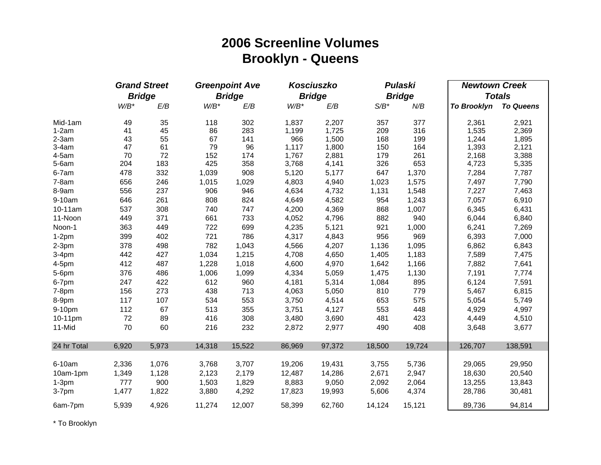# **2006 Screenline Volumes Brooklyn - Queens**

|             |         | <b>Grand Street</b> |         | <b>Greenpoint Ave</b> |         | Kosciuszko    |         | <b>Pulaski</b> | <b>Newtown Creek</b> |                  |
|-------------|---------|---------------------|---------|-----------------------|---------|---------------|---------|----------------|----------------------|------------------|
|             |         | <b>Bridge</b>       |         | <b>Bridge</b>         |         | <b>Bridge</b> |         | <b>Bridge</b>  |                      | <b>Totals</b>    |
|             | $W/B^*$ | E/B                 | $W/B^*$ | E/B                   | $W/B^*$ | E/B           | $S/B^*$ | N/B            | <b>To Brooklyn</b>   | <b>To Queens</b> |
| Mid-1am     | 49      | 35                  | 118     | 302                   | 1,837   | 2,207         | 357     | 377            | 2,361                | 2,921            |
| $1-2am$     | 41      | 45                  | 86      | 283                   | 1,199   | 1,725         | 209     | 316            | 1,535                | 2,369            |
| $2-3am$     | 43      | 55                  | 67      | 141                   | 966     | 1,500         | 168     | 199            | 1,244                | 1,895            |
| $3-4am$     | 47      | 61                  | 79      | 96                    | 1,117   | 1,800         | 150     | 164            | 1,393                | 2,121            |
| 4-5am       | 70      | 72                  | 152     | 174                   | 1,767   | 2,881         | 179     | 261            | 2,168                | 3,388            |
| $5-6am$     | 204     | 183                 | 425     | 358                   | 3,768   | 4,141         | 326     | 653            | 4,723                | 5,335            |
| 6-7am       | 478     | 332                 | 1,039   | 908                   | 5,120   | 5,177         | 647     | 1,370          | 7,284                | 7,787            |
| $7-8am$     | 656     | 246                 | 1,015   | 1,029                 | 4,803   | 4,940         | 1,023   | 1,575          | 7,497                | 7,790            |
| 8-9am       | 556     | 237                 | 906     | 946                   | 4,634   | 4,732         | 1,131   | 1,548          | 7,227                | 7,463            |
| 9-10am      | 646     | 261                 | 808     | 824                   | 4,649   | 4,582         | 954     | 1,243          | 7,057                | 6,910            |
| 10-11am     | 537     | 308                 | 740     | 747                   | 4,200   | 4,369         | 868     | 1,007          | 6,345                | 6,431            |
| 11-Noon     | 449     | 371                 | 661     | 733                   | 4,052   | 4,796         | 882     | 940            | 6,044                | 6,840            |
| Noon-1      | 363     | 449                 | 722     | 699                   | 4,235   | 5,121         | 921     | 1,000          | 6,241                | 7,269            |
| $1-2pm$     | 399     | 402                 | 721     | 786                   | 4,317   | 4,843         | 956     | 969            | 6,393                | 7,000            |
| $2-3pm$     | 378     | 498                 | 782     | 1,043                 | 4,566   | 4,207         | 1,136   | 1,095          | 6,862                | 6,843            |
| $3-4pm$     | 442     | 427                 | 1,034   | 1,215                 | 4,708   | 4,650         | 1,405   | 1,183          | 7,589                | 7,475            |
| 4-5pm       | 412     | 487                 | 1,228   | 1,018                 | 4,600   | 4,970         | 1,642   | 1,166          | 7,882                | 7,641            |
| 5-6pm       | 376     | 486                 | 1,006   | 1,099                 | 4,334   | 5,059         | 1,475   | 1,130          | 7,191                | 7,774            |
| 6-7pm       | 247     | 422                 | 612     | 960                   | 4,181   | 5,314         | 1,084   | 895            | 6,124                | 7,591            |
| $7-8pm$     | 156     | 273                 | 438     | 713                   | 4,063   | 5,050         | 810     | 779            | 5,467                | 6,815            |
| 8-9pm       | 117     | 107                 | 534     | 553                   | 3,750   | 4,514         | 653     | 575            | 5,054                | 5,749            |
| 9-10pm      | 112     | 67                  | 513     | 355                   | 3,751   | 4,127         | 553     | 448            | 4,929                | 4,997            |
| 10-11pm     | 72      | 89                  | 416     | 308                   | 3,480   | 3,690         | 481     | 423            | 4,449                | 4,510            |
| 11-Mid      | 70      | 60                  | 216     | 232                   | 2,872   | 2,977         | 490     | 408            | 3,648                | 3,677            |
| 24 hr Total | 6,920   | 5,973               | 14,318  | 15,522                | 86,969  | 97,372        | 18,500  | 19,724         | 126,707              | 138,591          |
| 6-10am      | 2,336   | 1,076               | 3,768   | 3,707                 | 19,206  | 19,431        |         |                | 29,065               |                  |
|             |         |                     |         |                       |         |               | 3,755   | 5,736          |                      | 29,950           |
| 10am-1pm    | 1,349   | 1,128               | 2,123   | 2,179                 | 12,487  | 14,286        | 2,671   | 2,947          | 18,630               | 20,540           |
| $1-3pm$     | 777     | 900                 | 1,503   | 1,829                 | 8,883   | 9,050         | 2,092   | 2,064          | 13,255               | 13,843           |
| 3-7pm       | 1,477   | 1,822               | 3,880   | 4,292                 | 17,823  | 19,993        | 5,606   | 4,374          | 28,786               | 30,481           |
| 6am-7pm     | 5,939   | 4,926               | 11,274  | 12,007                | 58,399  | 62,760        | 14,124  | 15,121         | 89,736               | 94,814           |

\* To Brooklyn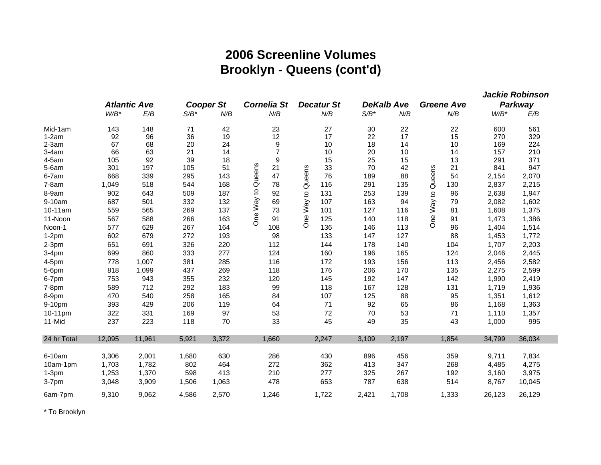# **2006 Screenline Volume s Brooklyn - Queens (cont'd )**

|             |         |                     |         |                  |                      |                          |         |                   |                   |         | <b>Jackie Robinson</b> |
|-------------|---------|---------------------|---------|------------------|----------------------|--------------------------|---------|-------------------|-------------------|---------|------------------------|
|             |         | <b>Atlantic Ave</b> |         | <b>Cooper St</b> | <b>Cornelia St</b>   | <b>Decatur St</b>        |         | <b>DeKalb Ave</b> | <b>Greene Ave</b> |         | Parkway                |
|             | $W/B^*$ | E/B                 | $S/B^*$ | N/B              | N/B                  | N/B                      | $S/B^*$ | N/B               | N/B               | $W/B^*$ | E/B                    |
| Mid-1am     | 143     | 148                 | 71      | 42               | 23                   | 27                       | 30      | 22                | 22                | 600     | 561                    |
| $1-2am$     | 92      | 96                  | 36      | 19               | 12                   | 17                       | 22      | 17                | 15                | 270     | 329                    |
| $2-3am$     | 67      | 68                  | 20      | 24               | 9                    | 10                       | 18      | 14                | 10                | 169     | 224                    |
| $3-4am$     | 66      | 63                  | 21      | 14               | $\overline{7}$       | 10                       | 20      | 10                | 14                | 157     | 210                    |
| $4-5am$     | 105     | 92                  | 39      | 18               | 9                    | 15                       | 25      | 15                | 13                | 291     | 371                    |
| $5-6am$     | 301     | 197                 | 105     | 51               | Queens<br>21         | 33                       | 70      | 42                | 21<br>Queens      | 841     | 947                    |
| 6-7am       | 668     | 339                 | 295     | 143              | 47                   | 76                       | 189     | 88                | 54                | 2,154   | 2,070                  |
| $7-8am$     | 1,049   | 518                 | 544     | 168              | 78                   | 116                      | 291     | 135               | 130               | 2,837   | 2,215                  |
| 8-9am       | 902     | 643                 | 509     | 187              | $\overline{c}$<br>92 | 131                      | 253     | 139               | 96                | 2,638   | 1,947                  |
| 9-10am      | 687     | 501                 | 332     | 132              | One Way<br>69        | One Way to Queens<br>107 | 163     | 94                | One Way to<br>79  | 2,082   | 1,602                  |
| 10-11am     | 559     | 565                 | 269     | 137              | 73                   | 101                      | 127     | 116               | 81                | 1,608   | 1,375                  |
| 11-Noon     | 567     | 588                 | 266     | 163              | 91                   | 125                      | 140     | 118               | 91                | 1,473   | 1,386                  |
| Noon-1      | 577     | 629                 | 267     | 164              | 108                  | 136                      | 146     | 113               | 96                | 1,404   | 1,514                  |
| $1-2pm$     | 602     | 679                 | 272     | 193              | 98                   | 133                      | 147     | 127               | 88                | 1,453   | 1,772                  |
| $2-3pm$     | 651     | 691                 | 326     | 220              | 112                  | 144                      | 178     | 140               | 104               | 1,707   | 2,203                  |
| $3-4pm$     | 699     | 860                 | 333     | 277              | 124                  | 160                      | 196     | 165               | 124               | 2,046   | 2,445                  |
| 4-5pm       | 778     | 1,007               | 381     | 285              | 116                  | 172                      | 193     | 156               | 113               | 2,456   | 2,582                  |
| 5-6pm       | 818     | 1,099               | 437     | 269              | 118                  | 176                      | 206     | 170               | 135               | 2,275   | 2,599                  |
| 6-7pm       | 753     | 943                 | 355     | 232              | 120                  | 145                      | 192     | 147               | 142               | 1,990   | 2,419                  |
| $7-8pm$     | 589     | 712                 | 292     | 183              | 99                   | 118                      | 167     | 128               | 131               | 1,719   | 1,936                  |
| 8-9pm       | 470     | 540                 | 258     | 165              | 84                   | 107                      | 125     | 88                | 95                | 1,351   | 1,612                  |
| 9-10pm      | 393     | 429                 | 206     | 119              | 64                   | 71                       | 92      | 65                | 86                | 1,168   | 1,363                  |
| 10-11pm     | 322     | 331                 | 169     | 97               | 53                   | 72                       | 70      | 53                | 71                | 1,110   | 1,357                  |
| 11-Mid      | 237     | 223                 | 118     | 70               | 33                   | 45                       | 49      | 35                | 43                | 1,000   | 995                    |
| 24 hr Total | 12,095  | 11,961              | 5,921   | 3,372            | 1,660                | 2,247                    | 3,109   | 2,197             | 1,854             | 34,799  | 36,034                 |
| 6-10am      | 3,306   | 2,001               | 1,680   | 630              | 286                  | 430                      | 896     | 456               | 359               | 9,711   | 7,834                  |
| 10am-1pm    | 1,703   | 1,782               | 802     | 464              | 272                  | 362                      | 413     | 347               | 268               | 4,485   | 4,275                  |
| $1-3pm$     | 1,253   | 1,370               | 598     | 413              | 210                  | 277                      | 325     | 267               | 192               | 3,160   | 3,975                  |
| $3-7$ pm    | 3,048   | 3,909               | 1,506   | 1,063            | 478                  | 653                      | 787     | 638               | 514               | 8,767   | 10,045                 |
| 6am-7pm     | 9,310   | 9,062               | 4,586   | 2,570            | 1,246                | 1,722                    | 2,421   | 1,708             | 1,333             | 26,123  | 26,129                 |

\* To Brooklyn